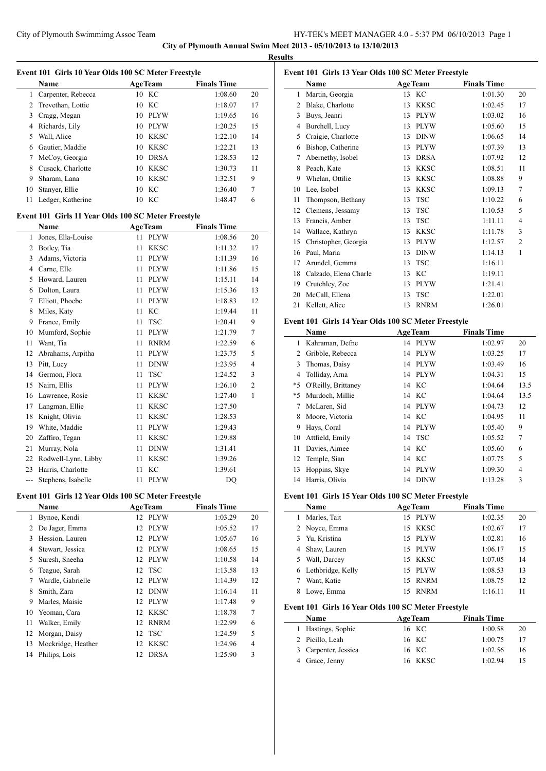**City of Plymouth Annual Swim Meet 2013 - 05/10/2013 to 13/10/2013**

**Results**

|                | Event 101 Girls 10 Year Olds 100 SC Meter Freestyle |          |                            |                    |                |
|----------------|-----------------------------------------------------|----------|----------------------------|--------------------|----------------|
|                | Name                                                |          | <b>AgeTeam</b>             | <b>Finals Time</b> |                |
| 1              | Carpenter, Rebecca                                  |          | 10 KC                      | 1:08.60            | 20             |
| $\overline{2}$ | Trevethan, Lottie                                   | 10       | KC                         | 1:18.07            | 17             |
| 3              | Cragg, Megan                                        |          | 10 PLYW                    | 1:19.65            | 16             |
| 4              | Richards, Lily                                      |          | 10 PLYW                    | 1:20.25            | 15             |
| 5              | Wall, Alice                                         |          | 10 KKSC                    | 1:22.10            | 14             |
| 6              | Gautier, Maddie                                     |          | 10 KKSC                    | 1:22.21            | 13             |
| 7              | McCoy, Georgia                                      | 10       | <b>DRSA</b>                | 1:28.53            | 12             |
| 8              | Cusack, Charlotte                                   |          | 10 KKSC                    | 1:30.73            | 11             |
| 9              | Sharam, Lana                                        | 10       | KKSC                       | 1:32.51            | 9              |
| 10             | Stanyer, Ellie                                      | 10       | KC                         | 1:36.40            | 7              |
| 11             | Ledger, Katherine                                   | 10       | KC                         | 1:48.47            | 6              |
|                | Event 101 Girls 11 Year Olds 100 SC Meter Freestyle |          |                            |                    |                |
|                | Name                                                |          | <b>AgeTeam</b>             | <b>Finals Time</b> |                |
| 1              | Jones, Ella-Louise                                  | 11       | <b>PLYW</b>                | 1:08.56            | 20             |
| 2              | Botley, Tia                                         | 11       | <b>KKSC</b>                | 1:11.32            | 17             |
| 3              | Adams, Victoria                                     | 11       | <b>PLYW</b>                | 1:11.39            | 16             |
|                | 4 Carne, Elle                                       | 11       | <b>PLYW</b>                | 1:11.86            | 15             |
| 5              | Howard, Lauren                                      | 11       | <b>PLYW</b>                | 1:15.11            | 14             |
| 6              | Dolton, Laura                                       | 11       | <b>PLYW</b>                | 1:15.36            | 13             |
| 7              | Elliott, Phoebe                                     | 11       | <b>PLYW</b>                | 1:18.83            | 12             |
| 8              | Miles, Katy                                         | 11       | KC                         | 1:19.44            | 11             |
| 9              | France, Emily                                       | 11       | <b>TSC</b>                 | 1:20.41            | 9              |
| 10             | Mumford, Sophie                                     | 11       | <b>PLYW</b>                | 1:21.79            | 7              |
| 11             | Want, Tia                                           | 11       | <b>RNRM</b>                | 1:22.59            | 6              |
| 12             | Abrahams, Arpitha                                   | 11       | <b>PLYW</b>                | 1:23.75            | 5              |
| 13             | Pitt, Lucy                                          | 11       | <b>DINW</b>                | 1:23.95            | 4              |
| 14             | Germon, Flora                                       | 11       | TSC                        | 1:24.52            | 3              |
| 15             | Nairn, Ellis                                        | 11       | <b>PLYW</b>                | 1:26.10            | $\overline{c}$ |
| 16             | Lawrence, Rosie                                     | 11       | KKSC                       | 1:27.40            | 1              |
| 17             | Langman, Ellie                                      | 11       | KKSC                       | 1:27.50            |                |
| 18             | Knight, Olivia                                      |          | <b>KKSC</b>                |                    |                |
| 19             |                                                     | 11<br>11 | <b>PLYW</b>                | 1:28.53            |                |
|                | White, Maddie                                       |          |                            | 1:29.43            |                |
| 20             | Zaffiro, Tegan                                      | 11       | <b>KKSC</b>                | 1:29.88            |                |
| 21<br>22       | Murray, Nola                                        | 11       | <b>DINW</b><br><b>KKSC</b> | 1:31.41<br>1:39.26 |                |
|                | Rodwell-Lynn, Libby                                 | 11       | KC                         |                    |                |
| 23             | Harris, Charlotte                                   | 11<br>11 |                            | 1:39.61            |                |
|                | Stephens, Isabelle                                  |          | PLYW                       | DQ                 |                |
|                | Event 101 Girls 12 Year Olds 100 SC Meter Freestyle |          |                            |                    |                |
|                | <b>Name</b><br>Bynoe, Kendi                         |          | <b>AgeTeam</b>             | <b>Finals Time</b> |                |
| $\mathbf{1}$   |                                                     | 12       | <b>PLYW</b>                | 1:03.29            | 20             |
| $\overline{2}$ | De Jager, Emma                                      | 12       | <b>PLYW</b>                | 1:05.52            | 17             |
| 3              | Hession, Lauren                                     | 12       | $\rm PLYW$                 | 1:05.67            | 16             |
| 4              | Stewart, Jessica                                    | 12       | <b>PLYW</b>                | 1:08.65            | 15             |
| 5              | Suresh, Sneeha                                      | 12       | <b>PLYW</b>                | 1:10.58            | 14             |
| 6              | Teague, Sarah                                       | 12       | <b>TSC</b>                 | 1:13.58            | 13             |
| 7              | Wardle, Gabrielle                                   | 12       | <b>PLYW</b>                | 1:14.39            | 12             |
| 8              | Smith, Zara                                         | 12       | <b>DINW</b>                | 1:16.14            | 11             |
| 9              | Marles, Maisie                                      | 12       | <b>PLYW</b>                | 1:17.48            | 9              |
| 10             | Yeoman, Cara                                        | 12       | <b>KKSC</b>                | 1:18.78            | 7              |
| 11             | Walker, Emily                                       | 12       | <b>RNRM</b>                | 1:22.99            | 6              |
| 12             | Morgan, Daisy                                       | 12       | <b>TSC</b>                 | 1:24.59            | 5              |
| 13             | Mockridge, Heather                                  | 12       | <b>KKSC</b>                | 1:24.96            | 4              |
| 14             | Philips, Lois                                       | 12       | <b>DRSA</b>                | 1:25.90            | 3              |

|                | Event 101 Girls 13 Year Olds 100 SC Meter Freestyle |                  |             |                    |                |
|----------------|-----------------------------------------------------|------------------|-------------|--------------------|----------------|
|                | Name                                                | <b>AgeTeam</b>   |             | <b>Finals Time</b> |                |
| 1              | Martin, Georgia                                     | KC<br>13         |             | 1:01.30            | 20             |
| 2              | Blake, Charlotte                                    | 13               | KKSC        | 1:02.45            | 17             |
| 3              | Buys, Jeanri                                        | 13               | PLYW        | 1:03.02            | 16             |
| 4              | Burchell, Lucy                                      | 13               | <b>PLYW</b> | 1:05.60            | 15             |
| 5              | Craigie, Charlotte                                  | 13               | <b>DINW</b> | 1:06.65            | 14             |
| 6              | Bishop, Catherine                                   | 13               | <b>PLYW</b> | 1:07.39            | 13             |
| 7              | Abernethy, Isobel                                   | 13               | <b>DRSA</b> | 1:07.92            | 12             |
| 8              | Peach, Kate                                         | 13 KKSC          |             | 1:08.51            | 11             |
| 9              | Whelan, Ottilie                                     | 13 KKSC          |             | 1:08.88            | 9              |
| 10             | Lee, Isobel                                         | 13 KKSC          |             | 1:09.13            | 7              |
| 11             | Thompson, Bethany                                   | TSC<br>13        |             | 1:10.22            | 6              |
| 12             | Clemens, Jessamy                                    | <b>TSC</b><br>13 |             | 1:10.53            | 5              |
| 13             | Francis, Amber                                      | <b>TSC</b><br>13 |             | 1:11.11            | 4              |
| 14             | Wallace, Kathryn                                    | 13               | KKSC        | 1:11.78            | 3              |
| 15             | Christopher, Georgia                                | 13               | PLYW        | 1:12.57            | 2              |
| 16             | Paul, Maria                                         | 13               | <b>DINW</b> | 1:14.13            | 1              |
| 17             | Arundel, Gemma                                      | 13<br><b>TSC</b> |             | 1:16.11            |                |
|                | 18 Calzado, Elena Charle                            | KC<br>13         |             | 1:19.11            |                |
|                | 19 Crutchley, Zoe                                   | 13               | <b>PLYW</b> | 1:21.41            |                |
| 20             | McCall, Ellena                                      | <b>TSC</b><br>13 |             | 1:22.01            |                |
| 21             | Kellett, Alice                                      | 13               | <b>RNRM</b> | 1:26.01            |                |
|                |                                                     |                  |             |                    |                |
|                | Event 101 Girls 14 Year Olds 100 SC Meter Freestyle |                  |             |                    |                |
|                | Name                                                | <b>AgeTeam</b>   |             | <b>Finals Time</b> |                |
| 1              | Kahraman, Defne                                     | 14               | PLYW        | 1:02.97            | 20             |
|                | 2 Gribble, Rebecca                                  | 14               | PLYW        | 1:03.25            | 17             |
| 3              | Thomas, Daisy                                       | 14 PLYW          |             | 1:03.49            | 16             |
| $\overline{4}$ | Tolliday, Arna                                      | 14 PLYW          |             | 1:04.31            | 15             |
| $*5$           | O'Reilly, Brittaney                                 | 14 KC            |             | 1:04.64            | 13.5           |
| *5             | Murdoch, Millie                                     | 14 KC            |             | 1:04.64            | 13.5           |
| 7              | McLaren, Sid                                        | 14 PLYW          |             | 1:04.73            | 12             |
| 8              | Moore, Victoria                                     | 14 KC            |             | 1:04.95            | 11             |
| 9              | Hays, Coral                                         | 14 PLYW          |             | 1:05.40            | 9              |
| 10             | Attfield, Emily                                     | <b>TSC</b><br>14 |             | 1:05.52            | 7              |
| 11             | Davies, Aimee                                       | KC<br>14         |             | 1:05.60            | 6              |
| 12             | Temple, Sian                                        | KC<br>14         |             | 1:07.75            | 5              |
| 13             | Hoppins, Skye                                       | 14               | <b>PLYW</b> | 1:09.30            | $\overline{4}$ |
|                | 14 Harris, Olivia                                   | 14 DINW          |             | 1:13.28            | 3              |
|                | Event 101 Girls 15 Year Olds 100 SC Meter Freestyle |                  |             |                    |                |
|                | Name                                                | <b>AgeTeam</b>   |             | <b>Finals Time</b> |                |
| 1              | Marles, Tait                                        | 15 PLYW          |             | 1:02.35            | 20             |
| $\overline{2}$ | Noyce, Emma                                         | 15               | KKSC        | 1:02.67            | 17             |
| 3              | Yu, Kristina                                        | 15 PLYW          |             | 1:02.81            | 16             |
| 4              | Shaw, Lauren                                        | 15 PLYW          |             | 1:06.17            | 15             |
| 5              | Wall, Darcey                                        | 15 KKSC          |             | 1:07.05            | 14             |
| 6              | Lethbridge, Kelly                                   | 15               | <b>PLYW</b> | 1:08.53            | 13             |
| 7              | Want, Katie                                         | 15               | <b>RNRM</b> | 1:08.75            | 12             |
| 8              | Lowe, Emma                                          | 15               | <b>RNRM</b> | 1:16.11            | 11             |
|                |                                                     |                  |             |                    |                |
|                | Event 101 Girls 16 Year Olds 100 SC Meter Freestyle |                  |             |                    |                |
|                | Name                                                | <b>AgeTeam</b>   |             | <b>Finals Time</b> |                |
| 1              | Hastings, Sophie                                    | 16 KC            |             | 1:00.58            | 20             |
| 2              | Picillo, Leah                                       | KC<br>16         |             | 1:00.75            | 17             |
| 3              | Carpenter, Jessica                                  | KC<br>16         |             | 1:02.56            | 16             |
| 4              | Grace, Jenny                                        | 16               | <b>KKSC</b> | 1:02.94            | 15             |
|                |                                                     |                  |             |                    |                |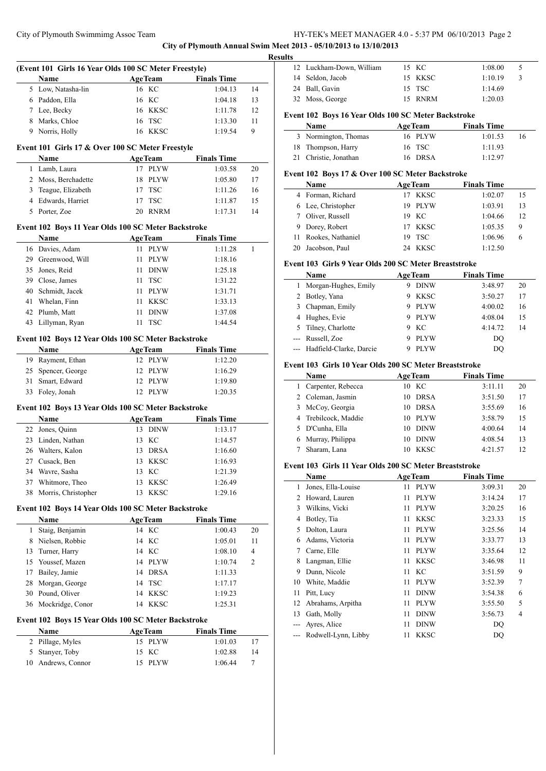**City of Plymouth Annual Swim Meet 2013 - 05/10/2013 to 13/10/2013**

|    | (Event 101 Girls 16 Year Olds 100 SC Meter Freestyle) |                           |                    |    |
|----|-------------------------------------------------------|---------------------------|--------------------|----|
|    | Name                                                  | <b>AgeTeam</b>            | <b>Finals Time</b> |    |
| 5  | Low, Natasha-lin                                      | 16 KC                     | 1:04.13            | 14 |
|    | 6 Paddon, Ella                                        | 16 KC                     | 1:04.18            | 13 |
|    | 7 Lee, Becky                                          | 16 KKSC                   | 1:11.78            | 12 |
|    | 8 Marks, Chloe                                        | 16 TSC                    | 1:13.30            | 11 |
| 9  | Norris, Holly                                         | 16 KKSC                   | 1:19.54            | 9  |
|    | Event 101 Girls 17 & Over 100 SC Meter Freestyle      |                           |                    |    |
|    | Name                                                  |                           | <b>Finals Time</b> |    |
| 1  | Lamb, Laura                                           | <b>AgeTeam</b><br>17 PLYW | 1:03.58            |    |
|    |                                                       |                           |                    | 20 |
|    | 2 Moss, Berchadette                                   | PLYW<br>18                | 1:05.80            | 17 |
| 3  | Teague, Elizabeth                                     | <b>TSC</b><br>17          | 1:11.26            | 16 |
|    | 4 Edwards, Harriet                                    | <b>TSC</b><br>17          | 1:11.87            | 15 |
|    | 5 Porter, Zoe                                         | 20 RNRM                   | 1:17.31            | 14 |
|    | Event 102 Boys 11 Year Olds 100 SC Meter Backstroke   |                           |                    |    |
|    | <b>Name</b>                                           | <b>AgeTeam</b>            | <b>Finals Time</b> |    |
|    | 16 Davies, Adam                                       | 11 PLYW                   | 1:11.28            | 1  |
|    | 29 Greenwood, Will                                    | 11<br>PLYW                | 1:18.16            |    |
|    | 35 Jones, Reid                                        | DINW<br>11                | 1:25.18            |    |
|    | 39 Close, James                                       | 11<br><b>TSC</b>          | 1:31.22            |    |
| 40 | Schmidt, Jacek                                        | <b>PLYW</b><br>11         | 1:31.71            |    |
|    | Whelan, Finn                                          |                           |                    |    |
| 41 |                                                       | 11<br><b>KKSC</b>         | 1:33.13            |    |
| 42 | Plumb, Matt                                           | <b>DINW</b><br>11         | 1:37.08            |    |
|    | 43 Lillyman, Ryan                                     | 11 TSC                    | 1:44.54            |    |
|    | Event 102 Boys 12 Year Olds 100 SC Meter Backstroke   |                           |                    |    |
|    | Name                                                  | <b>AgeTeam</b>            | <b>Finals Time</b> |    |
|    | 19 Rayment, Ethan                                     | 12 PLYW                   | 1:12.20            |    |
|    | 25 Spencer, George                                    | 12 PLYW                   | 1:16.29            |    |
| 31 | Smart, Edward                                         | 12 PLYW                   | 1:19.80            |    |
| 33 | Foley, Jonah                                          | 12 PLYW                   | 1:20.35            |    |
|    |                                                       |                           |                    |    |
|    | Event 102 Boys 13 Year Olds 100 SC Meter Backstroke   |                           |                    |    |
|    | Name                                                  | <b>AgeTeam</b>            | <b>Finals Time</b> |    |
|    | 22 Jones, Quinn                                       | 13 DINW                   | 1:13.17            |    |
|    | 23 Linden, Nathan                                     | 13 KC                     | 1:14.57            |    |
|    | 26 Walters, Kalon                                     | 13 DRSA                   | 1:16.60            |    |
|    | 27 Cusack, Ben                                        | 13 KKSC                   | 1:16.93            |    |
|    | 34 Wavre, Sasha                                       | 13 KC                     | 1:21.39            |    |
| 37 | Whitmore, Theo                                        | <b>KKSC</b><br>13         | 1:26.49            |    |
| 38 | Morris, Christopher                                   | <b>KKSC</b><br>13         | 1:29.16            |    |
|    |                                                       |                           |                    |    |
|    | Event 102 Boys 14 Year Olds 100 SC Meter Backstroke   |                           |                    |    |
|    | Name                                                  | <b>AgeTeam</b>            | <b>Finals Time</b> |    |
| 1  | Staig, Benjamin                                       | 14 KC                     | 1:00.43            | 20 |
| 8  | Nielsen, Robbie                                       | KC<br>14                  | 1:05.01            | 11 |
| 13 | Turner, Harry                                         | KC<br>14                  | 1:08.10            | 4  |
| 15 | Youssef, Mazen                                        | 14 PLYW                   | 1:10.74            | 2  |
| 17 | Bailey, Jamie                                         | DRSA<br>14                | 1:11.33            |    |
| 28 | Morgan, George                                        | <b>TSC</b><br>14          | 1:17.17            |    |
| 30 | Pound, Oliver                                         | 14 KKSC                   | 1:19.23            |    |
| 36 | Mockridge, Conor                                      | 14 KKSC                   | 1:25.31            |    |
|    |                                                       |                           |                    |    |
|    | Event 102 Boys 15 Year Olds 100 SC Meter Backstroke   |                           |                    |    |
|    | Name                                                  | <b>AgeTeam</b>            | <b>Finals Time</b> |    |
| 2  | Pillage, Myles                                        | 15 PLYW                   | 1:01.03            | 17 |
| 5  | Stanyer, Toby                                         | 15 KC                     | 1:02.88            | 14 |
| 10 | Andrews, Connor                                       | <b>PLYW</b><br>15         | 1:06.44            | 7  |
|    |                                                       |                           |                    |    |

| w |                          |         |         |               |
|---|--------------------------|---------|---------|---------------|
|   | 12 Luckham-Down, William | 15 KC   | 1:08.00 | C             |
|   | 14 Seldon, Jacob         | 15 KKSC | 1:10.19 | $\mathcal{F}$ |
|   | 24 Ball, Gavin           | 15 TSC  | 1:14.69 |               |
|   | 32 Moss, George          | 15 RNRM | 1:20.03 |               |
|   |                          |         |         |               |

# **Event 102 Boys 16 Year Olds 100 SC Meter Backstroke**

| <b>Name</b>           | <b>AgeTeam</b> | <b>Finals Time</b> |    |
|-----------------------|----------------|--------------------|----|
| 3 Normington, Thomas  | 16 PLYW        | 1:01.53            | 16 |
| 18 Thompson, Harry    | 16 TSC         | 1:11.93            |    |
| 21 Christie, Jonathan | 16 DRSA        | 1:12.97            |    |

# **Event 102 Boys 17 & Over 100 SC Meter Backstroke**

| Name                 | <b>AgeTeam</b> | <b>Finals Time</b> |    |
|----------------------|----------------|--------------------|----|
| 4 Forman, Richard    | 17 KKSC        | 1:02.07            | 15 |
| 6 Lee, Christopher   | 19 PLYW        | 1:03.91            | 13 |
| 7 Oliver, Russell    | 19 KC          | 1:04.66            | 12 |
| 9 Dorey, Robert      | 17 KKSC        | 1:05.35            | 9  |
| 11 Rookes, Nathaniel | 19 TSC         | 1:06.96            | 6  |
| 20 Jacobson, Paul    | 24 KKSC        | 1.12.50            |    |

# **Event 103 Girls 9 Year Olds 200 SC Meter Breaststroke**

|   | Name                        | <b>AgeTeam</b> | <b>Finals Time</b> |    |
|---|-----------------------------|----------------|--------------------|----|
|   | Morgan-Hughes, Emily        | <b>DINW</b>    | 3:48.97            | 20 |
|   | 2 Botley, Yana              | <b>KKSC</b>    | 3:50.27            | 17 |
| 3 | Chapman, Emily              | <b>PLYW</b>    | 4:00.02            | 16 |
|   | 4 Hughes, Evie              | <b>PLYW</b>    | 4:08.04            | 15 |
|   | 5 Tilney, Charlotte         | KC.            | 4:14.72            | 14 |
|   | --- Russell, Zoe            | <b>PLYW</b>    | DO                 |    |
|   | --- Hadfield-Clarke, Darcie | <b>PLYW</b>    | D()                |    |

#### **Event 103 Girls 10 Year Olds 200 SC Meter Breaststroke**

| Name                 | <b>AgeTeam</b> |             | <b>Finals Time</b> |    |
|----------------------|----------------|-------------|--------------------|----|
| Carpenter, Rebecca   | 10 KC          |             | 3:11.11            | 20 |
| 2 Coleman, Jasmin    | 10             | <b>DRSA</b> | 3:51.50            | 17 |
| 3 McCoy, Georgia     | 10             | <b>DRSA</b> | 3:55.69            | 16 |
| 4 Trebilcock, Maddie | 10             | <b>PLYW</b> | 3:58.79            | 15 |
| 5 D'Cunha, Ella      | 10             | <b>DINW</b> | 4:00.64            | 14 |
| 6 Murray, Philippa   | 10             | <b>DINW</b> | 4:08.54            | 13 |
| Sharam, Lana         | 10             | <b>KKSC</b> | 4:21.57            | 12 |

# **Event 103 Girls 11 Year Olds 200 SC Meter Breaststroke**

|    | Name                |    | <b>AgeTeam</b> | <b>Finals Time</b> |    |
|----|---------------------|----|----------------|--------------------|----|
| 1  | Jones, Ella-Louise  | 11 | <b>PLYW</b>    | 3:09.31            | 20 |
| 2  | Howard, Lauren      | 11 | <b>PLYW</b>    | 3:14.24            | 17 |
| 3  | Wilkins, Vicki      | 11 | <b>PLYW</b>    | 3:20.25            | 16 |
| 4  | Botley, Tia         | 11 | <b>KKSC</b>    | 3:23.33            | 15 |
| 5  | Dolton, Laura       | 11 | <b>PLYW</b>    | 3:25.56            | 14 |
| 6  | Adams, Victoria     | 11 | <b>PLYW</b>    | 3:33.77            | 13 |
| 7  | Carne, Elle         | 11 | <b>PLYW</b>    | 3:35.64            | 12 |
| 8  | Langman, Ellie      | 11 | <b>KKSC</b>    | 3:46.98            | 11 |
| 9  | Dunn, Nicole        | 11 | KС             | 3:51.59            | 9  |
| 10 | White, Maddie       | 11 | <b>PLYW</b>    | 3:52.39            | 7  |
| 11 | Pitt, Lucy          | 11 | <b>DINW</b>    | 3:54.38            | 6  |
| 12 | Abrahams, Arpitha   | 11 | <b>PLYW</b>    | 3:55.50            | 5  |
| 13 | Gath, Molly         | 11 | <b>DINW</b>    | 3:56.73            | 4  |
|    | Ayres, Alice        | 11 | <b>DINW</b>    | DO                 |    |
|    | Rodwell-Lynn, Libby | 11 | <b>KKSC</b>    | DO                 |    |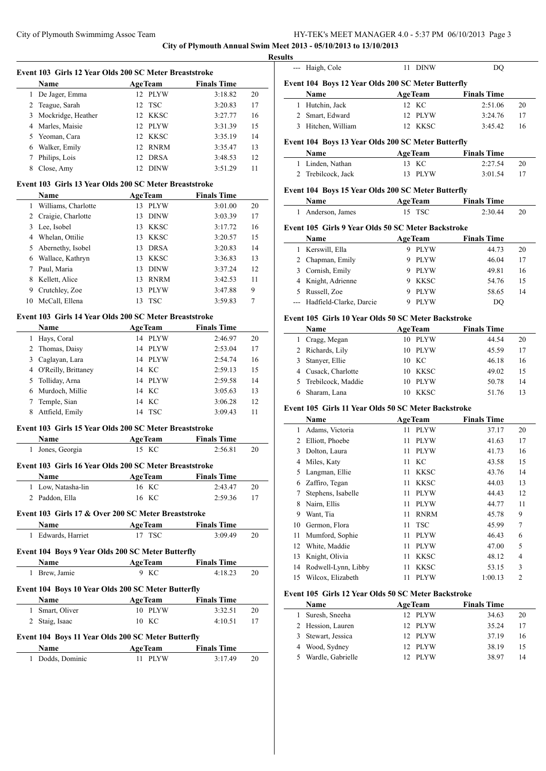**City of Plymouth Annual Swim Meet 2013 - 05/10/2013 to 13/10/2013**

|                | Event 103 Girls 12 Year Olds 200 SC Meter Breaststroke |                           |                               |    |
|----------------|--------------------------------------------------------|---------------------------|-------------------------------|----|
|                | Name                                                   | <b>AgeTeam</b>            | <b>Finals Time</b>            |    |
| 1              | De Jager, Emma                                         | 12 PLYW                   | 3:18.82                       | 20 |
|                | 2 Teague, Sarah                                        | TSC<br>12                 | 3:20.83                       | 17 |
| 3              | Mockridge, Heather                                     | 12 KKSC                   | 3:27.77                       | 16 |
|                | 4 Marles, Maisie                                       | 12 PLYW                   | 3:31.39                       | 15 |
|                | 5 Yeoman, Cara                                         | 12 KKSC                   | 3:35.19                       | 14 |
|                | 6 Walker, Emily                                        | 12 RNRM                   | 3:35.47                       | 13 |
| 7              | Philips, Lois                                          | 12 DRSA                   | 3:48.53                       | 12 |
| 8              | Close, Amy                                             | 12 DINW                   | 3:51.29                       | 11 |
|                | Event 103 Girls 13 Year Olds 200 SC Meter Breaststroke |                           |                               |    |
|                | Name                                                   | <b>AgeTeam</b>            | <b>Finals Time</b>            |    |
|                | 1 Williams, Charlotte                                  | 13 PLYW                   | 3:01.00                       | 20 |
|                | 2 Craigie, Charlotte                                   | 13 DINW                   | 3:03.39                       | 17 |
|                | 3 Lee, Isobel                                          | 13 KKSC                   | 3:17.72                       | 16 |
|                | 4 Whelan, Ottilie                                      | 13 KKSC                   | 3:20.57                       | 15 |
| 5              | Abernethy, Isobel                                      | 13 DRSA                   | 3:20.83                       | 14 |
|                | 6 Wallace, Kathryn                                     | 13 KKSC                   | 3:36.83                       | 13 |
| $7^{\circ}$    | Paul, Maria                                            | 13 DINW                   | 3:37.24                       | 12 |
| 8              | Kellett, Alice                                         | 13 RNRM                   | 3:42.53                       | 11 |
| 9              | Crutchley, Zoe                                         | 13 PLYW                   | 3:47.88                       | 9  |
| 10             | McCall, Ellena                                         | TSC<br>13                 | 3:59.83                       | 7  |
|                |                                                        |                           |                               |    |
|                | Event 103 Girls 14 Year Olds 200 SC Meter Breaststroke |                           |                               |    |
|                | Name                                                   | <b>AgeTeam</b>            | <b>Finals Time</b>            |    |
|                | 1 Hays, Coral                                          | 14 PLYW                   | 2:46.97                       | 20 |
|                | 2 Thomas, Daisy                                        | 14 PLYW                   | 2:53.04                       | 17 |
| 3              | Caglayan, Lara                                         | 14 PLYW                   | 2:54.74                       | 16 |
| $\overline{4}$ | O'Reilly, Brittaney                                    | 14 KC                     | 2:59.13                       | 15 |
| 5              | Tolliday, Arna                                         | 14 PLYW                   | 2:59.58                       | 14 |
|                | 6 Murdoch, Millie                                      | 14 KC                     | 3:05.63                       | 13 |
| 7              | Temple, Sian                                           | 14 KC                     | 3:06.28                       | 12 |
| 8              | Attfield, Emily                                        | 14 TSC                    | 3:09.43                       | 11 |
|                | Event 103 Girls 15 Year Olds 200 SC Meter Breaststroke |                           |                               |    |
|                | Name                                                   | <b>AgeTeam</b>            | <b>Finals Time</b>            |    |
| 1              | Jones, Georgia                                         | 15 KC                     | 2:56.81                       | 20 |
|                | Event 103 Girls 16 Year Olds 200 SC Meter Breaststroke |                           |                               |    |
|                | Name                                                   | <b>AgeTeam</b>            | <b>Finals Time</b>            |    |
|                | 1 Low, Natasha-lin                                     | 16 KC                     | 2:43.47                       | 20 |
|                | 2 Paddon, Ella                                         | 16 KC                     | 2:59.36                       | 17 |
|                | Event 103 Girls 17 & Over 200 SC Meter Breaststroke    |                           |                               |    |
|                | Name                                                   | <b>AgeTeam</b>            | <b>Finals Time</b>            |    |
|                | 1 Edwards, Harriet                                     | 17 TSC                    | 3:09.49                       | 20 |
|                | Event 104 Boys 9 Year Olds 200 SC Meter Butterfly      |                           |                               |    |
|                | Name                                                   | <b>AgeTeam</b>            | <b>Finals Time</b>            |    |
| 1              | Brew, Jamie                                            | 9 KC                      | 4:18.23                       | 20 |
|                |                                                        |                           |                               |    |
|                |                                                        |                           |                               |    |
|                | Event 104 Boys 10 Year Olds 200 SC Meter Butterfly     |                           |                               |    |
|                | Name                                                   | <b>AgeTeam</b>            | <b>Finals Time</b>            |    |
| $\mathbf{1}$   | Smart, Oliver                                          | 10 PLYW                   | 3:32.51                       | 20 |
| 2              | Staig, Isaac                                           | 10 KC                     | 4:10.51                       | 17 |
|                | Event 104 Boys 11 Year Olds 200 SC Meter Butterfly     |                           |                               |    |
| 1              | Name<br>Dodds, Dominic                                 | <b>AgeTeam</b><br>11 PLYW | <b>Finals Time</b><br>3:17.49 | 20 |

|                | --- Haigh, Cole                                     | 11 DINW                      | DQ                          |              |
|----------------|-----------------------------------------------------|------------------------------|-----------------------------|--------------|
|                | Event 104 Boys 12 Year Olds 200 SC Meter Butterfly  |                              |                             |              |
|                | Name                                                | <b>AgeTeam</b>               | <b>Finals Time</b>          |              |
|                | 1 Hutchin, Jack                                     | 12 KC                        | 2:51.06                     | 20           |
|                | 2 Smart, Edward                                     | 12 PLYW                      | 3:24.76                     | 17           |
|                | 3 Hitchen, William                                  | 12 KKSC                      | 3:45.42                     | 16           |
|                | Event 104 Boys 13 Year Olds 200 SC Meter Butterfly  |                              |                             |              |
|                | Name                                                | <b>AgeTeam</b>               | <b>Finals Time</b>          |              |
|                | 1 Linden, Nathan                                    | 13 KC                        | 2:27.54                     | 20           |
|                | 2 Trebilcock, Jack                                  | PLYW<br>13                   | 3:01.54                     | 17           |
|                | Event 104 Boys 15 Year Olds 200 SC Meter Butterfly  |                              |                             |              |
|                | Name                                                | <b>AgeTeam</b>               | <b>Finals Time</b>          |              |
| 1              | Anderson, James                                     | $_{\mathrm{TSC}}$<br>15      | 2:30.44                     | 20           |
|                | Event 105 Girls 9 Year Olds 50 SC Meter Backstroke  |                              |                             |              |
|                | Name                                                | <b>AgeTeam</b>               | <b>Finals Time</b>          |              |
|                | 1 Kerswill, Ella                                    | 9 PLYW                       | 44.73                       | 20           |
|                | 2 Chapman, Emily                                    | 9 PLYW                       | 46.04                       | 17           |
|                | 3 Cornish, Emily                                    | 9 PLYW                       | 49.81                       | 16           |
|                | 4 Knight, Adrienne                                  | 9 KKSC                       | 54.76                       | 15           |
|                | 5 Russell, Zoe                                      | 9 PLYW                       | 58.65                       | 14           |
| ---            | Hadfield-Clarke, Darcie                             | 9 PLYW                       | DQ                          |              |
|                | Event 105 Girls 10 Year Olds 50 SC Meter Backstroke |                              |                             |              |
|                | Name                                                | <b>AgeTeam</b>               | <b>Finals Time</b>          |              |
|                | 1 Cragg, Megan                                      | 10 PLYW                      | 44.54                       | 20           |
|                | 2 Richards, Lily                                    | 10 PLYW                      | 45.59                       | 17           |
| 3              | Stanyer, Ellie                                      | 10 KC                        | 46.18                       | 16           |
|                | 4 Cusack, Charlotte                                 | 10 KKSC                      | 49.02                       | 15           |
|                | 5 Trebilcock, Maddie                                | PLYW<br>10                   | 50.78                       | 14           |
| 6              | Sharam, Lana                                        | KKSC<br>10                   | 51.76                       | 13           |
|                |                                                     |                              |                             |              |
|                | Event 105 Girls 11 Year Olds 50 SC Meter Backstroke |                              |                             |              |
|                | Name<br>1 Adams, Victoria                           | <b>AgeTeam</b><br>11<br>PLYW | <b>Finals Time</b><br>37.17 | 20           |
|                | 2 Elliott, Phoebe                                   | PLYW<br>11                   | 41.63                       | 17           |
| 3              | Dolton, Laura                                       | 11<br>PLYW                   | 41.73                       | 16           |
| 4              | Miles, Katy                                         | 11<br>KC                     |                             | 15           |
|                |                                                     |                              | 43.58                       |              |
| 5              | Langman, Ellie                                      | 11<br><b>KKSC</b>            | 43.76                       | 14           |
| 6              | Zaffiro, Tegan                                      | 11<br><b>KKSC</b>            | 44.03                       | 13           |
| 7              | Stephens, Isabelle                                  | 11<br>PLYW                   | 44.43                       | 12           |
| 8              | Nairn, Ellis                                        | <b>PLYW</b><br>11            | 44.77                       | 11           |
| 9              | Want, Tia                                           | <b>RNRM</b><br>11            | 45.78                       | 9            |
| 10             | Germon, Flora                                       | 11<br><b>TSC</b>             | 45.99                       | 7            |
| 11             | Mumford, Sophie                                     | <b>PLYW</b><br>11            | 46.43                       | 6            |
| 12             | White, Maddie                                       | <b>PLYW</b><br>11            | 47.00                       | 5            |
| 13             | Knight, Olivia                                      | 11<br><b>KKSC</b>            | 48.12                       | 4            |
| 14             | Rodwell-Lynn, Libby                                 | 11<br>KKSC                   | 53.15                       | 3            |
| 15             | Wilcox, Elizabeth                                   | <b>PLYW</b><br>11            | 1:00.13                     | $\mathbf{2}$ |
|                | Event 105 Girls 12 Year Olds 50 SC Meter Backstroke |                              |                             |              |
|                | Name                                                | <b>AgeTeam</b>               | <b>Finals Time</b>          |              |
| 1              | Suresh, Sneeha                                      | <b>PLYW</b><br>12            | 34.63                       | 20           |
| $\overline{2}$ | Hession, Lauren                                     | 12<br><b>PLYW</b>            | 35.24                       | 17           |
| 3              | Stewart, Jessica                                    | 12<br>PLYW                   | 37.19                       | 16           |
| 4              | Wood, Sydney                                        | 12<br><b>PLYW</b>            | 38.19                       | 15           |
| 5              | Wardle, Gabrielle                                   | <b>PLYW</b><br>12            | 38.97                       | 14           |
|                |                                                     |                              |                             |              |
|                |                                                     |                              |                             |              |
|                |                                                     |                              |                             |              |
|                |                                                     |                              |                             |              |
|                |                                                     |                              |                             |              |
|                |                                                     |                              |                             |              |
|                |                                                     |                              |                             |              |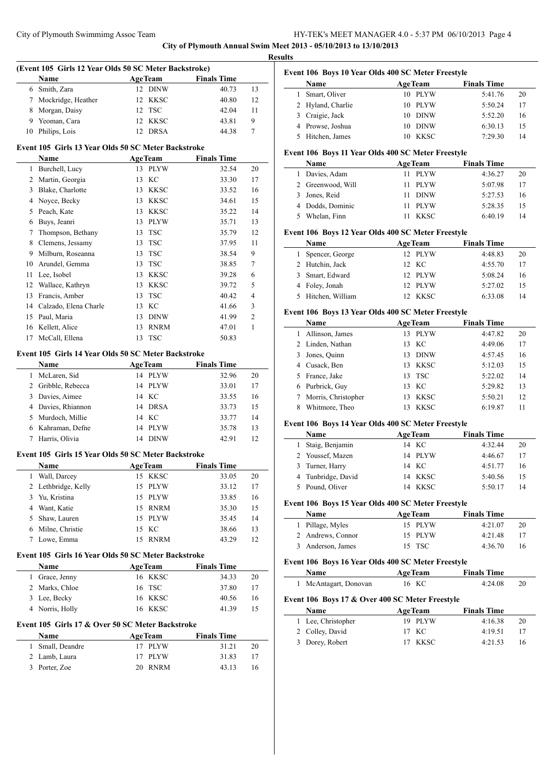**City of Plymouth Annual Swim Meet 2013 - 05/10/2013 to 13/10/2013**

|                | (Event 105 Girls 12 Year Olds 50 SC Meter Backstroke) |                    |                    |    |
|----------------|-------------------------------------------------------|--------------------|--------------------|----|
|                | Name                                                  | <b>AgeTeam</b>     | <b>Finals Time</b> |    |
|                | 6 Smith, Zara                                         | 12 DINW            | 40.73              | 13 |
| 7              | Mockridge, Heather                                    | 12 KKSC            | 40.80              | 12 |
| 8              | Morgan, Daisy                                         | 12 TSC             | 42.04              | 11 |
| 9              | Yeoman, Cara                                          | 12 KKSC            | 43.81              | 9  |
|                | 10 Philips, Lois                                      | 12 DRSA            | 44.38              | 7  |
|                | Event 105 Girls 13 Year Olds 50 SC Meter Backstroke   |                    |                    |    |
|                | Name                                                  | <b>AgeTeam</b>     | <b>Finals Time</b> |    |
| $\mathbf{1}$   | Burchell, Lucy                                        | 13 PLYW            | 32.54              | 20 |
| $\overline{2}$ | Martin, Georgia                                       | 13 KC              | 33.30              | 17 |
| 3              | Blake, Charlotte                                      | 13 KKSC            | 33.52              | 16 |
|                | 4 Noyce, Becky                                        | KKSC<br>13         | 34.61              | 15 |
| 5              | Peach, Kate                                           | 13 KKSC            | 35.22              | 14 |
| 6              | Buys, Jeanri                                          | 13 PLYW            | 35.71              | 13 |
| 7              | Thompson, Bethany                                     | <b>TSC</b><br>13   | 35.79              | 12 |
| 8              | Clemens, Jessamy                                      | <b>TSC</b><br>13   | 37.95              | 11 |
| 9              | Milburn, Roseanna                                     | <b>TSC</b><br>13   | 38.54              | 9  |
|                | 10 Arundel, Gemma                                     | 13 TSC             | 38.85              | 7  |
| 11             | Lee, Isobel                                           | 13 KKSC            | 39.28              | 6  |
| 12             | Wallace, Kathryn                                      | 13 KKSC            | 39.72              | 5  |
| 13             | Francis, Amber                                        | <b>TSC</b><br>13   | 40.42              | 4  |
|                | 14 Calzado, Elena Charle                              | 13 KC              | 41.66              | 3  |
| 15             | Paul, Maria                                           | 13 DINW            | 41.99              | 2  |
| 16             | Kellett, Alice                                        | <b>RNRM</b><br>13  | 47.01              | 1  |
| 17             | McCall, Ellena                                        | TSC<br>13          | 50.83              |    |
|                | Event 105 Girls 14 Year Olds 50 SC Meter Backstroke   |                    |                    |    |
|                | Name                                                  | <b>AgeTeam</b>     | <b>Finals Time</b> |    |
|                | 1 McLaren, Sid                                        | 14 PLYW            | 32.96              | 20 |
|                | 2 Gribble, Rebecca                                    | 14 PLYW            | 33.01              | 17 |
| 3              | Davies, Aimee                                         | 14 KC              | 33.55              | 16 |
|                | 4 Davies, Rhiannon                                    | 14 DRSA            | 33.73              | 15 |
|                | Murdoch, Millie                                       | 14 KC              | 33.77              | 14 |
|                |                                                       |                    | 35.78              | 13 |
| 5              |                                                       |                    |                    |    |
|                | 6 Kahraman, Defne                                     | 14 PLYW<br>14 DINW |                    |    |
|                | 7 Harris, Olivia                                      |                    | 42.91              | 12 |
|                | Event 105 Girls 15 Year Olds 50 SC Meter Backstroke   |                    |                    |    |
|                | Name                                                  | <b>AgeTeam</b>     | <b>Finals Time</b> |    |
| 1              | Wall, Darcey                                          | 15 KKSC            | 33.05              | 20 |
| 2              | Lethbridge, Kelly                                     | 15<br><b>PLYW</b>  | 33.12              | 17 |
| 3              | Yu, Kristina                                          | 15 PLYW            | 33.85              | 16 |
| 4              | Want, Katie                                           | 15 RNRM            | 35.30              | 15 |
| 5              | Shaw, Lauren                                          | 15 PLYW            | 35.45              | 14 |
| 6              | Milne, Christie                                       | 15 KC              | 38.66              | 13 |
| 7              | Lowe, Emma                                            | 15 RNRM            | 43.29              | 12 |
|                | Event 105 Girls 16 Year Olds 50 SC Meter Backstroke   |                    |                    |    |
|                | Name                                                  | <b>AgeTeam</b>     | <b>Finals Time</b> |    |
| $\mathbf{1}$   | Grace, Jenny                                          | 16 KKSC            | 34.33              | 20 |
| $\overline{2}$ | Marks, Chloe                                          | TSC<br>16          | 37.80              | 17 |
| 3              | Lee, Becky                                            | KKSC<br>16         | 40.56              | 16 |
|                | 4 Norris, Holly                                       | KKSC<br>16         | 41.39              | 15 |
|                | Event 105 Girls 17 & Over 50 SC Meter Backstroke      |                    |                    |    |
|                | Name                                                  | <b>AgeTeam</b>     | <b>Finals Time</b> |    |
|                | 1 Small, Deandre                                      | 17 PLYW            | 31.21              | 20 |
|                | 2 Lamb, Laura                                         | <b>PLYW</b><br>17  | 31.83              | 17 |

| Event 106 Boys 10 Year Olds 400 SC Meter Freestyle |  |  |  |  |
|----------------------------------------------------|--|--|--|--|
|----------------------------------------------------|--|--|--|--|

| <b>Name</b>       | <b>AgeTeam</b> | <b>Finals Time</b> |    |
|-------------------|----------------|--------------------|----|
| Smart, Oliver     | 10 PLYW        | 5:41.76            | 20 |
| 2 Hyland, Charlie | 10 PLYW        | 5:50.24            | 17 |
| 3 Craigie, Jack   | 10 DINW        | 5:52.20            | 16 |
| 4 Prowse, Joshua  | 10 DINW        | 6:30.13            | 15 |
| 5 Hitchen, James  | KKSC           | 7:29.30            | 14 |

# **Event 106 Boys 11 Year Olds 400 SC Meter Freestyle**

| Name              | <b>AgeTeam</b> | <b>Finals Time</b> |    |
|-------------------|----------------|--------------------|----|
| 1 Davies, Adam    | 11 PLYW        | 4:36.27            | 20 |
| 2 Greenwood, Will | 11 PLYW        | 5:07.98            | 17 |
| 3 Jones, Reid     | 11 DINW        | 5:27.53            | 16 |
| 4 Dodds, Dominic  | 11 PLYW        | 5:28.35            | 15 |
| Whelan, Finn      | KKSC           | 6:40.19            | 14 |

# **Event 106 Boys 12 Year Olds 400 SC Meter Freestyle**

| <b>Name</b>        | <b>AgeTeam</b> | <b>Finals Time</b> |    |
|--------------------|----------------|--------------------|----|
| Spencer, George    | 12 PLYW        | 4:48.83            | 20 |
| 2 Hutchin, Jack    | 12 KC          | 4:55.70            | 17 |
| 3 Smart, Edward    | 12 PLYW        | 5:08.24            | 16 |
| 4 Foley, Jonah     | 12 PLYW        | 5:27.02            | 15 |
| 5 Hitchen, William | 12 KKSC        | 6:33.08            | 14 |

# **Event 106 Boys 13 Year Olds 400 SC Meter Freestyle**

|   | Name                | <b>AgeTeam</b>     | <b>Finals Time</b> |    |
|---|---------------------|--------------------|--------------------|----|
|   | Allinson, James     | PLYW<br>13         | 4:47.82            | 20 |
|   | 2 Linden, Nathan    | 13 KC              | 4:49.06            | 17 |
|   | 3 Jones, Quinn      | <b>DINW</b><br>13. | 4:57.45            | 16 |
| 4 | Cusack, Ben         | <b>KKSC</b><br>13  | 5:12.03            | 15 |
|   | 5 France, Jake      | 13 TSC             | 5:22.02            | 14 |
|   | 6 Purbrick, Guy     | 13 KC              | 5:29.82            | 13 |
|   | Morris, Christopher | KKSC<br>13         | 5:50.21            | 12 |
|   | Whitmore, Theo      | <b>KKSC</b>        | 6:19.87            | 11 |

# **Event 106 Boys 14 Year Olds 400 SC Meter Freestyle**

| <b>Name</b>        | <b>AgeTeam</b> | <b>Finals Time</b> |    |
|--------------------|----------------|--------------------|----|
| 1 Staig, Benjamin  | 14 KC          | 4:32.44            | 20 |
| 2 Youssef, Mazen   | 14 PLYW        | 4:46.67            | 17 |
| 3 Turner, Harry    | 14 KC          | 4:51.77            | 16 |
| 4 Tunbridge, David | 14 KKSC        | 5:40.56            | 15 |
| 5 Pound, Oliver    | KKSC           | 5:50.17            | 14 |

#### **Event 106 Boys 15 Year Olds 400 SC Meter Freestyle**

| <b>Name</b>       | <b>AgeTeam</b> | <b>Finals Time</b> |    |
|-------------------|----------------|--------------------|----|
| 1 Pillage, Myles  | 15 PLYW        | 4:21.07            | 20 |
| 2 Andrews, Connor | 15 PLYW        | 4:21.48            | 17 |
| 3 Anderson, James | 15 TSC         | 4:36.70            | 16 |

### **Event 106 Boys 16 Year Olds 400 SC Meter Freestyle**

| Name                  | <b>AgeTeam</b> | <b>Finals Time</b> |  |
|-----------------------|----------------|--------------------|--|
| 1 McAntagart, Donovan | 16 KC          | 4:24.08            |  |

# **Event 106 Boys 17 & Over 400 SC Meter Freestyle**

| <b>Name</b>        | <b>AgeTeam</b> | <b>Finals Time</b> |    |
|--------------------|----------------|--------------------|----|
| 1 Lee, Christopher | 19 PLYW        | 4:16.38            | 20 |
| 2 Colley, David    | 17 KC          | 4:19.51            | 17 |
| 3 Dorey, Robert    | 17 KKSC        | 4:21.53            | 16 |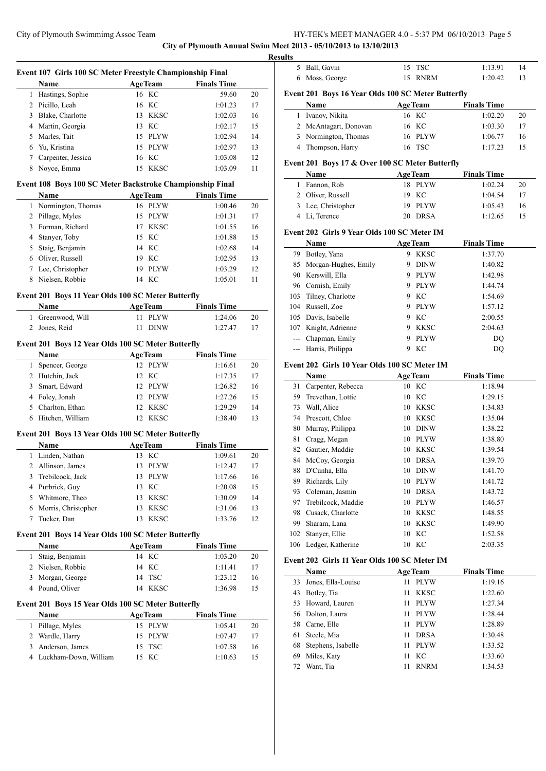**City of Plymouth Annual Swim Meet 2013 - 05/10/2013 to 13/10/2013**

|                | Event 107 Girls 100 SC Meter Freestyle Championship Final |                            |                    |          |
|----------------|-----------------------------------------------------------|----------------------------|--------------------|----------|
|                | Name                                                      | <b>AgeTeam</b>             | <b>Finals Time</b> |          |
|                | 1 Hastings, Sophie                                        | 16 KC                      | 59.60              | 20       |
|                | 2 Picillo, Leah                                           | 16 KC                      | 1:01.23            | 17       |
|                | 3 Blake, Charlotte                                        | 13 KKSC                    | 1:02.03            | 16       |
|                | 4 Martin, Georgia                                         | 13 KC                      | 1:02.17            | 15       |
|                | 5 Marles, Tait                                            | 15 PLYW                    | 1:02.94            | 14       |
|                | 6 Yu, Kristina                                            | 15 PLYW                    | 1:02.97            | 13       |
|                | 7 Carpenter, Jessica                                      | 16 KC                      | 1:03.08            | 12       |
|                | 8 Noyce, Emma                                             | 15 KKSC                    | 1:03.09            | 11       |
|                | Event 108 Boys 100 SC Meter Backstroke Championship Final |                            |                    |          |
|                | Name                                                      | <b>AgeTeam</b>             | <b>Finals Time</b> |          |
|                | 1 Normington, Thomas                                      | 16 PLYW                    | 1:00.46            | 20       |
|                | 2 Pillage, Myles                                          | 15 PLYW                    | 1:01.31            | 17       |
|                | 3 Forman, Richard                                         | 17 KKSC                    | 1:01.55            | 16       |
|                | 4 Stanyer, Toby                                           | 15 KC                      | 1:01.88            | 15       |
|                | 5 Staig, Benjamin                                         | 14 KC                      | 1:02.68            | 14       |
|                | 6 Oliver, Russell                                         | 19 KC                      | 1:02.95            | 13       |
|                | 7 Lee, Christopher                                        | 19 PLYW                    | 1:03.29            | 12       |
|                | 8 Nielsen, Robbie                                         | 14 KC                      | 1:05.01            | 11       |
|                | Event 201 Boys 11 Year Olds 100 SC Meter Butterfly        |                            |                    |          |
|                | Name                                                      | <b>AgeTeam</b>             | <b>Finals Time</b> |          |
|                | 1 Greenwood, Will                                         | 11 PLYW                    | 1:24.06            | 20       |
|                | 2 Jones, Reid                                             | 11 DINW                    | 1:27.47            | 17       |
|                | Event 201 Boys 12 Year Olds 100 SC Meter Butterfly        |                            |                    |          |
|                | Name                                                      | <b>AgeTeam</b>             | <b>Finals Time</b> |          |
|                | 1 Spencer, George                                         | 12 PLYW                    | 1:16.61            | 20       |
|                | 2 Hutchin, Jack                                           | 12 KC                      | 1:17.35            | 17       |
|                | 3 Smart, Edward                                           | 12 PLYW                    | 1:26.82            | 16       |
|                |                                                           |                            |                    |          |
|                | 4 Foley, Jonah                                            | 12 PLYW                    | 1:27.26            | 15       |
|                | 5 Charlton, Ethan                                         | 12 KKSC                    | 1:29.29            | 14       |
|                |                                                           |                            |                    |          |
|                | 6 Hitchen, William                                        | 12 KKSC                    | 1:38.40            | 13       |
|                | Event 201 Boys 13 Year Olds 100 SC Meter Butterfly        |                            |                    |          |
|                | Name                                                      | <b>AgeTeam</b> Finals Time |                    |          |
| 1              | Linden, Nathan                                            | 13 KC                      | 1:09.61            | 20       |
| $\overline{2}$ | Allinson, James                                           | 13 PLYW                    | 1:12.47            | 17       |
|                | 3 Trebilcock, Jack                                        | 13 PLYW                    | 1:17.66            | 16       |
|                | 4 Purbrick, Guy                                           | 13 KC                      | 1:20.08            | 15       |
|                | 5 Whitmore, Theo                                          | 13 KKSC                    | 1:30.09            | 14       |
|                | 6 Morris, Christopher                                     | 13 KKSC                    | 1:31.06            | 13       |
|                | 7 Tucker, Dan                                             | 13 KKSC                    | 1:33.76            | 12       |
|                | Event 201 Boys 14 Year Olds 100 SC Meter Butterfly        |                            |                    |          |
|                | Name                                                      | <b>AgeTeam</b>             | <b>Finals Time</b> |          |
| $\mathbf{1}$   | Staig, Benjamin                                           | 14 KC                      | 1:03.20            | 20       |
|                | 2 Nielsen, Robbie                                         | 14 KC                      | 1:11.41            | 17       |
|                | 3 Morgan, George                                          | 14 TSC                     | 1:23.12            | 16       |
|                | 4 Pound, Oliver                                           | 14 KKSC                    | 1:36.98            | 15       |
|                | Event 201 Boys 15 Year Olds 100 SC Meter Butterfly        |                            |                    |          |
|                | Name                                                      | <b>AgeTeam</b>             | <b>Finals Time</b> |          |
|                | 1 Pillage, Myles                                          | 15 PLYW                    | 1:05.41            | 20       |
|                | 2 Wardle, Harry                                           | 15 PLYW                    | 1:07.47            | 17       |
|                | 3 Anderson, James<br>4 Luckham-Down, William              | <b>TSC</b><br>15<br>15 KC  | 1:07.58<br>1:10.63 | 16<br>15 |

|              | - LERS INLET INFRINTENT. 0 - 0.07 TIME 00/10/2010 THEO 0 |                |             |                    |    |
|--------------|----------------------------------------------------------|----------------|-------------|--------------------|----|
|              | et 2013 - 05/10/2013 to 13/10/2013                       |                |             |                    |    |
| ılts         |                                                          |                |             |                    |    |
| 5            | Ball, Gavin                                              | 15 TSC         |             | 1:13.91            | 14 |
| 6            | Moss, George                                             | 15             | <b>RNRM</b> | 1:20.42            | 13 |
|              | Event 201 Boys 16 Year Olds 100 SC Meter Butterfly       |                |             |                    |    |
|              | <b>Name</b>                                              | <b>AgeTeam</b> |             | <b>Finals Time</b> |    |
| $\mathbf{1}$ | Ivanov, Nikita                                           | 16 KC          |             | 1:02.20            | 20 |
| 2            | McAntagart, Donovan                                      | 16 KC          |             | 1:03.30            | 17 |
| 3            | Normington, Thomas                                       | 16             | PLYW        | 1:06.77            | 16 |
| 4            | Thompson, Harry                                          | 16 TSC         |             | 1:17.23            | 15 |
|              | Event 201 Boys 17 & Over 100 SC Meter Butterfly          |                |             |                    |    |
|              | <b>Name</b>                                              | <b>AgeTeam</b> |             | <b>Finals Time</b> |    |
| 1            | Fannon, Rob                                              |                | 18 PLYW     | 1:02.24            | 20 |
| 2            | Oliver, Russell                                          | 19             | - KC        | 1:04.54            | 17 |
| 3            | Lee, Christopher                                         | 19             | <b>PLYW</b> | 1:05.43            | 16 |
| 4            | Li, Terence                                              | 20             | <b>DRSA</b> | 1:12.65            | 15 |
|              | Event 202 Girls 9 Year Olds 100 SC Meter IM              |                |             |                    |    |
|              | <b>Name</b>                                              | <b>AgeTeam</b> |             | <b>Finals Time</b> |    |
| 79           | Botley, Yana                                             | 9              | KKSC        | 1:37.70            |    |
| 85           | Morgan-Hughes, Emily                                     | 9              | <b>DINW</b> | 1:40.82            |    |
| 90           | Kerswill, Ella                                           | 9              | <b>PLYW</b> | 1:42.98            |    |
| 96           | Cornish, Emily                                           | 9              | <b>PLYW</b> | 1:44.74            |    |
| 103          | Tilney, Charlotte                                        | 9              | KC          | 1:54.69            |    |
|              | $104$ Pussell $709$                                      |                | $0$ DIVW    | 1.5712             |    |

| 104 Russell, Zoe     | 9 PLYW | 1:57.12 |
|----------------------|--------|---------|
| 105 Davis, Isabelle  | 9 KC   | 2:00.55 |
| 107 Knight, Adrienne | 9 KKSC | 2:04.63 |
| --- Chapman, Emily   | 9 PLYW | DO      |
| --- Harris, Philippa | 9 KC   | DO      |
|                      |        |         |

#### **Event 202 Girls 10 Year Olds 100 SC Meter IM**

|     | Name               | <b>AgeTeam</b>    | <b>Finals Time</b> |
|-----|--------------------|-------------------|--------------------|
| 31  | Carpenter, Rebecca | 10 KC             | 1:18.94            |
| 59  | Trevethan, Lottie  | KC<br>10          | 1:29.15            |
| 73  | Wall, Alice        | KKSC<br>10        | 1:34.83            |
| 74  | Prescott, Chloe    | <b>KKSC</b><br>10 | 1:35.04            |
| 80  | Murray, Philippa   | <b>DINW</b><br>10 | 1:38.22            |
| 81  | Cragg, Megan       | <b>PLYW</b><br>10 | 1:38.80            |
| 82  | Gautier, Maddie    | <b>KKSC</b><br>10 | 1:39.54            |
| 84  | McCoy, Georgia     | <b>DRSA</b><br>10 | 1:39.70            |
| 88  | D'Cunha, Ella      | <b>DINW</b><br>10 | 1:41.70            |
| 89  | Richards, Lily     | <b>PLYW</b><br>10 | 1:41.72            |
| 93  | Coleman, Jasmin    | <b>DRSA</b><br>10 | 1:43.72            |
| 97  | Trebilcock, Maddie | <b>PLYW</b><br>10 | 1:46.57            |
| 98  | Cusack, Charlotte  | <b>KKSC</b><br>10 | 1:48.55            |
| 99  | Sharam, Lana       | <b>KKSC</b><br>10 | 1:49.90            |
| 102 | Stanyer, Ellie     | 10 KC             | 1:52.58            |
| 106 | Ledger, Katherine  | 10 KC             | 2:03.35            |

# **Event 202 Girls 11 Year Olds 100 SC Meter IM**

|    | <b>Name</b>        | <b>AgeTeam</b>    | <b>Finals Time</b> |
|----|--------------------|-------------------|--------------------|
| 33 | Jones, Ella-Louise | <b>PLYW</b><br>11 | 1:19.16            |
| 43 | Botley, Tia        | <b>KKSC</b><br>11 | 1:22.60            |
|    | 53 Howard, Lauren  | PLYW<br>11        | 1:27.34            |
|    | 56 Dolton, Laura   | PLYW<br>11        | 1:28.44            |
|    | 58 Carne, Elle     | <b>PLYW</b><br>11 | 1:28.89            |
| 61 | Steele, Mia        | <b>DRSA</b><br>11 | 1:30.48            |
| 68 | Stephens, Isabelle | PLYW<br>11        | 1:33.52            |
| 69 | Miles, Katy        | КC<br>11          | 1:33.60            |
| 72 | Want, Tia          | <b>RNRM</b><br>11 | 1:34.53            |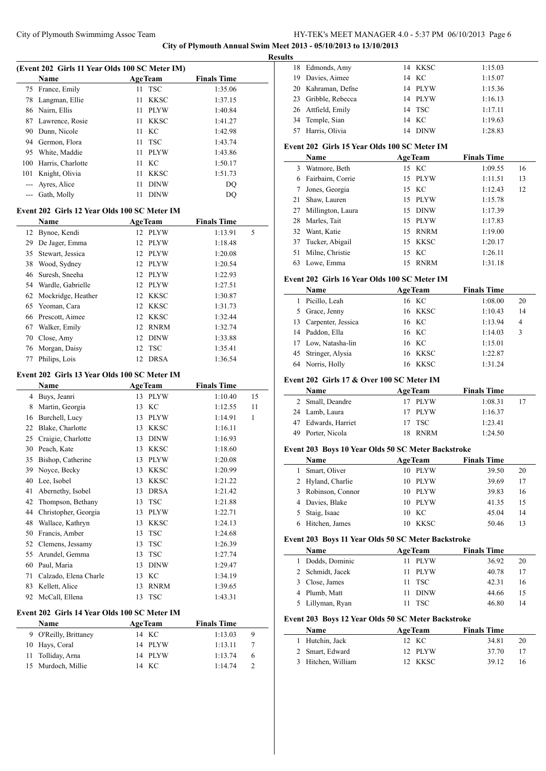**City of Plymouth Annual Swim Meet 2013 - 05/10/2013 to 13/10/2013 Results**

 $\overline{a}$ 

 $\overline{a}$ 

 $\overline{\phantom{a}}$ 

|      | (Event 202 Girls 11 Year Olds 100 SC Meter IM) |                   |                    |    |
|------|------------------------------------------------|-------------------|--------------------|----|
|      | Name                                           | <b>AgeTeam</b>    | <b>Finals Time</b> |    |
| 75   | France, Emily                                  | <b>TSC</b><br>11  | 1:35.06            |    |
| 78   | Langman, Ellie                                 | 11<br>KKSC        | 1:37.15            |    |
| 86   | Nairn, Ellis                                   | <b>PLYW</b><br>11 | 1:40.84            |    |
| 87   | Lawrence, Rosie                                | 11<br>KKSC        | 1:41.27            |    |
| 90   | Dunn, Nicole                                   | KC<br>11          | 1:42.98            |    |
| 94   | Germon, Flora                                  | <b>TSC</b><br>11  | 1:43.74            |    |
| 95   | White, Maddie                                  | <b>PLYW</b><br>11 | 1:43.86            |    |
| 100  | Harris, Charlotte                              | 11<br>KC          | 1:50.17            |    |
| 101  | Knight, Olivia                                 | 11<br><b>KKSC</b> | 1:51.73            |    |
| $--$ | Ayres, Alice                                   | 11<br><b>DINW</b> | DQ                 |    |
| ---  | Gath, Molly                                    | 11<br><b>DINW</b> | DQ                 |    |
|      |                                                |                   |                    |    |
|      | Event 202 Girls 12 Year Olds 100 SC Meter IM   |                   |                    |    |
|      | Name                                           | <b>AgeTeam</b>    | <b>Finals Time</b> |    |
| 12   | Bynoe, Kendi                                   | <b>PLYW</b><br>12 | 1:13.91            | 5  |
| 29   | De Jager, Emma                                 | 12<br><b>PLYW</b> | 1:18.48            |    |
| 35   | Stewart, Jessica                               | <b>PLYW</b><br>12 | 1:20.08            |    |
| 38   | Wood, Sydney                                   | 12<br><b>PLYW</b> | 1:20.54            |    |
| 46   | Suresh, Sneeha                                 | 12<br><b>PLYW</b> | 1:22.93            |    |
| 54   | Wardle, Gabrielle                              | 12<br><b>PLYW</b> | 1:27.51            |    |
| 62   | Mockridge, Heather                             | 12<br><b>KKSC</b> | 1:30.87            |    |
| 65   | Yeoman, Cara                                   | 12<br><b>KKSC</b> | 1:31.73            |    |
| 66   | Prescott, Aimee                                | 12<br><b>KKSC</b> | 1:32.44            |    |
| 67   | Walker, Emily                                  | 12<br><b>RNRM</b> | 1:32.74            |    |
| 70   | Close, Amy                                     | 12<br><b>DINW</b> | 1:33.88            |    |
| 76   | Morgan, Daisy                                  | 12<br>TSC         | 1:35.41            |    |
| 77   | Philips, Lois                                  | 12<br><b>DRSA</b> | 1:36.54            |    |
|      | Event 202 Girls 13 Year Olds 100 SC Meter IM   |                   |                    |    |
|      | Name                                           | <b>AgeTeam</b>    | <b>Finals Time</b> |    |
| 4    | Buys, Jeanri                                   | <b>PLYW</b><br>13 | 1:10.40            | 15 |
| 8    | Martin, Georgia                                | KC<br>13          | 1:12.55            | 11 |
| 16   | Burchell, Lucy                                 | 13<br><b>PLYW</b> | 1:14.91            | 1  |
| 22   |                                                | 13                |                    |    |
| 25   | Blake, Charlotte                               | <b>KKSC</b>       | 1:16.11            |    |
| 30   | Craigie, Charlotte<br>Peach, Kate              | 13<br><b>DINW</b> | 1:16.93            |    |
|      |                                                | 13<br><b>KKSC</b> | 1:18.60            |    |
| 35   | Bishop, Catherine                              | 13<br><b>PLYW</b> | 1:20.08            |    |
|      | 39 Noyce, Becky                                | 13 KKSC           | 1:20.99            |    |
|      | 40 Lee, Isobel                                 | KKSC<br>13        | 1:21.22            |    |
| 41   | Abernethy, Isobel                              | 13<br><b>DRSA</b> | 1:21.42            |    |
| 42   | Thompson, Bethany                              | <b>TSC</b><br>13  | 1:21.88            |    |
| 44   | Christopher, Georgia                           | <b>PLYW</b><br>13 | 1:22.71            |    |
| 48   | Wallace, Kathryn                               | 13<br><b>KKSC</b> | 1:24.13            |    |
| 50   | Francis, Amber                                 | 13<br><b>TSC</b>  | 1:24.68            |    |
| 52   | Clemens, Jessamy                               | <b>TSC</b><br>13  | 1:26.39            |    |
| 55   | Arundel, Gemma                                 | <b>TSC</b><br>13  | 1:27.74            |    |
| 60   | Paul, Maria                                    | 13<br><b>DINW</b> | 1:29.47            |    |
| 71   | Calzado, Elena Charle                          | KC<br>13          | 1:34.19            |    |
| 83   | Kellett, Alice                                 | <b>RNRM</b><br>13 | 1:39.65            |    |
| 92   | McCall, Ellena                                 | <b>TSC</b><br>13  | 1:43.31            |    |
|      | Event 202 Girls 14 Year Olds 100 SC Meter IM   |                   |                    |    |
|      | Name                                           | <b>AgeTeam</b>    | <b>Finals Time</b> |    |
| 9    | O'Reilly, Brittaney                            | 14 KC             | 1:13.03            | 9  |
|      | 10 Hays, Coral                                 | 14 PLYW           | 1:13.11            | 7  |
|      |                                                |                   |                    |    |

 Tolliday, Arna 14 PLYW 1:13.74 6 Murdoch, Millie 14 KC 1:14.74 2

| ιs |                     |   |         |         |
|----|---------------------|---|---------|---------|
|    | 18 Edmonds, Amy     |   | 14 KKSC | 1:15.03 |
|    | 19 Davies, Aimee    |   | 14 KC   | 1:15.07 |
|    | 20 Kahraman, Defne  |   | 14 PLYW | 1:15.36 |
|    | 23 Gribble, Rebecca |   | 14 PLYW | 1:16.13 |
|    | 26 Attfield, Emily  |   | 14 TSC  | 1:17.11 |
|    | 34 Temple, Sian     |   | 14 KC   | 1:19.63 |
|    | 57 Harris, Olivia   |   | 14 DINW | 1:28.83 |
|    |                     | . |         |         |

# **Event 202 Girls 15 Year Olds 100 SC Meter IM**

|    | Name                 | <b>AgeTeam</b> | <b>Finals Time</b> |    |
|----|----------------------|----------------|--------------------|----|
| 3  | Watmore, Beth        | 15 KC          | 1:09.55            | 16 |
| 6. | Fairbairn, Corrie    | 15 PLYW        | 1:11.51            | 13 |
|    | Jones, Georgia       | 15 KC          | 1:12.43            | 12 |
| 21 | Shaw, Lauren         | 15 PLYW        | 1:15.78            |    |
|    | 27 Millington, Laura | 15 DINW        | 1:17.39            |    |
|    | 28 Marles, Tait      | 15 PLYW        | 1:17.83            |    |
|    | 32 Want, Katie       | 15 RNRM        | 1:19.00            |    |
|    | 37 Tucker, Abigail   | 15 KKSC        | 1:20.17            |    |
|    | 51 Milne, Christie   | 15 KC          | 1:26.11            |    |
| 63 | Lowe, Emma           | 15 RNRM        | 1:31.18            |    |

# **Event 202 Girls 16 Year Olds 100 SC Meter IM**

|    | Name                | <b>AgeTeam</b> | <b>Finals Time</b> |    |
|----|---------------------|----------------|--------------------|----|
| 1  | Picillo, Leah       | 16 KC          | 1:08.00            | 20 |
|    | 5 Grace, Jenny      | 16 KKSC        | 1:10.43            | 14 |
| 13 | Carpenter, Jessica  | 16 KC          | 1:13.94            | 4  |
|    | 14 Paddon, Ella     | 16 KC          | 1:14.03            | 3  |
|    | 17 Low, Natasha-lin | 16 KC          | 1:15.01            |    |
|    | 45 Stringer, Alysia | <b>16 KKSC</b> | 1:22.87            |    |
|    | Norris, Holly       | <b>16 KKSC</b> | 1:31.24            |    |

### **Event 202 Girls 17 & Over 100 SC Meter IM**

| Name                | <b>AgeTeam</b> | <b>Finals Time</b> |    |
|---------------------|----------------|--------------------|----|
| 2 Small, Deandre    | 17 PLYW        | 1:08.31            | 17 |
| 24 Lamb, Laura      | 17 PLYW        | 1:16.37            |    |
| 47 Edwards, Harriet | 17 TSC         | 1:23.41            |    |
| 49 Porter, Nicola   | 18 RNRM        | 1:24.50            |    |

# **Event 203 Boys 10 Year Olds 50 SC Meter Backstroke**

| <b>Name</b>        | <b>AgeTeam</b> | <b>Finals Time</b> |    |
|--------------------|----------------|--------------------|----|
| Smart, Oliver      | 10 PLYW        | 39.50              | 20 |
| 2 Hyland, Charlie  | 10 PLYW        | 39.69              | 17 |
| 3 Robinson, Connor | 10 PLYW        | 39.83              | 16 |
| 4 Davies, Blake    | 10 PLYW        | 41.35              | 15 |
| 5 Staig, Isaac     | 10 KC          | 45.04              | 14 |
| Hitchen, James     | <b>KKSC</b>    | 50.46              | 13 |

#### **Event 203 Boys 11 Year Olds 50 SC Meter Backstroke**

| Name             | <b>AgeTeam</b> | <b>Finals Time</b> |    |
|------------------|----------------|--------------------|----|
| 1 Dodds, Dominic | - PLYW<br>11.  | 36.92              | 20 |
| 2 Schmidt, Jacek | - PLYW<br>11   | 40.78              | 17 |
| 3 Close, James   | $11$ TSC       | 42.31              | 16 |
| 4 Plumb, Matt    | <b>DINW</b>    | 44.66              | 15 |
| 5 Lillyman, Ryan | - TSC          | 46.80              | 14 |

# **Event 203 Boys 12 Year Olds 50 SC Meter Backstroke**

| <b>Name</b>        | <b>AgeTeam</b> | <b>Finals Time</b> |  |
|--------------------|----------------|--------------------|--|
| 1 Hutchin, Jack    | 12 KC          | 34.81<br>20        |  |
| 2 Smart, Edward    | 12 PLYW        | 37.70<br>17        |  |
| 3 Hitchen, William | 12 KKSC        | 39.12<br>16        |  |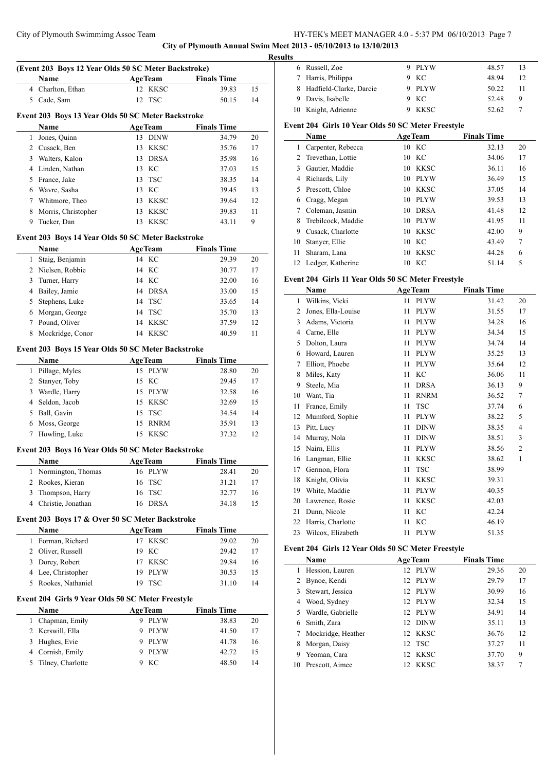**City of Plymouth Annual Swim Meet 2013 - 05/10/2013 to 13/10/2013**

 $\overline{\phantom{a}}$ 

 $\overline{a}$ 

|              | (Event 203 Boys 12 Year Olds 50 SC Meter Backstroke) |                   |                    |    |
|--------------|------------------------------------------------------|-------------------|--------------------|----|
|              | Name                                                 | <b>AgeTeam</b>    | <b>Finals Time</b> |    |
|              | 4 Charlton, Ethan                                    | <b>KKSC</b><br>12 | 39.83              | 15 |
|              | 5 Cade, Sam                                          | 12<br><b>TSC</b>  | 50.15              | 14 |
|              | Event 203 Boys 13 Year Olds 50 SC Meter Backstroke   |                   |                    |    |
|              | Name                                                 | <b>AgeTeam</b>    | <b>Finals Time</b> |    |
| $\mathbf{1}$ | Jones, Quinn                                         | 13 DINW           | 34.79              | 20 |
|              | 2 Cusack, Ben                                        | 13<br><b>KKSC</b> | 35.76              | 17 |
| 3            | Walters, Kalon                                       | 13<br><b>DRSA</b> | 35.98              | 16 |
|              | 4 Linden, Nathan                                     | KC<br>13          | 37.03              | 15 |
| 5            | France, Jake                                         | <b>TSC</b><br>13  | 38.35              | 14 |
| 6            | Wavre, Sasha                                         | KC<br>13          | 39.45              | 13 |
| 7            | Whitmore, Theo                                       | <b>KKSC</b><br>13 | 39.64              | 12 |
|              |                                                      | <b>KKSC</b>       |                    |    |
| 8            | Morris, Christopher                                  | 13                | 39.83              | 11 |
| 9            | Tucker, Dan                                          | <b>KKSC</b><br>13 | 43.11              | 9  |
|              | Event 203 Boys 14 Year Olds 50 SC Meter Backstroke   |                   |                    |    |
|              | Name                                                 | <b>AgeTeam</b>    | <b>Finals Time</b> |    |
| 1            | Staig, Benjamin                                      | 14 KC             | 29.39              | 20 |
|              | 2 Nielsen, Robbie                                    | 14 KC             | 30.77              | 17 |
| 3            | Turner, Harry                                        | 14 KC             | 32.00              | 16 |
| 4            | Bailey, Jamie                                        | <b>DRSA</b><br>14 | 33.00              | 15 |
| 5            | Stephens, Luke                                       | <b>TSC</b><br>14  | 33.65              | 14 |
| 6            | Morgan, George                                       | <b>TSC</b><br>14  | 35.70              | 13 |
| 7            | Pound, Oliver                                        | <b>KKSC</b><br>14 | 37.59              | 12 |
| 8            | Mockridge, Conor                                     | 14 KKSC           | 40.59              | 11 |
|              | Event 203 Boys 15 Year Olds 50 SC Meter Backstroke   |                   |                    |    |
|              | Name                                                 | <b>AgeTeam</b>    | <b>Finals Time</b> |    |
| 1            | Pillage, Myles                                       | 15<br><b>PLYW</b> | 28.80              | 20 |
|              | 2 Stanyer, Toby                                      | 15<br>KC          | 29.45              | 17 |
| 3            | Wardle, Harry                                        | 15<br><b>PLYW</b> | 32.58              | 16 |
|              | 4 Seldon, Jacob                                      | 15<br><b>KKSC</b> | 32.69              | 15 |
|              |                                                      |                   |                    |    |
| 5            | Ball, Gavin                                          | 15<br><b>TSC</b>  | 34.54              | 14 |
|              | 6 Moss, George                                       | 15<br><b>RNRM</b> | 35.91              | 13 |
| 7            | Howling, Luke                                        | 15<br><b>KKSC</b> | 37.32              | 12 |
|              | Event 203 Boys 16 Year Olds 50 SC Meter Backstroke   |                   |                    |    |
|              | Name                                                 | <b>AgeTeam</b>    | <b>Finals Time</b> |    |
| 1            | Normington, Thomas                                   | 16 PLYW           | 28.41              | 20 |
| 2            | Rookes, Kieran                                       | <b>TSC</b><br>16  | 31.21              | 17 |
| 3            | Thompson, Harry                                      | <b>TSC</b><br>16  | 32.77              | 16 |
| 4            | Christie, Jonathan                                   | <b>DRSA</b><br>16 | 34.18              | 15 |
|              | Event 203 Boys 17 & Over 50 SC Meter Backstroke      |                   |                    |    |
|              | Name                                                 | <b>AgeTeam</b>    | <b>Finals Time</b> |    |
| 1            | Forman, Richard                                      | 17 KKSC           | 29.02              | 20 |
|              | 2 Oliver, Russell                                    | KC<br>19          | 29.42              | 17 |
|              | 3 Dorey, Robert                                      | <b>KKSC</b><br>17 | 29.84              | 16 |
|              | 4 Lee, Christopher                                   | 19<br><b>PLYW</b> | 30.53              | 15 |
| 5            | Rookes, Nathaniel                                    | 19<br><b>TSC</b>  | 31.10              | 14 |
|              | Event 204 Girls 9 Year Olds 50 SC Meter Freestyle    |                   |                    |    |
|              | Name                                                 | <b>AgeTeam</b>    | <b>Finals Time</b> |    |
| $\mathbf{1}$ | Chapman, Emily                                       | <b>PLYW</b><br>9. | 38.83              | 20 |
|              | 2 Kerswill, Ella                                     | <b>PLYW</b><br>9  | 41.50              | 17 |
| 3            | Hughes, Evie                                         | 9<br><b>PLYW</b>  | 41.78              | 16 |
|              |                                                      |                   |                    |    |
| 4            | Cornish, Emily                                       | 9<br><b>PLYW</b>  | 42.72              | 15 |
| 5            | Tilney, Charlotte                                    | KC<br>9           | 48.50              | 14 |
|              |                                                      |                   |                    |    |

| <b>Results</b> |                           |        |       |    |
|----------------|---------------------------|--------|-------|----|
|                | 6 Russell, Zoe            | 9 PLYW | 48.57 | 13 |
|                | 7 Harris, Philippa        | 9 KC   | 48.94 | 12 |
|                | 8 Hadfield-Clarke, Darcie | 9 PLYW | 50.22 | 11 |
|                | 9 Davis, Isabelle         | 9 KC   | 52.48 | 9  |
|                | 10 Knight, Adrienne       | KKSC   | 52.62 |    |

# **Event 204 Girls 10 Year Olds 50 SC Meter Freestyle**

|    | Name                 | <b>AgeTeam</b> |             | <b>Finals Time</b> |       |    |
|----|----------------------|----------------|-------------|--------------------|-------|----|
| 1  | Carpenter, Rebecca   | - KC<br>10     |             |                    | 32.13 | 20 |
|    | Trevethan, Lottie    | - KC<br>10     |             |                    | 34.06 | 17 |
| 3  | Gautier, Maddie      | 10             | KKSC        |                    | 36.11 | 16 |
| 4  | Richards, Lily       | 10             | <b>PLYW</b> |                    | 36.49 | 15 |
| 5  | Prescott, Chloe      | 10             | KKSC        |                    | 37.05 | 14 |
| 6  | Cragg, Megan         | 10             | <b>PLYW</b> |                    | 39.53 | 13 |
|    | Coleman, Jasmin      | 10             | <b>DRSA</b> |                    | 41.48 | 12 |
| 8  | Trebilcock, Maddie   | 10             | <b>PLYW</b> |                    | 41.95 | 11 |
| 9  | Cusack, Charlotte    | 10             | KKSC        |                    | 42.00 | 9  |
| 10 | Stanyer, Ellie       | - KC<br>10     |             |                    | 43.49 | 7  |
| 11 | Sharam, Lana         | 10             | <b>KKSC</b> |                    | 44.28 | 6  |
|    | 12 Ledger, Katherine | KС<br>10       |             |                    | 51.14 | 5  |

# **Event 204 Girls 11 Year Olds 50 SC Meter Freestyle**

|    | Name               |    | <b>AgeTeam</b> | <b>Finals Time</b> |                |
|----|--------------------|----|----------------|--------------------|----------------|
| 1  | Wilkins, Vicki     | 11 | <b>PLYW</b>    | 31.42              | 20             |
| 2  | Jones, Ella-Louise | 11 | <b>PLYW</b>    | 31.55              | 17             |
| 3  | Adams, Victoria    | 11 | <b>PLYW</b>    | 34.28              | 16             |
| 4  | Carne, Elle        | 11 | <b>PLYW</b>    | 34.34              | 15             |
| 5  | Dolton, Laura      | 11 | <b>PLYW</b>    | 34.74              | 14             |
| 6  | Howard, Lauren     | 11 | <b>PLYW</b>    | 35.25              | 13             |
| 7  | Elliott, Phoebe    | 11 | <b>PLYW</b>    | 35.64              | 12             |
| 8  | Miles, Katy        | 11 | KC             | 36.06              | 11             |
| 9  | Steele, Mia        | 11 | <b>DRSA</b>    | 36.13              | 9              |
| 10 | Want, Tia          | 11 | <b>RNRM</b>    | 36.52              | 7              |
| 11 | France, Emily      | 11 | <b>TSC</b>     | 37.74              | 6              |
| 12 | Mumford, Sophie    | 11 | <b>PLYW</b>    | 38.22              | 5              |
| 13 | Pitt, Lucy         | 11 | <b>DINW</b>    | 38.35              | 4              |
| 14 | Murray, Nola       | 11 | <b>DINW</b>    | 38.51              | 3              |
| 15 | Nairn, Ellis       | 11 | <b>PLYW</b>    | 38.56              | $\overline{c}$ |
| 16 | Langman, Ellie     | 11 | <b>KKSC</b>    | 38.62              | 1              |
| 17 | Germon, Flora      | 11 | <b>TSC</b>     | 38.99              |                |
| 18 | Knight, Olivia     | 11 | <b>KKSC</b>    | 39.31              |                |
| 19 | White, Maddie      | 11 | <b>PLYW</b>    | 40.35              |                |
| 20 | Lawrence, Rosie    | 11 | <b>KKSC</b>    | 42.03              |                |
| 21 | Dunn, Nicole       | 11 | KC             | 42.24              |                |
| 22 | Harris, Charlotte  | 11 | KC             | 46.19              |                |
| 23 | Wilcox, Elizabeth  | 11 | <b>PLYW</b>    | 51.35              |                |

# **Event 204 Girls 12 Year Olds 50 SC Meter Freestyle**

|    | <b>Name</b>        |                 | <b>AgeTeam</b> | <b>Finals Time</b> |    |
|----|--------------------|-----------------|----------------|--------------------|----|
| L  | Hession, Lauren    |                 | 12 PLYW        | 29.36              | 20 |
|    | Bynoe, Kendi       |                 | 12 PLYW        | 29.79              | 17 |
| 3  | Stewart, Jessica   |                 | 12 PLYW        | 30.99              | 16 |
| 4  | Wood, Sydney       |                 | 12 PLYW        | 32.34              | 15 |
| 5  | Wardle, Gabrielle  |                 | 12 PLYW        | 34.91              | 14 |
| 6  | Smith, Zara        |                 | 12 DINW        | 35.11              | 13 |
| 7  | Mockridge, Heather |                 | 12 KKSC        | 36.76              | 12 |
| 8  | Morgan, Daisy      |                 | 12 TSC         | 37.27              | 11 |
| 9  | Yeoman, Cara       | 12 <sup>1</sup> | <b>KKSC</b>    | 37.70              | 9  |
| 10 | Prescott. Aimee    |                 | 12 KKSC        | 38.37              | 7  |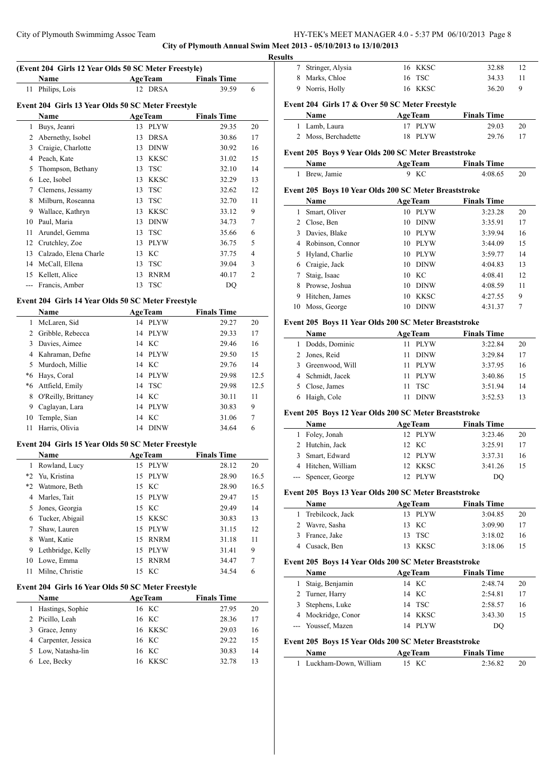**City of Plymouth Annual Swim Meet 2013 - 05/10/2013 to 13/10/2013**

 $\overline{a}$ 

 $\overline{\phantom{a}}$ 

L,

# **(Event 204 Girls 12 Year Olds 50 SC Meter Freestyle)**

**Name Age Team Finals Time** 

| 11 Philips, Lois | 12 DRSA                                            | 39.59 |  |
|------------------|----------------------------------------------------|-------|--|
|                  | Event 204 Girls 13 Year Olds 50 SC Meter Freestyle |       |  |

|       | vent 204 This Is Ieal Olus 30 SC Metel Preestyle |    |                |                    |                |  |  |  |
|-------|--------------------------------------------------|----|----------------|--------------------|----------------|--|--|--|
|       | Name                                             |    | <b>AgeTeam</b> | <b>Finals Time</b> |                |  |  |  |
| 1     | Buys, Jeanri                                     | 13 | <b>PLYW</b>    | 29.35              | 20             |  |  |  |
| 2     | Abernethy, Isobel                                | 13 | <b>DRSA</b>    | 30.86              | 17             |  |  |  |
| 3     | Craigie, Charlotte                               | 13 | <b>DINW</b>    | 30.92              | 16             |  |  |  |
| 4     | Peach, Kate                                      | 13 | <b>KKSC</b>    | 31.02              | 15             |  |  |  |
| 5     | Thompson, Bethany                                | 13 | <b>TSC</b>     | 32.10              | 14             |  |  |  |
| 6     | Lee, Isobel                                      | 13 | <b>KKSC</b>    | 32.29              | 13             |  |  |  |
| 7     | Clemens, Jessamy                                 | 13 | <b>TSC</b>     | 32.62              | 12             |  |  |  |
| 8     | Milburn, Roseanna                                | 13 | <b>TSC</b>     | 32.70              | 11             |  |  |  |
| 9     | Wallace, Kathryn                                 | 13 | <b>KKSC</b>    | 33.12              | 9              |  |  |  |
| 10    | Paul, Maria                                      | 13 | <b>DINW</b>    | 34.73              | $\overline{7}$ |  |  |  |
| 11    | Arundel, Gemma                                   | 13 | TSC            | 35.66              | 6              |  |  |  |
| 12    | Crutchley, Zoe                                   | 13 | <b>PLYW</b>    | 36.75              | 5              |  |  |  |
| 13    | Calzado, Elena Charle                            | 13 | KС             | 37.75              | 4              |  |  |  |
| 14    | McCall, Ellena                                   | 13 | <b>TSC</b>     | 39.04              | 3              |  |  |  |
| 15    | Kellett, Alice                                   | 13 | <b>RNRM</b>    | 40.17              | $\overline{c}$ |  |  |  |
| $---$ | Francis, Amber                                   | 13 | <b>TSC</b>     | DO                 |                |  |  |  |

# **Event 204 Girls 14 Year Olds 50 SC Meter Freestyle**

| 29.27<br>20                                                                            |
|----------------------------------------------------------------------------------------|
|                                                                                        |
| 17                                                                                     |
| 16                                                                                     |
| 15                                                                                     |
| 14                                                                                     |
| 12.5                                                                                   |
| 12.5                                                                                   |
| 11                                                                                     |
| 9                                                                                      |
| 7                                                                                      |
| 6                                                                                      |
| 29.33<br>29.46<br>29.50<br>29.76<br>29.98<br>29.98<br>30.11<br>30.83<br>31.06<br>34.64 |

#### **Event 204 Girls 15 Year Olds 50 SC Meter Freestyle**

| <b>Name</b> |                   |    | <b>AgeTeam</b> | <b>Finals Time</b> |      |
|-------------|-------------------|----|----------------|--------------------|------|
| 1           | Rowland, Lucy     | 15 | <b>PLYW</b>    | 28.12              | 20   |
| $*2$        | Yu, Kristina      | 15 | PLYW           | 28.90              | 16.5 |
| $*2$        | Watmore, Beth     |    | 15 KC          | 28.90              | 16.5 |
| 4           | Marles, Tait      | 15 | <b>PLYW</b>    | 29.47              | 15   |
| 5           | Jones, Georgia    |    | 15 KC          | 29.49              | 14   |
| 6           | Tucker, Abigail   | 15 | KKSC           | 30.83              | 13   |
| 7           | Shaw, Lauren      | 15 | <b>PLYW</b>    | 31.15              | 12   |
| 8           | Want, Katie       | 15 | <b>RNRM</b>    | 31.18              | 11   |
| 9           | Lethbridge, Kelly | 15 | PLYW           | 31.41              | 9    |
| 10          | Lowe, Emma        | 15 | <b>RNRM</b>    | 34.47              | 7    |
| 11          | Milne, Christie   |    | 15 KC          | 34.54              | 6    |

#### **Event 204 Girls 16 Year Olds 50 SC Meter Freestyle**

| <b>Name</b>          | <b>AgeTeam</b> | <b>Finals Time</b> |    |
|----------------------|----------------|--------------------|----|
| Hastings, Sophie     | 16 KC          | 27.95              | 20 |
| 2 Picillo, Leah      | 16 KC          | 28.36              | 17 |
| 3 Grace, Jenny       | 16 KKSC        | 29.03              | 16 |
| 4 Carpenter, Jessica | 16 KC          | 29.22              | 15 |
| 5 Low, Natasha-lin   | 16 KC          | 30.83              | 14 |
| Lee, Becky           | 16 KKSC        | 32.78              | 13 |

| <b>Results</b> |                    |         |       |    |
|----------------|--------------------|---------|-------|----|
|                | 7 Stringer, Alysia | 16 KKSC | 32.88 | 12 |
|                | 8 Marks, Chloe     | 16 TSC  | 34.33 | 11 |
|                | 9 Norris, Holly    | 16 KKSC | 36.20 | 9  |

# **Event 204 Girls 17 & Over 50 SC Meter Freestyle**

| Name                | <b>AgeTeam</b> | <b>Finals Time</b> |  |
|---------------------|----------------|--------------------|--|
| 1 Lamb, Laura       | 17 PLYW        | 29.03<br>20        |  |
| 2 Moss, Berchadette | 18 PLYW        | 29.76<br>-17       |  |

# **Event 205 Boys 9 Year Olds 200 SC Meter Breaststroke**

| Name          | <b>AgeTeam</b> | <b>Finals Time</b> |  |
|---------------|----------------|--------------------|--|
| 1 Brew, Jamie | 9 KC           | 4:08.65            |  |

# **Event 205 Boys 10 Year Olds 200 SC Meter Breaststroke**

| Name |                    |    | <b>AgeTeam</b> | <b>Finals Time</b> |    |
|------|--------------------|----|----------------|--------------------|----|
|      | Smart, Oliver      | 10 | <b>PLYW</b>    | 3:23.28            | 20 |
| 2    | Close, Ben         | 10 | <b>DINW</b>    | 3:35.91            | 17 |
| 3    | Davies, Blake      | 10 | <b>PLYW</b>    | 3:39.94            | 16 |
|      | 4 Robinson, Connor | 10 | <b>PLYW</b>    | 3:44.09            | 15 |
|      | 5 Hyland, Charlie  | 10 | <b>PLYW</b>    | 3:59.77            | 14 |
| 6    | Craigie, Jack      | 10 | <b>DINW</b>    | 4:04.83            | 13 |
|      | Staig, Isaac       | 10 | - KC           | 4:08.41            | 12 |
| 8    | Prowse, Joshua     | 10 | <b>DINW</b>    | 4:08.59            | 11 |
| 9    | Hitchen, James     | 10 | <b>KKSC</b>    | 4:27.55            | 9  |
| 10   | Moss, George       | 10 | <b>DINW</b>    | 4:31.37            | 7  |

# **Event 205 Boys 11 Year Olds 200 SC Meter Breaststroke**

| <b>Name</b>       | <b>AgeTeam</b>     | <b>Finals Time</b> |    |
|-------------------|--------------------|--------------------|----|
| 1 Dodds, Dominic  | <b>PLYW</b><br>11  | 3:22.84            | 20 |
| 2 Jones, Reid     | <b>DINW</b><br>11. | 3:29.84            | 17 |
| 3 Greenwood, Will | 11 PLYW            | 3:37.95            | 16 |
| 4 Schmidt, Jacek  | PLYW<br>11.        | 3:40.86            | 15 |
| 5 Close, James    | 11 TSC             | 3:51.94            | 14 |
| Haigh, Cole       | <b>DINW</b>        | 3:52.53            | 13 |

### **Event 205 Boys 12 Year Olds 200 SC Meter Breaststroke**

| <b>Name</b>         | <b>AgeTeam</b> | <b>Finals Time</b> |
|---------------------|----------------|--------------------|
| 1 Foley, Jonah      | 12 PLYW        | 3:23.46<br>20      |
| 2 Hutchin, Jack     | 12 KC          | 3:25.91<br>17      |
| 3 Smart, Edward     | 12 PLYW        | 3:37.31<br>16      |
| 4 Hitchen, William  | 12 KKSC        | 3:41.26<br>15      |
| --- Spencer, George | 12 PLYW        | DO                 |

#### **Event 205 Boys 13 Year Olds 200 SC Meter Breaststroke**

| <b>Name</b>        | <b>AgeTeam</b> | <b>Finals Time</b> |    |
|--------------------|----------------|--------------------|----|
| 1 Trebilcock, Jack | 13 PLYW        | 3:04.85<br>20      |    |
| 2 Wavre, Sasha     | 13 KC          | 3:09.90<br>17      |    |
| 3 France, Jake     | 13 TSC         | 3:18.02            | 16 |
| 4 Cusack, Ben      | 13 KKSC        | 3:18.06<br>15      |    |

# **Event 205 Boys 14 Year Olds 200 SC Meter Breaststroke**

|                                        | Name               |  | <b>AgeTeam</b> | <b>Finals Time</b> |    |
|----------------------------------------|--------------------|--|----------------|--------------------|----|
|                                        | 1 Staig, Benjamin  |  | 14 KC          | 2:48.74            | 20 |
|                                        | 2 Turner, Harry    |  | 14 KC          | 2:54.81            | 17 |
|                                        | 3 Stephens, Luke   |  | 14 TSC         | 2:58.57            | 16 |
|                                        | 4 Mockridge, Conor |  | 14 KKSC        | 3:43.30            | 15 |
|                                        | --- Youssef, Mazen |  | 14 PLYW        | DO                 |    |
| $71005$ D $1537011.200000$ M $$ D $11$ |                    |  |                |                    |    |

#### **Event 205 Boys 15 Year Olds 200 SC Meter Breaststroke Name Age Team Finals Time**

| ганне                 | Арс геаш | гшать типе |  |
|-----------------------|----------|------------|--|
| Luckham-Down, William | 15 KC    | 2:36.82    |  |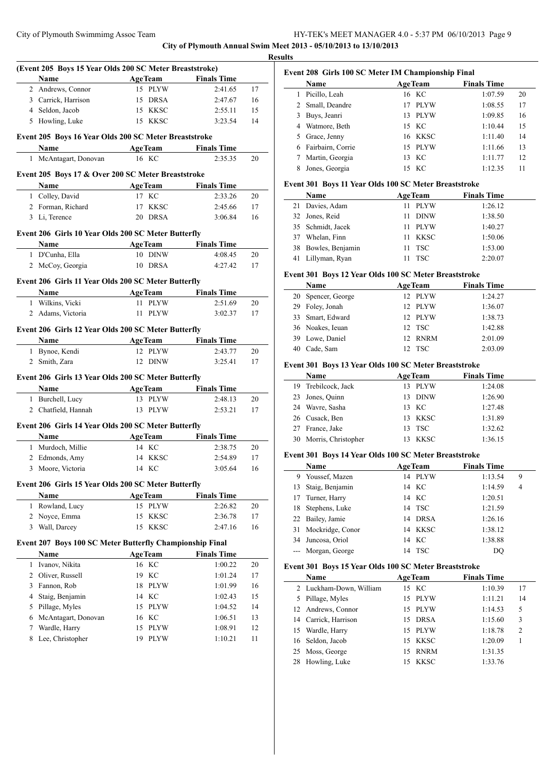**City of Plymouth Annual Swim Meet 2013 - 05/10/2013 to 13/10/2013**

|                                     |                                                                                                                                                                                                                                                                                                                                                                                                                                                                                                                          |                                                                                                                                                                                                                                                                                                                    | 17                                                                                                                                                                                                                                                                                                                                                                                                                                                                                                                                                                                                                                                                                                                                                                                                                                                                                                                                                                                                                                                                                                                                                      |
|-------------------------------------|--------------------------------------------------------------------------------------------------------------------------------------------------------------------------------------------------------------------------------------------------------------------------------------------------------------------------------------------------------------------------------------------------------------------------------------------------------------------------------------------------------------------------|--------------------------------------------------------------------------------------------------------------------------------------------------------------------------------------------------------------------------------------------------------------------------------------------------------------------|---------------------------------------------------------------------------------------------------------------------------------------------------------------------------------------------------------------------------------------------------------------------------------------------------------------------------------------------------------------------------------------------------------------------------------------------------------------------------------------------------------------------------------------------------------------------------------------------------------------------------------------------------------------------------------------------------------------------------------------------------------------------------------------------------------------------------------------------------------------------------------------------------------------------------------------------------------------------------------------------------------------------------------------------------------------------------------------------------------------------------------------------------------|
|                                     |                                                                                                                                                                                                                                                                                                                                                                                                                                                                                                                          |                                                                                                                                                                                                                                                                                                                    | 16                                                                                                                                                                                                                                                                                                                                                                                                                                                                                                                                                                                                                                                                                                                                                                                                                                                                                                                                                                                                                                                                                                                                                      |
|                                     |                                                                                                                                                                                                                                                                                                                                                                                                                                                                                                                          |                                                                                                                                                                                                                                                                                                                    | 15                                                                                                                                                                                                                                                                                                                                                                                                                                                                                                                                                                                                                                                                                                                                                                                                                                                                                                                                                                                                                                                                                                                                                      |
|                                     |                                                                                                                                                                                                                                                                                                                                                                                                                                                                                                                          |                                                                                                                                                                                                                                                                                                                    | 14                                                                                                                                                                                                                                                                                                                                                                                                                                                                                                                                                                                                                                                                                                                                                                                                                                                                                                                                                                                                                                                                                                                                                      |
|                                     |                                                                                                                                                                                                                                                                                                                                                                                                                                                                                                                          |                                                                                                                                                                                                                                                                                                                    |                                                                                                                                                                                                                                                                                                                                                                                                                                                                                                                                                                                                                                                                                                                                                                                                                                                                                                                                                                                                                                                                                                                                                         |
| Name                                |                                                                                                                                                                                                                                                                                                                                                                                                                                                                                                                          | <b>Finals Time</b>                                                                                                                                                                                                                                                                                                 |                                                                                                                                                                                                                                                                                                                                                                                                                                                                                                                                                                                                                                                                                                                                                                                                                                                                                                                                                                                                                                                                                                                                                         |
| $\mathbf{1}$<br>McAntagart, Donovan | 16 KC                                                                                                                                                                                                                                                                                                                                                                                                                                                                                                                    | 2:35.35                                                                                                                                                                                                                                                                                                            | 20                                                                                                                                                                                                                                                                                                                                                                                                                                                                                                                                                                                                                                                                                                                                                                                                                                                                                                                                                                                                                                                                                                                                                      |
|                                     |                                                                                                                                                                                                                                                                                                                                                                                                                                                                                                                          |                                                                                                                                                                                                                                                                                                                    |                                                                                                                                                                                                                                                                                                                                                                                                                                                                                                                                                                                                                                                                                                                                                                                                                                                                                                                                                                                                                                                                                                                                                         |
| Name                                |                                                                                                                                                                                                                                                                                                                                                                                                                                                                                                                          |                                                                                                                                                                                                                                                                                                                    |                                                                                                                                                                                                                                                                                                                                                                                                                                                                                                                                                                                                                                                                                                                                                                                                                                                                                                                                                                                                                                                                                                                                                         |
| 1 Colley, David                     | 17 KC                                                                                                                                                                                                                                                                                                                                                                                                                                                                                                                    | 2:33.26                                                                                                                                                                                                                                                                                                            | 20                                                                                                                                                                                                                                                                                                                                                                                                                                                                                                                                                                                                                                                                                                                                                                                                                                                                                                                                                                                                                                                                                                                                                      |
| 2 Forman, Richard                   | 17 KKSC                                                                                                                                                                                                                                                                                                                                                                                                                                                                                                                  | 2:45.66                                                                                                                                                                                                                                                                                                            | 17                                                                                                                                                                                                                                                                                                                                                                                                                                                                                                                                                                                                                                                                                                                                                                                                                                                                                                                                                                                                                                                                                                                                                      |
| 3 Li, Terence                       | 20 DRSA                                                                                                                                                                                                                                                                                                                                                                                                                                                                                                                  | 3:06.84                                                                                                                                                                                                                                                                                                            | 16                                                                                                                                                                                                                                                                                                                                                                                                                                                                                                                                                                                                                                                                                                                                                                                                                                                                                                                                                                                                                                                                                                                                                      |
|                                     |                                                                                                                                                                                                                                                                                                                                                                                                                                                                                                                          |                                                                                                                                                                                                                                                                                                                    |                                                                                                                                                                                                                                                                                                                                                                                                                                                                                                                                                                                                                                                                                                                                                                                                                                                                                                                                                                                                                                                                                                                                                         |
|                                     |                                                                                                                                                                                                                                                                                                                                                                                                                                                                                                                          |                                                                                                                                                                                                                                                                                                                    |                                                                                                                                                                                                                                                                                                                                                                                                                                                                                                                                                                                                                                                                                                                                                                                                                                                                                                                                                                                                                                                                                                                                                         |
|                                     | 10 DINW                                                                                                                                                                                                                                                                                                                                                                                                                                                                                                                  |                                                                                                                                                                                                                                                                                                                    | 20                                                                                                                                                                                                                                                                                                                                                                                                                                                                                                                                                                                                                                                                                                                                                                                                                                                                                                                                                                                                                                                                                                                                                      |
|                                     | 10 DRSA                                                                                                                                                                                                                                                                                                                                                                                                                                                                                                                  | 4:27.42                                                                                                                                                                                                                                                                                                            | 17                                                                                                                                                                                                                                                                                                                                                                                                                                                                                                                                                                                                                                                                                                                                                                                                                                                                                                                                                                                                                                                                                                                                                      |
|                                     |                                                                                                                                                                                                                                                                                                                                                                                                                                                                                                                          |                                                                                                                                                                                                                                                                                                                    |                                                                                                                                                                                                                                                                                                                                                                                                                                                                                                                                                                                                                                                                                                                                                                                                                                                                                                                                                                                                                                                                                                                                                         |
|                                     |                                                                                                                                                                                                                                                                                                                                                                                                                                                                                                                          |                                                                                                                                                                                                                                                                                                                    |                                                                                                                                                                                                                                                                                                                                                                                                                                                                                                                                                                                                                                                                                                                                                                                                                                                                                                                                                                                                                                                                                                                                                         |
|                                     |                                                                                                                                                                                                                                                                                                                                                                                                                                                                                                                          |                                                                                                                                                                                                                                                                                                                    |                                                                                                                                                                                                                                                                                                                                                                                                                                                                                                                                                                                                                                                                                                                                                                                                                                                                                                                                                                                                                                                                                                                                                         |
|                                     |                                                                                                                                                                                                                                                                                                                                                                                                                                                                                                                          |                                                                                                                                                                                                                                                                                                                    | 20<br>17                                                                                                                                                                                                                                                                                                                                                                                                                                                                                                                                                                                                                                                                                                                                                                                                                                                                                                                                                                                                                                                                                                                                                |
|                                     |                                                                                                                                                                                                                                                                                                                                                                                                                                                                                                                          |                                                                                                                                                                                                                                                                                                                    |                                                                                                                                                                                                                                                                                                                                                                                                                                                                                                                                                                                                                                                                                                                                                                                                                                                                                                                                                                                                                                                                                                                                                         |
|                                     |                                                                                                                                                                                                                                                                                                                                                                                                                                                                                                                          |                                                                                                                                                                                                                                                                                                                    |                                                                                                                                                                                                                                                                                                                                                                                                                                                                                                                                                                                                                                                                                                                                                                                                                                                                                                                                                                                                                                                                                                                                                         |
|                                     |                                                                                                                                                                                                                                                                                                                                                                                                                                                                                                                          |                                                                                                                                                                                                                                                                                                                    |                                                                                                                                                                                                                                                                                                                                                                                                                                                                                                                                                                                                                                                                                                                                                                                                                                                                                                                                                                                                                                                                                                                                                         |
|                                     |                                                                                                                                                                                                                                                                                                                                                                                                                                                                                                                          |                                                                                                                                                                                                                                                                                                                    | 20                                                                                                                                                                                                                                                                                                                                                                                                                                                                                                                                                                                                                                                                                                                                                                                                                                                                                                                                                                                                                                                                                                                                                      |
|                                     |                                                                                                                                                                                                                                                                                                                                                                                                                                                                                                                          |                                                                                                                                                                                                                                                                                                                    | 17                                                                                                                                                                                                                                                                                                                                                                                                                                                                                                                                                                                                                                                                                                                                                                                                                                                                                                                                                                                                                                                                                                                                                      |
|                                     |                                                                                                                                                                                                                                                                                                                                                                                                                                                                                                                          |                                                                                                                                                                                                                                                                                                                    |                                                                                                                                                                                                                                                                                                                                                                                                                                                                                                                                                                                                                                                                                                                                                                                                                                                                                                                                                                                                                                                                                                                                                         |
| Name                                | <b>AgeTeam</b>                                                                                                                                                                                                                                                                                                                                                                                                                                                                                                           | <b>Finals Time</b>                                                                                                                                                                                                                                                                                                 |                                                                                                                                                                                                                                                                                                                                                                                                                                                                                                                                                                                                                                                                                                                                                                                                                                                                                                                                                                                                                                                                                                                                                         |
| 1 Burchell, Lucy                    | 13 PLYW                                                                                                                                                                                                                                                                                                                                                                                                                                                                                                                  | 2:48.13                                                                                                                                                                                                                                                                                                            | 20                                                                                                                                                                                                                                                                                                                                                                                                                                                                                                                                                                                                                                                                                                                                                                                                                                                                                                                                                                                                                                                                                                                                                      |
| 2 Chatfield, Hannah                 | 13 PLYW                                                                                                                                                                                                                                                                                                                                                                                                                                                                                                                  | 2:53.21                                                                                                                                                                                                                                                                                                            | 17                                                                                                                                                                                                                                                                                                                                                                                                                                                                                                                                                                                                                                                                                                                                                                                                                                                                                                                                                                                                                                                                                                                                                      |
|                                     |                                                                                                                                                                                                                                                                                                                                                                                                                                                                                                                          |                                                                                                                                                                                                                                                                                                                    |                                                                                                                                                                                                                                                                                                                                                                                                                                                                                                                                                                                                                                                                                                                                                                                                                                                                                                                                                                                                                                                                                                                                                         |
|                                     |                                                                                                                                                                                                                                                                                                                                                                                                                                                                                                                          |                                                                                                                                                                                                                                                                                                                    |                                                                                                                                                                                                                                                                                                                                                                                                                                                                                                                                                                                                                                                                                                                                                                                                                                                                                                                                                                                                                                                                                                                                                         |
|                                     |                                                                                                                                                                                                                                                                                                                                                                                                                                                                                                                          |                                                                                                                                                                                                                                                                                                                    | 20                                                                                                                                                                                                                                                                                                                                                                                                                                                                                                                                                                                                                                                                                                                                                                                                                                                                                                                                                                                                                                                                                                                                                      |
|                                     |                                                                                                                                                                                                                                                                                                                                                                                                                                                                                                                          |                                                                                                                                                                                                                                                                                                                    | 17                                                                                                                                                                                                                                                                                                                                                                                                                                                                                                                                                                                                                                                                                                                                                                                                                                                                                                                                                                                                                                                                                                                                                      |
|                                     | 14 KC                                                                                                                                                                                                                                                                                                                                                                                                                                                                                                                    |                                                                                                                                                                                                                                                                                                                    | 16                                                                                                                                                                                                                                                                                                                                                                                                                                                                                                                                                                                                                                                                                                                                                                                                                                                                                                                                                                                                                                                                                                                                                      |
|                                     |                                                                                                                                                                                                                                                                                                                                                                                                                                                                                                                          |                                                                                                                                                                                                                                                                                                                    |                                                                                                                                                                                                                                                                                                                                                                                                                                                                                                                                                                                                                                                                                                                                                                                                                                                                                                                                                                                                                                                                                                                                                         |
|                                     |                                                                                                                                                                                                                                                                                                                                                                                                                                                                                                                          |                                                                                                                                                                                                                                                                                                                    |                                                                                                                                                                                                                                                                                                                                                                                                                                                                                                                                                                                                                                                                                                                                                                                                                                                                                                                                                                                                                                                                                                                                                         |
| $\mathbf{1}$                        |                                                                                                                                                                                                                                                                                                                                                                                                                                                                                                                          |                                                                                                                                                                                                                                                                                                                    |                                                                                                                                                                                                                                                                                                                                                                                                                                                                                                                                                                                                                                                                                                                                                                                                                                                                                                                                                                                                                                                                                                                                                         |
|                                     |                                                                                                                                                                                                                                                                                                                                                                                                                                                                                                                          |                                                                                                                                                                                                                                                                                                                    | 20<br>17                                                                                                                                                                                                                                                                                                                                                                                                                                                                                                                                                                                                                                                                                                                                                                                                                                                                                                                                                                                                                                                                                                                                                |
|                                     |                                                                                                                                                                                                                                                                                                                                                                                                                                                                                                                          |                                                                                                                                                                                                                                                                                                                    | 16                                                                                                                                                                                                                                                                                                                                                                                                                                                                                                                                                                                                                                                                                                                                                                                                                                                                                                                                                                                                                                                                                                                                                      |
|                                     |                                                                                                                                                                                                                                                                                                                                                                                                                                                                                                                          |                                                                                                                                                                                                                                                                                                                    |                                                                                                                                                                                                                                                                                                                                                                                                                                                                                                                                                                                                                                                                                                                                                                                                                                                                                                                                                                                                                                                                                                                                                         |
|                                     |                                                                                                                                                                                                                                                                                                                                                                                                                                                                                                                          |                                                                                                                                                                                                                                                                                                                    |                                                                                                                                                                                                                                                                                                                                                                                                                                                                                                                                                                                                                                                                                                                                                                                                                                                                                                                                                                                                                                                                                                                                                         |
| Name                                |                                                                                                                                                                                                                                                                                                                                                                                                                                                                                                                          |                                                                                                                                                                                                                                                                                                                    |                                                                                                                                                                                                                                                                                                                                                                                                                                                                                                                                                                                                                                                                                                                                                                                                                                                                                                                                                                                                                                                                                                                                                         |
| 1                                   |                                                                                                                                                                                                                                                                                                                                                                                                                                                                                                                          |                                                                                                                                                                                                                                                                                                                    | 20                                                                                                                                                                                                                                                                                                                                                                                                                                                                                                                                                                                                                                                                                                                                                                                                                                                                                                                                                                                                                                                                                                                                                      |
|                                     |                                                                                                                                                                                                                                                                                                                                                                                                                                                                                                                          |                                                                                                                                                                                                                                                                                                                    | 17                                                                                                                                                                                                                                                                                                                                                                                                                                                                                                                                                                                                                                                                                                                                                                                                                                                                                                                                                                                                                                                                                                                                                      |
|                                     |                                                                                                                                                                                                                                                                                                                                                                                                                                                                                                                          |                                                                                                                                                                                                                                                                                                                    | 16                                                                                                                                                                                                                                                                                                                                                                                                                                                                                                                                                                                                                                                                                                                                                                                                                                                                                                                                                                                                                                                                                                                                                      |
| $\overline{4}$                      |                                                                                                                                                                                                                                                                                                                                                                                                                                                                                                                          |                                                                                                                                                                                                                                                                                                                    | 15                                                                                                                                                                                                                                                                                                                                                                                                                                                                                                                                                                                                                                                                                                                                                                                                                                                                                                                                                                                                                                                                                                                                                      |
|                                     |                                                                                                                                                                                                                                                                                                                                                                                                                                                                                                                          |                                                                                                                                                                                                                                                                                                                    | 14                                                                                                                                                                                                                                                                                                                                                                                                                                                                                                                                                                                                                                                                                                                                                                                                                                                                                                                                                                                                                                                                                                                                                      |
|                                     |                                                                                                                                                                                                                                                                                                                                                                                                                                                                                                                          |                                                                                                                                                                                                                                                                                                                    | 13                                                                                                                                                                                                                                                                                                                                                                                                                                                                                                                                                                                                                                                                                                                                                                                                                                                                                                                                                                                                                                                                                                                                                      |
|                                     |                                                                                                                                                                                                                                                                                                                                                                                                                                                                                                                          |                                                                                                                                                                                                                                                                                                                    | 12                                                                                                                                                                                                                                                                                                                                                                                                                                                                                                                                                                                                                                                                                                                                                                                                                                                                                                                                                                                                                                                                                                                                                      |
|                                     |                                                                                                                                                                                                                                                                                                                                                                                                                                                                                                                          |                                                                                                                                                                                                                                                                                                                    | 11                                                                                                                                                                                                                                                                                                                                                                                                                                                                                                                                                                                                                                                                                                                                                                                                                                                                                                                                                                                                                                                                                                                                                      |
| $\overline{2}$                      | Name<br>2 Andrews, Connor<br>3 Carrick, Harrison<br>4 Seldon, Jacob<br>5 Howling, Luke<br>Name<br>1 D'Cunha, Ella<br>2 McCoy, Georgia<br>Name<br>1 Wilkins, Vicki<br>2 Adams, Victoria<br>Name<br>1 Bynoe, Kendi<br>2 Smith, Zara<br>Name<br>1 Murdoch, Millie<br>2 Edmonds, Amy<br>Moore, Victoria<br>Name<br>Rowland, Lucy<br>2 Noyce, Emma<br>3 Wall, Darcey<br>Ivanov, Nikita<br>Oliver, Russell<br>Fannon, Rob<br>Staig, Benjamin<br>5 Pillage, Myles<br>6 McAntagart, Donovan<br>Wardle, Harry<br>Lee, Christopher | <u> 1980 - Johann Barbara, martxa a</u><br>15 PLYW<br>15 DRSA<br>15 KKSC<br>15 KKSC<br>11 PLYW<br>11 PLYW<br>12 PLYW<br>12 DINW<br>14 KC<br>14 KKSC<br><b>AgeTeam</b><br>15 PLYW<br>15 KKSC<br><b>KKSC</b><br>15<br><b>AgeTeam</b><br>16 KC<br>19 KC<br>18 PLYW<br>14 KC<br>15 PLYW<br>16 KC<br>15 PLYW<br>19 PLYW | (Event 205 Boys 15 Year Olds 200 SC Meter Breaststroke)<br>AgeTeam Finals Time<br>2:41.65<br>2:47.67<br>2:55.11<br>3:23.54<br>Event 205 Boys 16 Year Olds 200 SC Meter Breaststroke<br><b>Example 2018 Age Team</b><br>Event 205 Boys 17 & Over 200 SC Meter Breaststroke<br><b>Example 2 Age Team</b> Finals Time<br>Event 206 Girls 10 Year Olds 200 SC Meter Butterfly<br><b>Example 2 Age Team</b> Finals Time<br>4:08.45<br>Event 206 Girls 11 Year Olds 200 SC Meter Butterfly<br><b>Example 2 AgeTeam</b> Finals Time<br>2:51.69<br>3:02.37<br>Event 206 Girls 12 Year Olds 200 SC Meter Butterfly<br><b>Example 2 Age Team</b> Finals Time<br>2:43.77<br>3:25.41<br>Event 206 Girls 13 Year Olds 200 SC Meter Butterfly<br>Event 206 Girls 14 Year Olds 200 SC Meter Butterfly<br><b>Finals Time</b><br><b>AgeTeam</b><br>2:38.75<br>2:54.89<br>3:05.64<br>Event 206 Girls 15 Year Olds 200 SC Meter Butterfly<br><b>Finals Time</b><br>2:26.82<br>2:36.78<br>2:47.16<br>Event 207 Boys 100 SC Meter Butterfly Championship Final<br><b>Finals Time</b><br>1:00.22<br>1:01.24<br>1:01.99<br>1:02.43<br>1:04.52<br>1:06.51<br>1:08.91<br>1:10.21 |

# **Event 208 Girls 100 SC Meter IM Championship Final**

|    | Name              | <b>AgeTeam</b> | <b>Finals Time</b> |    |
|----|-------------------|----------------|--------------------|----|
|    | Picillo, Leah     | 16 KC          | 1:07.59            | 20 |
|    | 2 Small, Deandre  | <b>PLYW</b>    | 1:08.55            | 17 |
| 3  | Buys, Jeanri      | PLYW<br>13.    | 1:09.85            | 16 |
| 4  | Watmore, Beth     | 15 KC          | 1:10.44            | 15 |
| 5. | Grace, Jenny      | 16 KKSC        | 1:11.40            | 14 |
| 6  | Fairbairn, Corrie | 15 PLYW        | 1:11.66            | 13 |
|    | Martin, Georgia   | 13 KC          | 1:11.77            | 12 |
|    | Jones, Georgia    | 15 KC          | 1:12.35            | 11 |

#### **Event 301 Boys 11 Year Olds 100 SC Meter Breaststroke**

| <b>Name</b>         | <b>AgeTeam</b> | <b>Finals Time</b> |  |
|---------------------|----------------|--------------------|--|
| 21 Davies, Adam     | PLYW<br>11.    | 1:26.12            |  |
| 32 Jones, Reid      | DINW<br>11     | 1:38.50            |  |
| 35 Schmidt, Jacek   | PLYW<br>11     | 1:40.27            |  |
| 37 Whelan, Finn     | 11 KKSC        | 1:50.06            |  |
| 38 Bowles, Benjamin | 11 TSC         | 1:53.00            |  |
| 41 Lillyman, Ryan   | - TSC          | 2:20.07            |  |

#### **Event 301 Boys 12 Year Olds 100 SC Meter Breaststroke**

|    | Name               | <b>AgeTeam</b> | <b>Finals Time</b> |
|----|--------------------|----------------|--------------------|
|    | 20 Spencer, George | 12 PLYW        | 1:24.27            |
|    | 29 Foley, Jonah    | 12 PLYW        | 1:36.07            |
|    | 33 Smart, Edward   | 12 PLYW        | 1:38.73            |
|    | 36 Noakes, Ieuan   | 12 TSC         | 1:42.88            |
|    | 39 Lowe, Daniel    | 12 RNRM        | 2:01.09            |
| 40 | Cade, Sam          | 12 TSC         | 2:03.09            |

#### **Event 301 Boys 13 Year Olds 100 SC Meter Breaststroke**

| <b>Name</b>            |     | <b>AgeTeam</b> | <b>Finals Time</b> |
|------------------------|-----|----------------|--------------------|
| 19 Trebilcock, Jack    | 13  | PLYW           | 1:24.08            |
| 23 Jones, Quinn        |     | 13 DINW        | 1:26.90            |
| 24 Wavre, Sasha        |     | 13 KC          | 1:27.48            |
| 26 Cusack, Ben         |     | 13 KKSC        | 1:31.89            |
| 27 France, Jake        |     | 13 TSC         | 1:32.62            |
| 30 Morris, Christopher | 13. | KKSC           | 1:36.15            |

# **Event 301 Boys 14 Year Olds 100 SC Meter Breaststroke**

| <b>Name</b>         | <b>AgeTeam</b> | <b>Finals Time</b> |                |
|---------------------|----------------|--------------------|----------------|
| 9 Youssef, Mazen    | 14 PLYW        | 1:13.54            | 9              |
| 13 Staig, Benjamin  | 14 KC          | 1:14.59            | $\overline{4}$ |
| 17 Turner, Harry    | 14 KC          | 1:20.51            |                |
| 18 Stephens, Luke   | 14 TSC         | 1:21.59            |                |
| 22 Bailey, Jamie    | 14 DRSA        | 1:26.16            |                |
| 31 Mockridge, Conor | 14 KKSC        | 1:38.12            |                |
| 34 Juncosa, Oriol   | 14 KC          | 1:38.88            |                |
| --- Morgan, George  | 14 TSC         | DO                 |                |

### **Event 301 Boys 15 Year Olds 100 SC Meter Breaststroke**

| $\blacksquare$ |                         |                   |                    |                |  |  |
|----------------|-------------------------|-------------------|--------------------|----------------|--|--|
|                | <b>Name</b>             | <b>AgeTeam</b>    | <b>Finals Time</b> |                |  |  |
|                | 2 Luckham-Down, William | 15 KC             | 1:10.39            | 17             |  |  |
|                | 5 Pillage, Myles        | 15 PLYW           | 1:11.21            | 14             |  |  |
|                | 12 Andrews, Connor      | 15 PLYW           | 1:14.53            | 5              |  |  |
|                | 14 Carrick, Harrison    | 15 DRSA           | 1:15.60            | 3              |  |  |
|                | 15 Wardle, Harry        | 15 PLYW           | 1:18.78            | $\overline{2}$ |  |  |
|                | 16 Seldon, Jacob        | 15 KKSC           | 1:20.09            |                |  |  |
|                | 25 Moss, George         | <b>RNRM</b><br>15 | 1:31.35            |                |  |  |
|                | 28 Howling, Luke        | 15 KKSC           | 1:33.76            |                |  |  |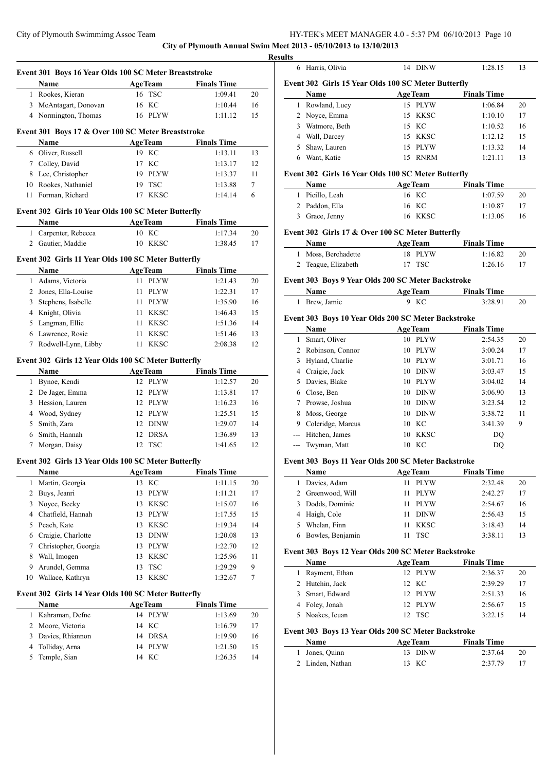**Event 301 Boys 16 Year Olds 100 SC Meter Breaststroke**

**City of Plymouth Annual Swim Meet 2013 - 05/10/2013 to 13/10/2013**

 $\overline{\phantom{a}}$ 

|                | Name                                                | <b>AgeTeam</b>      | <b>Finals Time</b> |    |
|----------------|-----------------------------------------------------|---------------------|--------------------|----|
| 1              | Rookes, Kieran                                      | 16 TSC              | 1:09.41            | 20 |
| 3              | McAntagart, Donovan                                 | 16 KC               | 1:10.44            | 16 |
|                | 4 Normington, Thomas                                | 16 PLYW             | 1:11.12            | 15 |
|                | Event 301 Boys 17 & Over 100 SC Meter Breaststroke  |                     |                    |    |
|                | Name                                                | <b>AgeTeam</b>      | <b>Finals Time</b> |    |
|                | 6 Oliver, Russell                                   | 19 KC               | 1:13.11            | 13 |
|                | 7 Colley, David                                     | 17 KC               | 1:13.17            | 12 |
| 8              | Lee, Christopher                                    | 19 PLYW             | 1:13.37            | 11 |
| 10             | Rookes, Nathaniel                                   | 19 TSC              | 1:13.88            | 7  |
| 11             | Forman, Richard                                     | 17 KKSC             | 1:14.14            | 6  |
|                |                                                     |                     |                    |    |
|                | Event 302 Girls 10 Year Olds 100 SC Meter Butterfly |                     |                    |    |
|                | Name                                                | <b>AgeTeam</b>      | <b>Finals Time</b> |    |
|                | 1 Carpenter, Rebecca                                | 10 KC               | 1:17.34            | 20 |
|                | 2 Gautier, Maddie                                   | 10 KKSC             | 1:38.45            | 17 |
|                | Event 302 Girls 11 Year Olds 100 SC Meter Butterfly |                     |                    |    |
|                | Name                                                | <b>AgeTeam</b>      | <b>Finals Time</b> |    |
| $\mathbf{1}$   | Adams, Victoria                                     | <b>PLYW</b><br>11 - | 1:21.43            | 20 |
|                | 2 Jones, Ella-Louise                                | <b>PLYW</b><br>11 - | 1:22.31            | 17 |
| 3              | Stephens, Isabelle                                  | 11 PLYW             | 1:35.90            | 16 |
|                | 4 Knight, Olivia                                    | 11 -<br><b>KKSC</b> | 1:46.43            | 15 |
| 5              | Langman, Ellie                                      | <b>KKSC</b><br>11 - | 1:51.36            | 14 |
| 6              | Lawrence, Rosie                                     | 11<br><b>KKSC</b>   | 1:51.46            | 13 |
| 7              | Rodwell-Lynn, Libby                                 | 11<br><b>KKSC</b>   | 2:08.38            | 12 |
|                |                                                     |                     |                    |    |
|                | Event 302 Girls 12 Year Olds 100 SC Meter Butterfly |                     |                    |    |
|                | Name                                                | <b>AgeTeam</b>      | <b>Finals Time</b> |    |
| 1              | Bynoe, Kendi                                        | 12 PLYW             | 1:12.57            | 20 |
|                | 2 De Jager, Emma                                    | 12 PLYW             | 1:13.81            | 17 |
| 3              | Hession, Lauren                                     | 12 PLYW             | 1:16.23            | 16 |
|                | 4 Wood, Sydney                                      | 12 PLYW             | 1:25.51            | 15 |
| 5              | Smith, Zara                                         | 12 DINW             | 1:29.07            | 14 |
| 6              | Smith, Hannah                                       | 12 DRSA             | 1:36.89            | 13 |
| 7              | Morgan, Daisy                                       | <b>TSC</b><br>12    | 1:41.65            | 12 |
|                | Event 302 Girls 13 Year Olds 100 SC Meter Butterfly |                     |                    |    |
|                | Name                                                | <b>AgeTeam</b>      | <b>Finals Time</b> |    |
| 1              | Martin, Georgia                                     | 13 KC               | 1:11.15            | 20 |
| $\overline{c}$ | Buys, Jeanri                                        | 13 PLYW             | 1:11.21            | 17 |
| 3              | Noyce, Becky                                        | 13 KKSC             | 1:15.07            | 16 |
|                | 4 Chatfield, Hannah                                 | <b>PLYW</b><br>13   | 1:17.55            | 15 |
| 5              | Peach, Kate                                         | 13 KKSC             | 1:19.34            | 14 |
|                | 6 Craigie, Charlotte                                | 13 DINW             | 1:20.08            | 13 |
| 7              | Christopher, Georgia                                | <b>PLYW</b><br>13   | 1:22.70            | 12 |
| 8              | Wall, Imogen                                        | 13<br><b>KKSC</b>   | 1:25.96            | 11 |
| 9              | Arundel, Gemma                                      | <b>TSC</b><br>13    | 1:29.29            | 9  |
| 10             | Wallace, Kathryn                                    | 13<br><b>KKSC</b>   | 1:32.67            | 7  |
|                | Event 302 Girls 14 Year Olds 100 SC Meter Butterfly |                     |                    |    |
|                | Name                                                | <b>AgeTeam</b>      | <b>Finals Time</b> |    |
| 1              | Kahraman, Defne                                     | <b>PLYW</b><br>14   | 1:13.69            | 20 |
| 2              | Moore, Victoria                                     | KC<br>14            | 1:16.79            | 17 |
| 3              | Davies, Rhiannon                                    | <b>DRSA</b><br>14   | 1:19.90            | 16 |
| 4              | Tolliday, Arna                                      | <b>PLYW</b><br>14   | 1:21.50            | 15 |
| 5              | Temple, Sian                                        | KC<br>14            | 1:26.35            | 14 |
|                |                                                     |                     |                    |    |
|                |                                                     |                     |                    |    |

| <b>Results</b> |                                                     |                |                    |    |
|----------------|-----------------------------------------------------|----------------|--------------------|----|
|                | 6 Harris, Olivia                                    | 14 DINW        | 1:28.15            | 13 |
|                | Event 302 Girls 15 Year Olds 100 SC Meter Butterfly |                |                    |    |
|                | <b>Name</b>                                         | <b>AgeTeam</b> | <b>Finals Time</b> |    |
| 1.             | Rowland, Lucy                                       | 15 PLYW        | 1:06.84            | 20 |
|                | 2 Noyce, Emma                                       | 15 KKSC        | 1:10.10            | 17 |
| 3              | Watmore, Beth                                       | 15 KC          | 1:10.52            | 16 |
|                | 4 Wall, Darcey                                      | 15 KKSC        | 1:12.12            | 15 |
| 5              | Shaw, Lauren                                        | 15 PLYW        | 1:13.32            | 14 |
| 6.             | Want, Katie                                         | 15 RNRM        | 1:21.11            | 13 |
|                | Event 302 Girls 16 Year Olds 100 SC Meter Butterfly |                |                    |    |
|                | Name                                                | <b>AgeTeam</b> | <b>Finals Time</b> |    |
|                | Picillo Leah                                        | 16 KC          | 1.07.59            | 20 |

| 3 Grace, Jenny  | 16 KKSC | 1:13.06 | 16 |
|-----------------|---------|---------|----|
| 2 Paddon, Ella  | 16 KC   | 1:10.87 |    |
| 1 Picillo, Leah | 16 KC   | 1:07.59 | 20 |

# **Event 302 Girls 17 & Over 100 SC Meter Butterfly**

| <b>Name</b>         | <b>AgeTeam</b> | <b>Finals Time</b> |    |
|---------------------|----------------|--------------------|----|
| 1 Moss, Berchadette | 18 PLYW        | 1:16.82            | 20 |
| 2 Teague, Elizabeth | 17 TSC         | 1:26.16            |    |

#### **Event 303 Boys 9 Year Olds 200 SC Meter Backstroke**

| Name          | <b>AgeTeam</b> | <b>Finals Time</b> |  |
|---------------|----------------|--------------------|--|
| 1 Brew, Jamie | 9 KC           | 3:28.91            |  |

# **Event 303 Boys 10 Year Olds 200 SC Meter Backstroke**

|   | Name              | <b>AgeTeam</b> |             | <b>Finals Time</b> |    |
|---|-------------------|----------------|-------------|--------------------|----|
| 1 | Smart, Oliver     | 10             | <b>PLYW</b> | 2:54.35            | 20 |
| 2 | Robinson, Connor  | 10             | <b>PLYW</b> | 3:00.24            | 17 |
| 3 | Hyland, Charlie   | 10             | <b>PLYW</b> | 3:01.71            | 16 |
| 4 | Craigie, Jack     | 10             | <b>DINW</b> | 3:03.47            | 15 |
| 5 | Davies, Blake     | 10             | <b>PLYW</b> | 3:04.02            | 14 |
| 6 | Close, Ben        | 10             | <b>DINW</b> | 3:06.90            | 13 |
| 7 | Prowse, Joshua    | 10             | <b>DINW</b> | 3:23.54            | 12 |
| 8 | Moss, George      | 10             | <b>DINW</b> | 3:38.72            | 11 |
| 9 | Coleridge, Marcus | 10             | - KC        | 3:41.39            | 9  |
|   | Hitchen, James    | 10             | <b>KKSC</b> | DO                 |    |
|   | Twyman, Matt      | 10             | КC          | DO                 |    |

# **Event 303 Boys 11 Year Olds 200 SC Meter Backstroke**

|   | Name              | <b>AgeTeam</b>    | <b>Finals Time</b> |    |
|---|-------------------|-------------------|--------------------|----|
|   | Davies, Adam      | PLYW<br>11        | 2:32.48            | 20 |
|   | 2 Greenwood, Will | PLYW<br>11        | 2:42.27            | 17 |
| 3 | Dodds, Dominic    | PLYW<br>11        | 2:54.67            | 16 |
| 4 | Haigh, Cole       | <b>DINW</b><br>11 | 2:56.43            | 15 |
|   | Whelan, Finn      | KKSC<br>11        | 3:18.43            | 14 |
|   | Bowles, Benjamin  | <b>TSC</b>        | 3:38.11            | 13 |

# **Event 303 Boys 12 Year Olds 200 SC Meter Backstroke**

| <b>Name</b>      | <b>AgeTeam</b> |         | <b>Finals Time</b> |    |
|------------------|----------------|---------|--------------------|----|
| 1 Rayment, Ethan |                | 12 PLYW | 2:36.37            | 20 |
| 2 Hutchin, Jack  |                | 12 KC   | 2:39.29            | 17 |
| 3 Smart, Edward  |                | 12 PLYW | 2:51.33            | 16 |
| 4 Foley, Jonah   |                | 12 PLYW | 2:56.67            | 15 |
| 5 Noakes, Ieuan  |                | 12. TSC | 3.2215             | 14 |

# **Event 303 Boys 13 Year Olds 200 SC Meter Backstroke**

| <b>Name</b>      | <b>AgeTeam</b> | <b>Finals Time</b> |    |
|------------------|----------------|--------------------|----|
| 1 Jones, Quinn   | 13 DINW        | 2:37.64            | 20 |
| 2 Linden, Nathan | 13 KC          | 2:37.79            |    |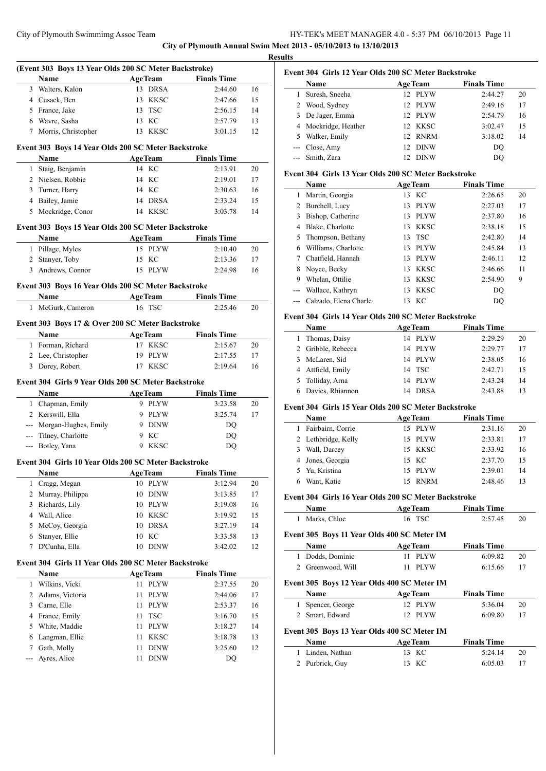**City of Plymouth Annual Swim Meet 2013 - 05/10/2013 to 13/10/2013**

**Results**

 $\overline{a}$ 

 $\overline{\phantom{a}}$ 

|                | (Event 303 Boys 13 Year Olds 200 SC Meter Backstroke)<br>Name | <b>AgeTeam</b>                   | <b>Finals Time</b> |          |
|----------------|---------------------------------------------------------------|----------------------------------|--------------------|----------|
| 3              | Walters, Kalon                                                | <b>DRSA</b><br>13                | 2:44.60            | 16       |
|                | 4 Cusack, Ben                                                 | KKSC<br>13                       | 2:47.66            | 15       |
|                | 5 France, Jake                                                | <b>TSC</b><br>13                 | 2:56.15            | 14       |
| 6              | Wavre, Sasha                                                  | KC<br>13                         | 2:57.79            | 13       |
| 7              | Morris, Christopher                                           | <b>KKSC</b><br>13                | 3:01.15            | 12       |
|                |                                                               |                                  |                    |          |
|                | Event 303 Boys 14 Year Olds 200 SC Meter Backstroke           |                                  |                    |          |
|                | Name                                                          | <b>AgeTeam</b>                   | <b>Finals Time</b> |          |
| 1              | Staig, Benjamin                                               | 14 KC                            | 2:13.91            | 20       |
| 2              | Nielsen, Robbie                                               | 14 KC                            | 2:19.01            | 17       |
| 3              | Turner, Harry                                                 | 14 KC                            | 2:30.63            | 16       |
| 4              | Bailey, Jamie                                                 | 14 DRSA                          | 2:33.24            | 15       |
|                | 5 Mockridge, Conor                                            | 14 KKSC                          | 3:03.78            | 14       |
|                | Event 303 Boys 15 Year Olds 200 SC Meter Backstroke           |                                  |                    |          |
|                | Name                                                          | <b>AgeTeam</b>                   | <b>Finals Time</b> |          |
| 1              | Pillage, Myles                                                | 15<br><b>PLYW</b>                | 2:10.40            | 20       |
| 2              | Stanyer, Toby                                                 | 15<br>KC                         | 2:13.36            | 17       |
|                | 3 Andrews, Connor                                             | <b>PLYW</b><br>15                | 2:24.98            | 16       |
|                | Event 303 Boys 16 Year Olds 200 SC Meter Backstroke           |                                  |                    |          |
|                | Name                                                          | <b>AgeTeam</b>                   | <b>Finals Time</b> |          |
| 1              | McGurk, Cameron                                               | TSC<br>16                        | 2:25.46            | 20       |
|                |                                                               |                                  |                    |          |
|                | Event 303 Boys 17 & Over 200 SC Meter Backstroke<br>Name      |                                  | <b>Finals Time</b> |          |
| 1              | Forman, Richard                                               | <b>AgeTeam</b><br>17 KKSC        | 2:15.67            | 20       |
| 2              | Lee, Christopher                                              | 19<br>PLYW                       | 2:17.55            | 17       |
|                | 3 Dorey, Robert                                               | 17 KKSC                          | 2:19.64            | 16       |
|                |                                                               |                                  |                    |          |
|                | Event 304 Girls 9 Year Olds 200 SC Meter Backstroke           |                                  |                    |          |
|                | Name                                                          | <b>AgeTeam</b>                   | <b>Finals Time</b> |          |
| 1              | Chapman, Emily                                                | 9 PLYW                           | 3:23.58            | 20       |
|                | 2 Kerswill, Ella                                              | 9 PLYW                           | 3:25.74            | 17       |
| $--$           | Morgan-Hughes, Emily                                          | 9 DINW                           | DQ                 |          |
| $ -$           | Tilney, Charlotte                                             | 9 KC                             | DQ                 |          |
| ---            | Botley, Yana                                                  | <b>KKSC</b><br>9                 | DO                 |          |
|                | Event 304 Girls 10 Year Olds 200 SC Meter Backstroke          |                                  |                    |          |
|                | Name                                                          | <b>AgeTeam</b>                   | <b>Finals Time</b> |          |
| 1              | Cragg, Megan                                                  | 10<br><b>PLYW</b>                | 3:12.94            | 20       |
| $\overline{c}$ | Murray, Philippa                                              | 10<br><b>DINW</b>                | 3:13.85            | 17       |
| 3              | Richards, Lily                                                | 10<br><b>PLYW</b>                | 3:19.08            | 16       |
| 4              | Wall, Alice                                                   | 10<br><b>KKSC</b>                | 3:19.92            | 15       |
| 5              | McCoy, Georgia                                                | <b>DRSA</b><br>10                | 3:27.19            | 14       |
| 6              | Stanyer, Ellie                                                | KC<br>10                         | 3:33.58            | 13       |
| 7              | D'Cunha, Ella                                                 | <b>DINW</b><br>10                | 3:42.02            | 12       |
|                | Event 304 Girls 11 Year Olds 200 SC Meter Backstroke          |                                  |                    |          |
|                | Name                                                          | <b>AgeTeam</b>                   | <b>Finals Time</b> |          |
| 1              | Wilkins, Vicki                                                | <b>PLYW</b><br>11                | 2:37.55            | 20       |
| 2              | Adams, Victoria                                               | 11<br><b>PLYW</b>                | 2:44.06            | 17       |
|                | Carne, Elle                                                   | 11<br><b>PLYW</b>                | 2:53.37            | 16       |
| 3              |                                                               |                                  |                    | 15       |
| 4              |                                                               | 11                               |                    |          |
| 5              | France, Emily                                                 | <b>TSC</b><br>11                 | 3:16.70<br>3:18.27 | 14       |
| 6              | White, Maddie                                                 | <b>PLYW</b><br><b>KKSC</b><br>11 |                    |          |
| 7              | Langman, Ellie                                                | 11                               | 3:18.78<br>3:25.60 | 13<br>12 |
| ---            | Gath, Molly<br>Ayres, Alice                                   | <b>DINW</b><br>11<br><b>DINW</b> | DQ                 |          |

# **Event 304 Girls 12 Year Olds 200 SC Meter Backstroke**

|    | Name                 | <b>AgeTeam</b>                 | <b>Finals Time</b> |    |
|----|----------------------|--------------------------------|--------------------|----|
|    | Suresh, Sneeha       | 12 PLYW                        | 2:44.27            | 20 |
|    | 2 Wood, Sydney       | 12 PLYW                        | 2:49.16            | 17 |
| 3. | De Jager, Emma       | <b>PLYW</b><br>$12^{\circ}$    | 2:54.79            | 16 |
|    | 4 Mockridge, Heather | 12 KKSC                        | 3:02.47            | 15 |
| 5. | Walker, Emily        | <b>RNRM</b><br>12 <sup>1</sup> | 3:18.02            | 14 |
|    | --- Close, Amy       | <b>DINW</b><br>12              | DO                 |    |
|    | --- Smith, Zara      | <b>DINW</b><br>12              | DO                 |    |

# **Event 304 Girls 13 Year Olds 200 SC Meter Backstroke**

|   | Name                  | <b>AgeTeam</b> |             | <b>Finals Time</b> |    |
|---|-----------------------|----------------|-------------|--------------------|----|
| 1 | Martin, Georgia       | 13             | KС          | 2:26.65            | 20 |
| 2 | Burchell, Lucy        | 13             | <b>PLYW</b> | 2:27.03            | 17 |
| 3 | Bishop, Catherine     | 13             | <b>PLYW</b> | 2:37.80            | 16 |
| 4 | Blake, Charlotte      | 13             | <b>KKSC</b> | 2:38.18            | 15 |
| 5 | Thompson, Bethany     | 13             | <b>TSC</b>  | 2:42.80            | 14 |
| 6 | Williams, Charlotte   | 13             | PLYW        | 2:45.84            | 13 |
| 7 | Chatfield, Hannah     | 13             | <b>PLYW</b> | 2:46.11            | 12 |
| 8 | Novce, Becky          | 13             | <b>KKSC</b> | 2:46.66            | 11 |
| 9 | Whelan, Ottilie       | 13             | <b>KKSC</b> | 2:54.90            | 9  |
|   | Wallace, Kathryn      | 13             | <b>KKSC</b> | DO                 |    |
|   | Calzado, Elena Charle | 13             | KС          | DO                 |    |
|   |                       |                |             |                    |    |

#### **Event 304 Girls 14 Year Olds 200 SC Meter Backstroke**

|    | <b>Name</b>        | <b>AgeTeam</b> | <b>Finals Time</b> |    |
|----|--------------------|----------------|--------------------|----|
|    | Thomas, Daisy      | 14 PLYW        | 2:29.29            | 20 |
|    | 2 Gribble, Rebecca | 14 PLYW        | 2:29.77            | 17 |
| 3. | McLaren, Sid       | 14 PLYW        | 2:38.05            | 16 |
|    | 4 Attfield, Emily  | 14 TSC         | 2:42.71            | 15 |
|    | 5 Tolliday, Arna   | 14 PLYW        | 2:43.24            | 14 |
|    | 6 Davies, Rhiannon | <b>DRSA</b>    | 2:43.88            | 13 |

# **Event 304 Girls 15 Year Olds 200 SC Meter Backstroke**

| <b>Name</b>         |    | <b>AgeTeam</b> | <b>Finals Time</b> |    |
|---------------------|----|----------------|--------------------|----|
| 1 Fairbairn, Corrie |    | 15 PLYW        | 2:31.16            | 20 |
| 2 Lethbridge, Kelly |    | 15 PLYW        | 2:33.81            | 17 |
| 3 Wall, Darcey      |    | 15 KKSC        | 2:33.92            | 16 |
| 4 Jones, Georgia    |    | 15 KC          | 2:37.70            | 15 |
| 5 Yu, Kristina      |    | 15 PLYW        | 2:39.01            | 14 |
| Want, Katie         | 15 | <b>RNRM</b>    | 2:48.46            | 13 |

# **Event 304 Girls 16 Year Olds 200 SC Meter Backstroke**

| <b>Name</b>    | <b>AgeTeam</b> | <b>Finals Time</b> |    |
|----------------|----------------|--------------------|----|
| 1 Marks, Chloe | 16 TSC         | 2:57.45            | 20 |

#### **Event 305 Boys 11 Year Olds 400 SC Meter IM**

| Name              | <b>AgeTeam</b> | <b>Finals Time</b> |    |
|-------------------|----------------|--------------------|----|
| 1 Dodds, Dominic  | 11 PLYW        | 6:09.82            | 20 |
| 2 Greenwood, Will | $11$ PLYW      | 6:15.66            |    |

# **Event 305 Boys 12 Year Olds 400 SC Meter IM**

| EVENT 505 BOVS 12 YEAR ORD 400 SC METER IM |                                             |                |                    |    |  |  |  |
|--------------------------------------------|---------------------------------------------|----------------|--------------------|----|--|--|--|
|                                            | Name                                        | <b>AgeTeam</b> | <b>Finals Time</b> |    |  |  |  |
|                                            | 1 Spencer, George                           | 12 PLYW        | 5:36.04            | 20 |  |  |  |
|                                            | 2 Smart, Edward                             | 12 PLYW        | 6:09.80            | 17 |  |  |  |
|                                            | Event 305 Boys 13 Year Olds 400 SC Meter IM |                |                    |    |  |  |  |
|                                            | Name                                        | <b>AgeTeam</b> | <b>Finals Time</b> |    |  |  |  |
|                                            | 1 Linden, Nathan                            | 13 KC          | 5:24.14            | 20 |  |  |  |
|                                            | 2 Purbrick, Guy                             | - KC<br>13     | 6:05.03            |    |  |  |  |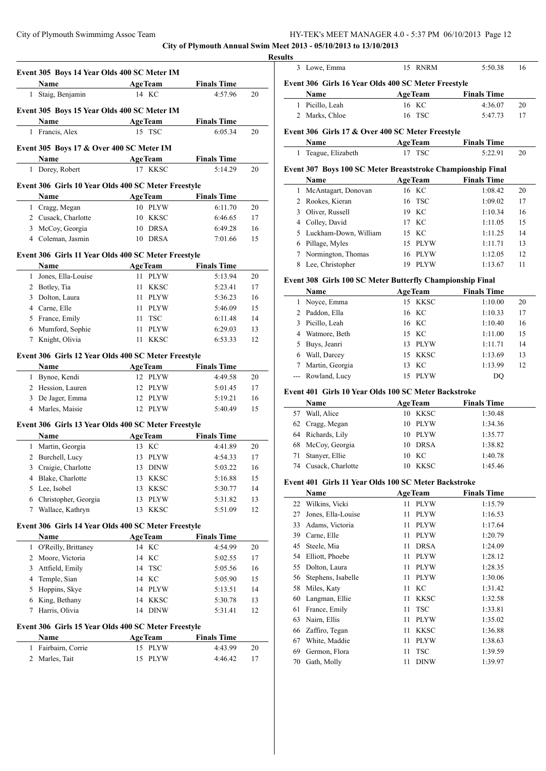**City of Plymouth Annual Swim Meet 2013 - 05/10/2013 to 13/10/2013**

|                   | Event 305 Boys 14 Year Olds 400 SC Meter IM         |                    |                               |                                        |
|-------------------|-----------------------------------------------------|--------------------|-------------------------------|----------------------------------------|
|                   | Name                                                | <b>AgeTeam</b>     | <b>Finals Time</b>            |                                        |
|                   | 1 Staig, Benjamin                                   | 14 KC              | 4:57.96                       | 20                                     |
|                   |                                                     |                    |                               |                                        |
|                   | Event 305 Boys 15 Year Olds 400 SC Meter IM         |                    |                               |                                        |
|                   | <b>Name</b>                                         | <b>AgeTeam</b>     | <b>Finals Time</b>            |                                        |
|                   | 1 Francis, Alex                                     | 15 TSC             | 6:05.34                       | 20                                     |
|                   | Event 305 Boys 17 & Over 400 SC Meter IM            |                    |                               |                                        |
|                   | <b>Name</b>                                         | <b>AgeTeam</b>     | <b>Finals Time</b>            |                                        |
|                   | 1 Dorey, Robert                                     | 17 KKSC            | 5:14.29                       | 20                                     |
|                   |                                                     |                    |                               |                                        |
|                   | Event 306 Girls 10 Year Olds 400 SC Meter Freestyle |                    |                               |                                        |
|                   | Name                                                | <b>AgeTeam</b>     | <b>Finals Time</b>            |                                        |
|                   | 1 Cragg, Megan                                      | 10 PLYW            | 6:11.70                       | 20                                     |
|                   | 2 Cusack, Charlotte                                 | 10 KKSC            | 6:46.65                       | 17                                     |
|                   | 3 McCoy, Georgia                                    | 10 DRSA            | 6:49.28                       | 16                                     |
|                   | 4 Coleman, Jasmin                                   | 10 DRSA            | 7:01.66                       | 15                                     |
|                   | Event 306 Girls 11 Year Olds 400 SC Meter Freestyle |                    |                               |                                        |
|                   | <b>Name</b>                                         | <b>AgeTeam</b>     | <b>Finals Time</b>            |                                        |
|                   | 1 Jones, Ella-Louise                                | 11 PLYW            | 5:13.94                       | 20                                     |
|                   | 2 Botley, Tia                                       | 11 KKSC            | 5:23.41                       | 17                                     |
|                   | 3 Dolton, Laura                                     | 11 PLYW            | 5:36.23                       | 16                                     |
|                   | 4 Carne, Elle                                       | 11 PLYW            | 5:46.09                       | 15                                     |
|                   | 5 France, Emily                                     | 11 TSC             | 6:11.48                       | 14                                     |
|                   | 6 Mumford, Sophie                                   | 11 PLYW            | 6:29.03                       | 13                                     |
| $7\phantom{.000}$ | Knight, Olivia                                      | 11 KKSC            | 6:53.33                       | 12                                     |
|                   | Name<br>1 Bynoe, Kendi                              | AgeTeam<br>12 PLYW | <b>Finals Time</b><br>4:49.58 | 20                                     |
|                   | 2 Hession, Lauren                                   | 12 PLYW            | 5:01.45                       | 17                                     |
|                   | 3 De Jager, Emma                                    | 12 PLYW            | 5:19.21                       | 16                                     |
|                   | 4 Marles, Maisie                                    | 12 PLYW            | 5:40.49                       | 15                                     |
|                   |                                                     |                    |                               |                                        |
|                   | Event 306 Girls 13 Year Olds 400 SC Meter Freestyle |                    |                               |                                        |
|                   | Name                                                |                    | AgeTeam Finals Time           |                                        |
|                   | 1 Martin, Georgia                                   | 13 KC              | 4:41.89                       | 20                                     |
|                   | 2 Burchell, Lucy                                    | 13 PLYW            | 4:54.33                       | 17                                     |
|                   | Craigie, Charlotte                                  | 13 DINW            | 5:03.22                       | 16                                     |
| 3                 |                                                     |                    |                               |                                        |
| 4                 | Blake, Charlotte                                    | 13 KKSC            | 5:16.88                       |                                        |
| 5                 | Lee, Isobel                                         | 13 KKSC            | 5:30.77                       |                                        |
| 6                 | Christopher, Georgia                                | 13 PLYW            | 5:31.82                       | 15<br>14<br>13                         |
| 7                 | Wallace, Kathryn                                    | 13 KKSC            | 5:51.09                       |                                        |
|                   | Event 306 Girls 14 Year Olds 400 SC Meter Freestyle |                    |                               | 12                                     |
|                   | <b>Name</b>                                         | <b>AgeTeam</b>     | <b>Finals Time</b>            |                                        |
| 1                 | O'Reilly, Brittaney                                 | 14 KC              | 4:54.99                       |                                        |
|                   | 2 Moore, Victoria                                   | 14 KC              | 5:02.55                       |                                        |
|                   | 3 Attfield, Emily                                   | <b>TSC</b><br>14   | 5:05.56                       |                                        |
|                   | 4 Temple, Sian                                      | 14 KC              | 5:05.90                       |                                        |
|                   | 5 Hoppins, Skye                                     | 14 PLYW            | 5:13.51                       |                                        |
| 6                 | King, Bethany                                       | 14 KKSC            | 5:30.78                       |                                        |
| 7                 | Harris, Olivia                                      | 14 DINW            | 5:31.41                       | 20<br>17<br>16<br>15<br>14<br>13<br>12 |
|                   | Event 306 Girls 15 Year Olds 400 SC Meter Freestyle |                    |                               |                                        |
|                   | Name                                                | <b>AgeTeam</b>     | <b>Finals Time</b>            |                                        |
| 1                 | Fairbairn, Corrie                                   | 15 PLYW            | 4:43.99                       | 20                                     |

| Event 306 Girls 16 Year Olds 400 SC Meter Freestyle           |                       |                                                                                               |                                                     |
|---------------------------------------------------------------|-----------------------|-----------------------------------------------------------------------------------------------|-----------------------------------------------------|
| Name                                                          | <b>AgeTeam</b>        | <b>Finals Time</b>                                                                            |                                                     |
| 1 Picillo, Leah                                               | 16 KC                 | 4:36.07                                                                                       | 20                                                  |
| Marks, Chloe                                                  | <b>TSC</b><br>16      | 5:47.73                                                                                       | 17                                                  |
| Event 306 Girls 17 & Over 400 SC Meter Freestyle              |                       |                                                                                               |                                                     |
| Name                                                          | <b>AgeTeam</b>        | <b>Finals Time</b>                                                                            |                                                     |
| Teague, Elizabeth                                             | 17<br><b>TSC</b>      | 5:22.91                                                                                       | 20                                                  |
| Event 307 Boys 100 SC Meter Breaststroke Championship Final   |                       |                                                                                               |                                                     |
| <b>Name</b>                                                   | <b>AgeTeam</b>        | <b>Finals Time</b>                                                                            |                                                     |
| McAntagart, Donovan                                           | 16 KC                 | 1:08.42                                                                                       | 20                                                  |
| 2 Rookes, Kieran                                              | 16<br>TSC             | 1:09.02                                                                                       | 17                                                  |
| 3 Oliver, Russell                                             | 19 KC                 | 1:10.34                                                                                       | 16                                                  |
| Colley, David<br>4                                            | 17 KC                 | 1:11.05                                                                                       | 15                                                  |
| Luckham-Down, William                                         | 15 KC                 | 1:11.25                                                                                       | 14                                                  |
| 6 Pillage, Myles                                              | 15 PLYW               | 1:11.71                                                                                       | 13                                                  |
| Normington, Thomas                                            | <b>PLYW</b><br>16     | 1:12.05                                                                                       | 12                                                  |
| Lee, Christopher                                              | 19<br><b>PLYW</b>     | 1:13.67                                                                                       | 11                                                  |
| Event 308 Girls 100 SC Meter Butterfly Championship Final     |                       |                                                                                               |                                                     |
| Name                                                          | <b>AgeTeam</b>        | <b>Finals Time</b>                                                                            |                                                     |
| 1 Noyce, Emma                                                 | 15 KKSC               | 1:10.00                                                                                       | 20                                                  |
| 2 Paddon, Ella                                                | КC<br>16              | 1:10.33                                                                                       | 17                                                  |
| 3 Picillo, Leah                                               | 16 KC                 | 1:10.40                                                                                       | 16                                                  |
| 4 Watmore, Beth                                               | 15 KC                 | 1:11.00                                                                                       | 15                                                  |
| Buys, Jeanri                                                  | 13 PLYW               | 1:11.71                                                                                       | 14                                                  |
| 6 Wall, Darcey                                                | 15 KKSC               | 1:13.69                                                                                       | 13                                                  |
| Martin, Georgia                                               | 13<br>КC              | 1:13.99                                                                                       | 12                                                  |
| Rowland, Lucy                                                 | <b>PLYW</b><br>15     | DQ                                                                                            |                                                     |
| Event 401 Girls 10 Year Olds 100 SC Meter Backstroke          |                       |                                                                                               |                                                     |
| <b>Name</b>                                                   | <b>AgeTeam</b>        | <b>Finals Time</b>                                                                            |                                                     |
| 57 Wall, Alice                                                | <b>KKSC</b><br>10     | 1:30.48                                                                                       |                                                     |
| Cragg, Megan                                                  | 10 PLYW               | 1:34.36                                                                                       |                                                     |
| Richards, Lily                                                | 10 PLYW               | 1:35.77                                                                                       |                                                     |
| McCoy, Georgia                                                | <b>DRSA</b><br>10     | 1:38.82                                                                                       |                                                     |
| Stanyer, Ellie                                                | KC <sub>1</sub><br>10 | 1:40.78                                                                                       |                                                     |
| 74 Cusack, Charlotte                                          | 10 KKSC               | 1:45.46                                                                                       |                                                     |
| Event 401 Girls 11 Year Olds 100 SC Meter Backstroke          |                       |                                                                                               |                                                     |
| Name                                                          | <b>AgeTeam</b>        | <b>Finals Time</b>                                                                            |                                                     |
| Wilkins, Vicki                                                | <b>PLYW</b><br>11     | 1:15.79                                                                                       |                                                     |
| Jones, Ella-Louise                                            | 11<br><b>PLYW</b>     | 1:16.53                                                                                       |                                                     |
| Adams, Victoria                                               | 11<br>PLYW            | 1:17.64                                                                                       |                                                     |
| 39<br>Carne, Elle                                             | 11<br>PLYW            | 1:20.79                                                                                       |                                                     |
| Steele, Mia                                                   | <b>DRSA</b><br>11     | 1:24.09                                                                                       |                                                     |
| Elliott, Phoebe                                               | <b>PLYW</b><br>11     | 1:28.12                                                                                       |                                                     |
| Dolton, Laura                                                 | 11<br><b>PLYW</b>     | 1:28.35                                                                                       |                                                     |
| Stephens, Isabelle                                            | 11<br><b>PLYW</b>     | 1:30.06                                                                                       |                                                     |
| Miles, Katy                                                   | KC<br>11              | 1:31.42                                                                                       |                                                     |
| Langman, Ellie                                                | <b>KKSC</b><br>11     | 1:32.58                                                                                       |                                                     |
| France, Emily                                                 | <b>TSC</b><br>11      | 1:33.81                                                                                       |                                                     |
|                                                               |                       |                                                                                               |                                                     |
| Zaffiro, Tegan                                                |                       |                                                                                               |                                                     |
|                                                               |                       |                                                                                               |                                                     |
|                                                               |                       |                                                                                               |                                                     |
|                                                               |                       |                                                                                               |                                                     |
| Nairn, Ellis<br>White, Maddie<br>Germon, Flora<br>Gath, Molly |                       | 11<br><b>PLYW</b><br><b>KKSC</b><br>11<br>11<br>PLYW<br>11<br><b>TSC</b><br>11<br><b>DINW</b> | 1:35.02<br>1:36.88<br>1:38.63<br>1:39.59<br>1:39.97 |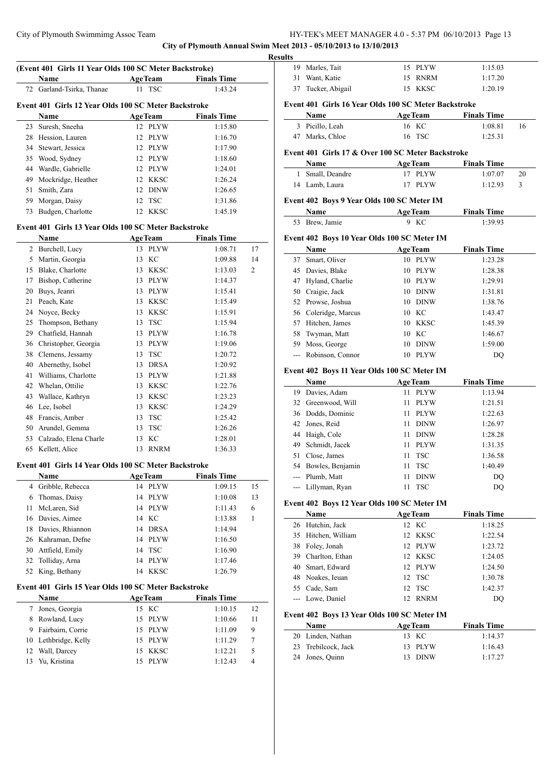# **City of Plymouth Annual Swim Meet 2013 - 05/10/2013 to 13/10/2013**

| (Event 401 Girls 11 Year Olds 100 SC Meter Backstroke) |                                                      |                   |                    |    |  |
|--------------------------------------------------------|------------------------------------------------------|-------------------|--------------------|----|--|
|                                                        | Name                                                 | <b>AgeTeam</b>    | <b>Finals Time</b> |    |  |
| 72                                                     | Garland-Tsirka, Thanae                               | <b>TSC</b><br>11  | 1:43.24            |    |  |
|                                                        |                                                      |                   |                    |    |  |
|                                                        | Event 401 Girls 12 Year Olds 100 SC Meter Backstroke |                   |                    |    |  |
|                                                        | Name                                                 | <b>AgeTeam</b>    | <b>Finals Time</b> |    |  |
| 23                                                     | Suresh, Sneeha                                       | 12 PLYW           | 1:15.80            |    |  |
|                                                        | 28 Hession, Lauren                                   | 12 PLYW           | 1:16.70            |    |  |
|                                                        | 34 Stewart, Jessica                                  | 12 PLYW           | 1:17.90            |    |  |
|                                                        | 35 Wood, Sydney                                      | 12 PLYW           | 1:18.60            |    |  |
|                                                        | 44 Wardle, Gabrielle                                 | 12 PLYW           | 1:24.01            |    |  |
|                                                        | 49 Mockridge, Heather                                | 12 KKSC           | 1:26.24            |    |  |
| 51                                                     | Smith, Zara                                          | 12 DINW           | 1:26.65            |    |  |
|                                                        | 59 Morgan, Daisy                                     | 12<br>TSC         | 1:31.86            |    |  |
| 73                                                     | Budgen, Charlotte                                    | <b>KKSC</b><br>12 | 1:45.19            |    |  |
|                                                        | Event 401 Girls 13 Year Olds 100 SC Meter Backstroke |                   |                    |    |  |
|                                                        | Name                                                 | <b>AgeTeam</b>    | <b>Finals Time</b> |    |  |
|                                                        | 2 Burchell, Lucy                                     | <b>PLYW</b><br>13 | 1:08.71            | 17 |  |
|                                                        | 5 Martin, Georgia                                    | KС<br>13          | 1:09.88            | 14 |  |
|                                                        | 15 Blake, Charlotte                                  | 13 KKSC           | 1:13.03            | 2  |  |
| 17                                                     | Bishop, Catherine                                    | 13 PLYW           | 1:14.37            |    |  |
| 20                                                     | Buys, Jeanri                                         | 13 PLYW           | 1:15.41            |    |  |
| 21                                                     | Peach, Kate                                          | 13 KKSC           | 1:15.49            |    |  |
| 24                                                     | Noyce, Becky                                         | 13 KKSC           | 1:15.91            |    |  |
| 25                                                     | Thompson, Bethany                                    | 13 TSC            | 1:15.94            |    |  |
|                                                        | 29 Chatfield, Hannah                                 |                   |                    |    |  |
|                                                        |                                                      | 13 PLYW           | 1:16.78            |    |  |
|                                                        | 36 Christopher, Georgia                              | 13 PLYW           | 1:19.06            |    |  |
|                                                        | 38 Clemens, Jessamy                                  | 13 TSC            | 1:20.72            |    |  |
| 40                                                     | Abernethy, Isobel                                    | 13 DRSA           | 1:20.92            |    |  |
| 41                                                     | Williams, Charlotte                                  | 13 PLYW           | 1:21.88            |    |  |
| 42                                                     | Whelan, Ottilie                                      | 13 KKSC           | 1:22.76            |    |  |
| 43                                                     | Wallace, Kathryn                                     | 13 KKSC           | 1:23.23            |    |  |
|                                                        | 46 Lee, Isobel                                       | 13<br>KKSC        | 1:24.29            |    |  |
|                                                        | 48 Francis, Amber                                    | 13<br><b>TSC</b>  | 1:25.42            |    |  |
|                                                        | 50 Arundel, Gemma                                    | 13<br>TSC         | 1:26.26            |    |  |
|                                                        | 53 Calzado, Elena Charle                             | KC<br>13          | 1:28.01            |    |  |
|                                                        | 65 Kellett, Alice                                    | 13<br><b>RNRM</b> | 1:36.33            |    |  |
|                                                        | Event 401 Girls 14 Year Olds 100 SC Meter Backstroke |                   |                    |    |  |
|                                                        | Name                                                 | <b>AgeTeam</b>    | <b>Finals Time</b> |    |  |
| $\overline{4}$                                         | Gribble, Rebecca                                     | 14 PLYW           | 1:09.15            | 15 |  |
| 6                                                      | Thomas, Daisy                                        | 14<br><b>PLYW</b> | 1:10.08            | 13 |  |
| 11                                                     | McLaren, Sid                                         | <b>PLYW</b><br>14 | 1:11.43            | 6  |  |
|                                                        | 16 Davies, Aimee                                     | KC<br>14          | 1:13.88            | 1  |  |
| 18                                                     | Davies, Rhiannon                                     | <b>DRSA</b><br>14 | 1:14.94            |    |  |
|                                                        | 26 Kahraman, Defne                                   | <b>PLYW</b><br>14 | 1:16.50            |    |  |
| 30                                                     | Attfield, Emily                                      | 14<br><b>TSC</b>  | 1:16.90            |    |  |
| 32                                                     | Tolliday, Arna                                       | <b>PLYW</b><br>14 | 1:17.46            |    |  |
| 52                                                     | King, Bethany                                        | <b>KKSC</b><br>14 | 1:26.79            |    |  |
|                                                        | Event 401 Girls 15 Year Olds 100 SC Meter Backstroke |                   |                    |    |  |
|                                                        | Name                                                 | <b>AgeTeam</b>    | <b>Finals Time</b> |    |  |
| 7                                                      | Jones, Georgia                                       | 15 KC             | 1:10.15            | 12 |  |
| 8                                                      | Rowland, Lucy                                        | <b>PLYW</b><br>15 | 1:10.66            | 11 |  |
| 9                                                      | Fairbairn, Corrie                                    | 15<br><b>PLYW</b> | 1:11.09            | 9  |  |
| 10                                                     | Lethbridge, Kelly                                    | 15<br><b>PLYW</b> | 1:11.29            | 7  |  |
| 12                                                     | Wall, Darcey                                         | <b>KKSC</b><br>15 | 1:12.21            | 5  |  |
| 13                                                     | Yu, Kristina                                         | <b>PLYW</b><br>15 | 1:12.43            | 4  |  |
|                                                        |                                                      |                   |                    |    |  |
|                                                        |                                                      |                   |                    |    |  |

| 19       | Marles, Tait                                         | 15 PLYW                    | 1:15.03            |    |
|----------|------------------------------------------------------|----------------------------|--------------------|----|
| 31       | Want, Katie                                          | 15 RNRM                    | 1:17.20            |    |
|          | 37 Tucker, Abigail                                   | 15 KKSC                    | 1:20.19            |    |
|          | Event 401 Girls 16 Year Olds 100 SC Meter Backstroke |                            |                    |    |
|          | Name                                                 | <b>AgeTeam</b>             | <b>Finals Time</b> |    |
|          | 3 Picillo, Leah                                      | 16 KC                      | 1:08.81            | 16 |
|          | 47 Marks, Chloe                                      | 16 TSC                     | 1:25.31            |    |
|          | Event 401 Girls 17 & Over 100 SC Meter Backstroke    |                            |                    |    |
|          | Name                                                 | <b>AgeTeam</b>             | <b>Finals Time</b> |    |
| 1        | Small, Deandre                                       | 17 PLYW                    | 1:07.07            | 20 |
|          | 14 Lamb, Laura                                       | 17 PLYW                    | 1:12.93            | 3  |
|          | Event 402 Boys 9 Year Olds 100 SC Meter IM           |                            |                    |    |
|          | Name                                                 | <b>AgeTeam</b>             | <b>Finals Time</b> |    |
|          | 53 Brew, Jamie                                       | 9 KC                       | 1:39.93            |    |
|          |                                                      |                            |                    |    |
|          | Event 402 Boys 10 Year Olds 100 SC Meter IM<br>Name  | <b>AgeTeam</b>             | <b>Finals Time</b> |    |
|          | 37 Smart, Oliver                                     | 10 PLYW                    | 1:23.28            |    |
|          | 45 Davies, Blake                                     | 10 PLYW                    | 1:28.38            |    |
|          | 47 Hyland, Charlie                                   | 10 PLYW                    | 1:29.91            |    |
|          |                                                      |                            |                    |    |
|          | 50 Craigie, Jack                                     | 10 DINW                    | 1:31.81            |    |
|          | 52 Prowse, Joshua                                    | 10 DINW                    | 1:38.76            |    |
|          | 56 Coleridge, Marcus                                 | 10 KC                      | 1:43.47            |    |
|          | 57 Hitchen, James                                    | 10 KKSC                    | 1:45.39            |    |
| 58       | Twyman, Matt                                         | 10 KC                      | 1:46.67            |    |
|          | 59 Moss, George                                      | 10 DINW                    | 1:59.00            |    |
|          |                                                      |                            |                    |    |
| ---      | Robinson, Connor                                     | 10 PLYW                    | DQ                 |    |
|          | Event 402 Boys 11 Year Olds 100 SC Meter IM          |                            |                    |    |
|          | Name                                                 | <b>AgeTeam</b>             | <b>Finals Time</b> |    |
| 19       | Davies, Adam                                         | 11 PLYW                    | 1:13.94            |    |
|          | 32 Greenwood, Will                                   | 11 PLYW                    | 1:21.51            |    |
|          | 36 Dodds, Dominic                                    | 11 PLYW                    | 1:22.63            |    |
|          | 42 Jones, Reid                                       | 11 DINW                    | 1:26.97            |    |
|          | 44 Haigh, Cole                                       | 11 DINW                    | 1:28.28            |    |
|          | 49 Schmidt, Jacek                                    | 11 PLYW                    | 1:31.35            |    |
|          | 51 Close, James                                      | 11 TSC                     | 1:36.58            |    |
|          | 54 Bowles, Benjamin                                  | 11 TSC                     | 1:40.49            |    |
| ---      | Plumb, Matt                                          | 11<br><b>DINW</b>          | DQ                 |    |
|          | Lillyman, Ryan                                       | TSC<br>11                  | DQ                 |    |
|          | Event 402 Boys 12 Year Olds 100 SC Meter IM          |                            |                    |    |
|          | Name                                                 | <b>AgeTeam</b>             | <b>Finals Time</b> |    |
| 26       | Hutchin, Jack                                        | 12 KC                      | 1:18.25            |    |
| 35       | Hitchen, William                                     | 12 KKSC                    | 1:22.54            |    |
|          | 38 Foley, Jonah                                      | 12 PLYW                    | 1:23.72            |    |
|          | 39 Charlton, Ethan                                   | 12 KKSC                    | 1:24.05            |    |
|          | 40 Smart, Edward                                     | 12<br>PLYW                 | 1:24.50            |    |
|          | 48 Noakes, Ieuan                                     | 12<br><b>TSC</b>           | 1:30.78            |    |
|          | 55 Cade, Sam                                         | <b>TSC</b><br>12           | 1:42.37            |    |
|          | --- Lowe, Daniel                                     | 12 RNRM                    | DQ                 |    |
|          |                                                      |                            |                    |    |
|          | Event 402 Boys 13 Year Olds 100 SC Meter IM          |                            |                    |    |
|          | Name                                                 | <b>AgeTeam</b>             | <b>Finals Time</b> |    |
| 20<br>23 | Linden, Nathan<br>Trebilcock, Jack                   | 13 KC<br><b>PLYW</b><br>13 | 1:14.37<br>1:16.43 |    |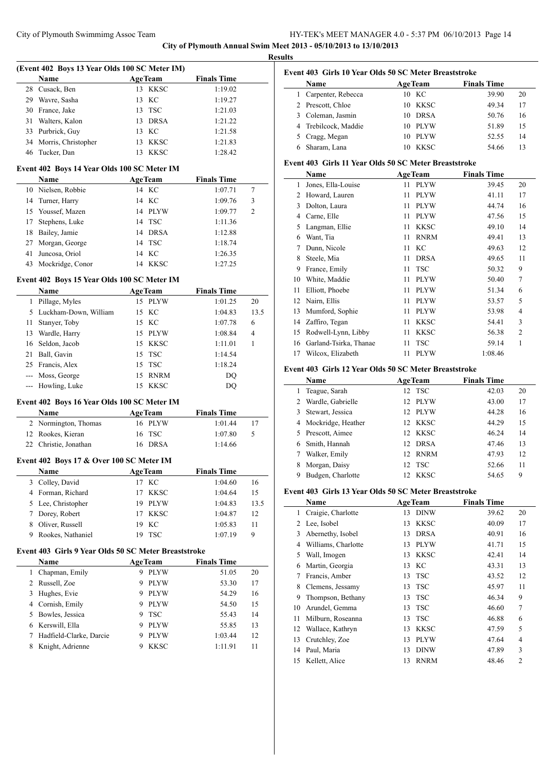**City of Plymouth Annual Swim Meet 2013 - 05/10/2013 to 13/10/2013**

 $\sim$ 

 $\equiv$ 

**Results**

|       | (Event 402 Boys 13 Year Olds 100 SC Meter IM)        |         |                |                    |                |
|-------|------------------------------------------------------|---------|----------------|--------------------|----------------|
|       | Name                                                 |         | <b>AgeTeam</b> | <b>Finals Time</b> |                |
| 28    | Cusack, Ben                                          | 13      | <b>KKSC</b>    | 1:19.02            |                |
|       | 29 Wavre, Sasha                                      | 13      | КC             | 1:19.27            |                |
|       | 30 France, Jake                                      | 13      | <b>TSC</b>     | 1:21.03            |                |
| 31    | Walters, Kalon                                       |         | 13 DRSA        | 1:21.22            |                |
| 33    | Purbrick, Guy                                        | 13      | KС             | 1:21.58            |                |
| 34    | Morris, Christopher                                  | 13      | <b>KKSC</b>    | 1:21.83            |                |
| 46    | Tucker, Dan                                          | 13      | <b>KKSC</b>    | 1:28.42            |                |
|       |                                                      |         |                |                    |                |
|       | Event 402 Boys 14 Year Olds 100 SC Meter IM          |         |                |                    |                |
|       | <b>Name</b>                                          |         | <b>AgeTeam</b> | <b>Finals Time</b> |                |
|       | 10 Nielsen, Robbie                                   |         | 14 KC          | 1:07.71            | 7              |
| 14    | Turner, Harry                                        | 14      | KC             | 1:09.76            | 3              |
|       | 15 Youssef, Mazen                                    |         | 14 PLYW        | 1:09.77            | $\overline{c}$ |
| 17    | Stephens, Luke                                       |         | 14 TSC         | 1:11.36            |                |
| 18    | Bailey, Jamie                                        |         | 14 DRSA        | 1:12.88            |                |
| 27    | Morgan, George                                       | 14      | <b>TSC</b>     | 1:18.74            |                |
| 41    | Juncosa, Oriol                                       | 14      | KC             | 1:26.35            |                |
| 43    | Mockridge, Conor                                     |         | 14 KKSC        | 1:27.25            |                |
|       | Event 402 Boys 15 Year Olds 100 SC Meter IM          |         |                |                    |                |
|       | Name                                                 |         | <b>AgeTeam</b> | <b>Finals Time</b> |                |
| 1     | Pillage, Myles                                       |         | 15 PLYW        | 1:01.25            | 20             |
|       | 5 Luckham-Down, William                              | 15      | КC             | 1:04.83            | 13.5           |
| 11    | Stanyer, Toby                                        |         | 15 KC          | 1:07.78            | 6              |
| 13    | Wardle, Harry                                        |         | 15 PLYW        | 1:08.84            | 4              |
| 16    | Seldon, Jacob                                        | 15      | KKSC           | 1:11.01            | 1              |
| 21    | Ball, Gavin                                          | 15      | TSC            | 1:14.54            |                |
| 25    | Francis, Alex                                        | 15      | <b>TSC</b>     | 1:18.24            |                |
|       |                                                      | 15      | <b>RNRM</b>    |                    |                |
| $---$ | Moss, George                                         |         |                | $\rm DQ$           |                |
| $ -$  | Howling, Luke                                        | 15      | <b>KKSC</b>    | DQ                 |                |
|       | Event 402 Boys 16 Year Olds 100 SC Meter IM          |         |                |                    |                |
|       | Name                                                 |         | <b>AgeTeam</b> | <b>Finals Time</b> |                |
|       | 2 Normington, Thomas                                 |         | 16 PLYW        | 1:01.44            | 17             |
| 12    | Rookes, Kieran                                       | 16      | <b>TSC</b>     | 1:07.80            | 5              |
| 22    | Christie, Jonathan                                   | 16      | <b>DRSA</b>    | 1:14.66            |                |
|       | Event 402 Boys 17 & Over 100 SC Meter IM             |         |                |                    |                |
|       | <b>Name</b>                                          | AgeTeam |                | <b>Finals Time</b> |                |
| 3     | Colley, David                                        | 17      | KC             | 1:04.60            | 16             |
| 4     | Forman, Richard                                      | 17      | <b>KKSC</b>    | 1:04.64            | 15             |
| 5     | Lee, Christopher                                     | 19      | <b>PLYW</b>    | 1:04.83            | 13.5           |
| 7     | Dorey, Robert                                        | 17      | <b>KKSC</b>    | 1:04.87            | 12             |
| 8     | Oliver, Russell                                      | 19      | KC             | 1:05.83            | 11             |
| 9     | Rookes, Nathaniel                                    | 19      | <b>TSC</b>     | 1:07.19            | 9              |
|       |                                                      |         |                |                    |                |
|       | Event 403 Girls 9 Year Olds 50 SC Meter Breaststroke |         |                |                    |                |
|       | Name                                                 |         | <b>AgeTeam</b> | <b>Finals Time</b> |                |
| 1     | Chapman, Emily                                       | 9       | <b>PLYW</b>    | 51.05              | 20             |
| 2     | Russell, Zoe                                         | 9       | <b>PLYW</b>    | 53.30              | 17             |
| 3     | Hughes, Evie                                         | 9.      | <b>PLYW</b>    | 54.29              | 16             |
|       | 4 Cornish, Emily                                     | 9       | <b>PLYW</b>    | 54.50              | 15             |
| 5     | Bowles, Jessica                                      | 9       | <b>TSC</b>     | 55.43              | 14             |
| 6     | Kerswill, Ella                                       | 9       | <b>PLYW</b>    | 55.85              | 13             |
| 7     | Hadfield-Clarke, Darcie                              | 9       | <b>PLYW</b>    | 1:03.44            | 12             |
| 8     | Knight, Adrienne                                     | 9       | <b>KKSC</b>    | 1:11.91            | 11             |
|       |                                                      |         |                |                    |                |

# **Event 403 Girls 10 Year Olds 50 SC Meter Breaststroke**

| <b>Name</b>          | <b>AgeTeam</b>    | <b>Finals Time</b> |    |
|----------------------|-------------------|--------------------|----|
| 1 Carpenter, Rebecca | 10 KC             | 39.90              | 20 |
| 2 Prescott, Chloe    | 10 KKSC           | 49.34              | 17 |
| 3 Coleman, Jasmin    | <b>DRSA</b><br>10 | 50.76              | 16 |
| 4 Trebilcock, Maddie | - PLYW<br>10.     | 51.89              | 15 |
| 5 Cragg, Megan       | <b>PLYW</b><br>10 | 52.55              | 14 |
| Sharam, Lana         | <b>KKSC</b>       | 54.66              | 13 |

# **Event 403 Girls 11 Year Olds 50 SC Meter Breaststroke**

|    | Name                   | <b>AgeTeam</b>    | <b>Finals Time</b> |                |
|----|------------------------|-------------------|--------------------|----------------|
| 1  | Jones, Ella-Louise     | <b>PLYW</b><br>11 | 39.45              | 20             |
| 2  | Howard, Lauren         | <b>PLYW</b><br>11 | 41.11              | 17             |
| 3  | Dolton, Laura          | <b>PLYW</b><br>11 | 44.74              | 16             |
| 4  | Carne, Elle            | <b>PLYW</b><br>11 | 47.56              | 15             |
| 5  | Langman, Ellie         | <b>KKSC</b><br>11 | 49.10              | 14             |
| 6  | Want, Tia              | <b>RNRM</b><br>11 | 49.41              | 13             |
| 7  | Dunn, Nicole           | KC<br>11          | 49.63              | 12             |
| 8  | Steele, Mia            | <b>DRSA</b><br>11 | 49.65              | 11             |
| 9  | France, Emily          | <b>TSC</b><br>11  | 50.32              | 9              |
| 10 | White, Maddie          | <b>PLYW</b><br>11 | 50.40              | 7              |
| 11 | Elliott, Phoebe        | <b>PLYW</b><br>11 | 51.34              | 6              |
| 12 | Nairn, Ellis           | <b>PLYW</b><br>11 | 53.57              | 5              |
| 13 | Mumford, Sophie        | <b>PLYW</b><br>11 | 53.98              | $\overline{4}$ |
| 14 | Zaffiro, Tegan         | <b>KKSC</b><br>11 | 54.41              | 3              |
| 15 | Rodwell-Lynn, Libby    | <b>KKSC</b><br>11 | 56.38              | $\overline{2}$ |
| 16 | Garland-Tsirka, Thanae | <b>TSC</b><br>11  | 59.14              | 1              |
| 17 | Wilcox, Elizabeth      | <b>PLYW</b><br>11 | 1:08.46            |                |

# **Event 403 Girls 12 Year Olds 50 SC Meter Breaststroke**

|   | <b>Name</b>        | <b>AgeTeam</b>     | <b>Finals Time</b> |    |
|---|--------------------|--------------------|--------------------|----|
| 1 | Teague, Sarah      | 12 TSC             | 42.03              | 20 |
| 2 | Wardle, Gabrielle  | 12 PLYW            | 43.00              | 17 |
| 3 | Stewart, Jessica   | PLYW<br>12.        | 44.28              | 16 |
| 4 | Mockridge, Heather | 12 KKSC            | 44.29              | 15 |
| 5 | Prescott, Aimee    | 12 KKSC            | 46.24              | 14 |
| 6 | Smith, Hannah      | <b>DRSA</b><br>12. | 47.46              | 13 |
|   | Walker, Emily      | 12 RNRM            | 47.93              | 12 |
| 8 | Morgan, Daisy      | 12 TSC             | 52.66              | 11 |
| 9 | Budgen, Charlotte  | KKSC<br>12         | 54.65              | 9  |

# **Event 403 Girls 13 Year Olds 50 SC Meter Breaststroke**

|    | Name                |    | <b>AgeTeam</b> | <b>Finals Time</b> |                |  |  |  |  |
|----|---------------------|----|----------------|--------------------|----------------|--|--|--|--|
| 1  | Craigie, Charlotte  | 13 | <b>DINW</b>    | 39.62              | 20             |  |  |  |  |
| 2  | Lee, Isobel         | 13 | <b>KKSC</b>    | 40.09              | 17             |  |  |  |  |
| 3  | Abernethy, Isobel   | 13 | <b>DRSA</b>    | 40.91              | 16             |  |  |  |  |
| 4  | Williams, Charlotte | 13 | <b>PLYW</b>    | 41.71              | 15             |  |  |  |  |
| 5  | Wall, Imogen        | 13 | <b>KKSC</b>    | 42.41              | 14             |  |  |  |  |
| 6  | Martin, Georgia     | 13 | KC             | 43.31              | 13             |  |  |  |  |
| 7  | Francis, Amber      | 13 | <b>TSC</b>     | 43.52              | 12             |  |  |  |  |
| 8  | Clemens, Jessamy    | 13 | <b>TSC</b>     | 45.97              | 11             |  |  |  |  |
| 9  | Thompson, Bethany   | 13 | <b>TSC</b>     | 46.34              | 9              |  |  |  |  |
| 10 | Arundel, Gemma      | 13 | <b>TSC</b>     | 46.60              | 7              |  |  |  |  |
| 11 | Milburn, Roseanna   | 13 | <b>TSC</b>     | 46.88              | 6              |  |  |  |  |
| 12 | Wallace, Kathryn    | 13 | <b>KKSC</b>    | 47.59              | 5              |  |  |  |  |
| 13 | Crutchley, Zoe      | 13 | <b>PLYW</b>    | 47.64              | $\overline{4}$ |  |  |  |  |
| 14 | Paul, Maria         | 13 | <b>DINW</b>    | 47.89              | 3              |  |  |  |  |
| 15 | Kellett, Alice      | 13 | <b>RNRM</b>    | 48.46              | $\overline{2}$ |  |  |  |  |
|    |                     |    |                |                    |                |  |  |  |  |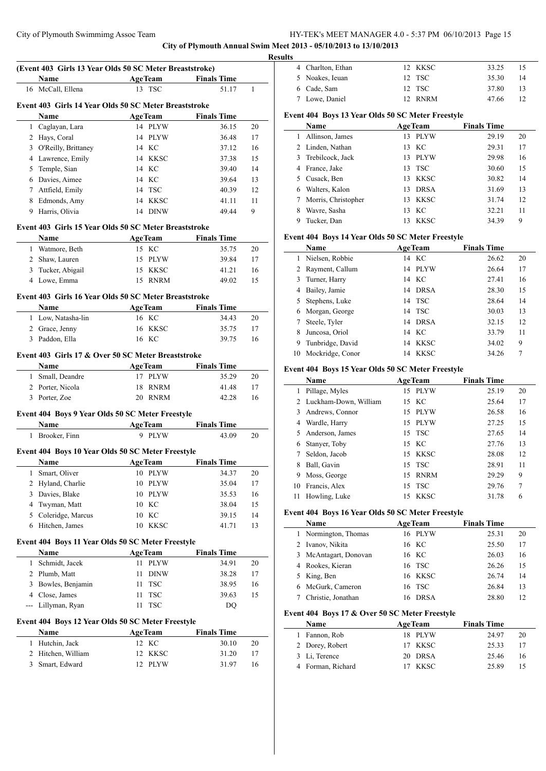**City of Plymouth Annual Swim Meet 2013 - 05/10/2013 to 13/10/2013**

|   | (Event 403 Girls 13 Year Olds 50 SC Meter Breaststroke) |                                                |                              |              |
|---|---------------------------------------------------------|------------------------------------------------|------------------------------|--------------|
|   | Name<br>16 McCall, Ellena                               | <b>ExamPedia AgeTeam</b> Finals Time<br>13 TSC | 51.17                        | $\mathbf{1}$ |
|   |                                                         |                                                |                              |              |
|   | Event 403 Girls 14 Year Olds 50 SC Meter Breaststroke   |                                                |                              |              |
|   | Name                                                    | <b>AgeTeam</b>                                 | <b>Finals Time</b>           |              |
|   | 1 Caglayan, Lara                                        | 14 PLYW                                        | 36.15                        | 20           |
|   | 2 Hays, Coral                                           | 14 PLYW                                        | 36.48                        | 17           |
|   | 3 O'Reilly, Brittaney                                   | 14 KC                                          | 37.12                        | 16           |
|   | 4 Lawrence, Emily                                       | 14 KKSC                                        | 37.38                        | 15           |
|   | 5 Temple, Sian                                          | 14 KC                                          | 39.40                        | 14           |
|   | 6 Davies, Aimee                                         | 14 KC                                          | 39.64                        | 13           |
|   | 7 Attfield, Emily                                       | 14 TSC                                         | 40.39                        | 12           |
| 8 | Edmonds, Amy                                            | 14 KKSC                                        | 41.11                        | 11           |
|   | 9 Harris, Olivia                                        | 14 DINW                                        | 49.44                        | 9            |
|   | Event 403 Girls 15 Year Olds 50 SC Meter Breaststroke   |                                                |                              |              |
|   | Name                                                    | <b>AgeTeam</b>                                 | <b>Finals Time</b>           |              |
|   | 1 Watmore, Beth                                         | 15 KC                                          | 35.75                        | 20           |
|   | 2 Shaw, Lauren                                          | 15 PLYW                                        | 39.84                        | 17           |
|   | 3 Tucker, Abigail                                       | 15 KKSC                                        | 41.21                        | 16           |
|   | 4 Lowe, Emma                                            | 15 RNRM                                        | 49.02                        | 15           |
|   |                                                         |                                                |                              |              |
|   | Event 403 Girls 16 Year Olds 50 SC Meter Breaststroke   |                                                |                              |              |
|   | <b>Name</b>                                             | <b>AgeTeam</b>                                 | <b>Finals Time</b>           |              |
|   | 1 Low, Natasha-lin                                      | 16 KC                                          | 34.43                        | 20           |
|   | 2 Grace, Jenny                                          | 16 KKSC                                        | 35.75                        | 17           |
|   | 3 Paddon, Ella                                          | 16 KC                                          | 39.75                        | 16           |
|   | Event 403 Girls 17 & Over 50 SC Meter Breaststroke      |                                                |                              |              |
|   | Name                                                    | <b>AgeTeam</b>                                 | <b>Finals Time</b>           |              |
|   | 1 Small, Deandre                                        | 17 PLYW                                        | 35.29                        | 20           |
|   | 2 Porter, Nicola                                        | 18 RNRM                                        | 41.48                        | 17           |
|   | 3 Porter, Zoe                                           | 20 RNRM                                        | 42.28                        | 16           |
|   |                                                         |                                                |                              |              |
|   | Event 404 Boys 9 Year Olds 50 SC Meter Freestyle        |                                                |                              |              |
|   | Name<br>1 Brooker, Finn                                 | 9 PLYW                                         | AgeTeam Finals Time<br>43.09 | 20           |
|   |                                                         |                                                |                              |              |
|   | Event 404 Boys 10 Year Olds 50 SC Meter Freestyle       |                                                |                              |              |
|   | <b>Name AgeTeam</b> Finals Time                         |                                                |                              |              |
| 1 | Smart, Oliver                                           | 10 PLYW                                        | 34.37                        | 20           |
| 2 | Hyland, Charlie                                         | 10 PLYW                                        | 35.04                        | 17           |
| 3 | Davies, Blake                                           | 10 PLYW                                        | 35.53                        | 16           |
| 4 | Twyman, Matt                                            | 10 KC                                          | 38.04                        | 15           |
| 5 | Coleridge, Marcus                                       | 10<br>KC                                       | 39.15                        | 14           |
| 6 | Hitchen, James                                          | 10 KKSC                                        | 41.71                        | 13           |
|   | Event 404 Boys 11 Year Olds 50 SC Meter Freestyle       |                                                |                              |              |
|   | Name                                                    | <b>AgeTeam</b>                                 | <b>Finals Time</b>           |              |
| 1 | Schmidt, Jacek                                          | 11 PLYW                                        | 34.91                        | 20           |
|   | 2 Plumb, Matt                                           | 11<br><b>DINW</b>                              | 38.28                        | 17           |
|   | 3 Bowles, Benjamin                                      | <b>TSC</b><br>11                               | 38.95                        | 16           |
|   | 4 Close, James                                          | 11<br>TSC                                      | 39.63                        | 15           |
|   | --- Lillyman, Ryan                                      | <b>TSC</b><br>11                               | DQ                           |              |
|   |                                                         |                                                |                              |              |
|   | Event 404 Boys 12 Year Olds 50 SC Meter Freestyle       |                                                |                              |              |
|   | Name                                                    | <b>AgeTeam</b>                                 | <b>Finals Time</b>           |              |
|   | 1 Hutchin, Jack                                         | 12 KC                                          | 30.10                        | 20           |
| 2 | Hitchen, William                                        | <b>KKSC</b><br>12                              | 31.20                        | 17           |
| 3 | Smart, Edward                                           | 12 PLYW                                        | 31.97                        | 16           |

|      | Event 404 Boys 13 Year Olds 50 SC Meter Freestyle |  |         |       |    |
|------|---------------------------------------------------|--|---------|-------|----|
|      | 7 Lowe, Daniel                                    |  | 12 RNRM | 47.66 | 12 |
|      | 6 Cade, Sam                                       |  | 12 TSC  | 37.80 | 13 |
|      | 5 Noakes, Ieuan                                   |  | 12 TSC  | 35.30 | 14 |
|      | 4 Charlton, Ethan                                 |  | 12 KKSC | 33.25 | 15 |
| ılts |                                                   |  |         |       |    |

|    | rame                |     | Age ream    | rinais lime |    |
|----|---------------------|-----|-------------|-------------|----|
|    | Allinson, James     | 13  | PLYW        | 29.19       | 20 |
|    | 2 Linden, Nathan    | 13  | KC          | 29.31       | 17 |
| 3  | Trebilcock, Jack    | 13. | PLYW        | 29.98       | 16 |
| 4  | France, Jake        |     | 13 TSC      | 30.60       | 15 |
| 5. | Cusack, Ben         | 13  | <b>KKSC</b> | 30.82       | 14 |
| 6. | Walters, Kalon      | 13. | DRSA        | 31.69       | 13 |
| 7  | Morris, Christopher | 13  | KKSC        | 31.74       | 12 |
|    | Wavre, Sasha        | 13  | KС          | 32.21       | 11 |
| 9  | Tucker, Dan         | 13. | KKSC        | 34.39       | 9  |
|    |                     |     |             |             |    |

# **Event 404 Boys 14 Year Olds 50 SC Meter Freestyle**

|    | Name             | <b>AgeTeam</b>    | <b>Finals Time</b> |  |
|----|------------------|-------------------|--------------------|--|
| 1  | Nielsen, Robbie  | 14 KC             | 26.62<br>20        |  |
| 2  | Rayment, Callum  | 14 PLYW           | 17<br>26.64        |  |
| 3  | Turner, Harry    | 14 KC             | 16<br>27.41        |  |
| 4  | Bailey, Jamie    | 14 DRSA           | 15<br>28.30        |  |
| 5  | Stephens, Luke   | 14 TSC            | 14<br>28.64        |  |
| 6  | Morgan, George   | 14 TSC            | 13<br>30.03        |  |
| 7  | Steele, Tyler    | 14 DRSA           | 12<br>32.15        |  |
| 8  | Juncosa, Oriol   | 14 KC             | 11<br>33.79        |  |
| 9  | Tunbridge, David | KKSC<br>14        | 34.02<br>9         |  |
| 10 | Mockridge, Conor | <b>KKSC</b><br>14 | 34.26<br>7         |  |

#### **Event 404 Boys 15 Year Olds 50 SC Meter Freestyle**

|    | Name                    |     | <b>AgeTeam</b> | <b>Finals Time</b> |    |
|----|-------------------------|-----|----------------|--------------------|----|
| 1  | Pillage, Myles          |     | 15 PLYW        | 25.19              | 20 |
|    | 2 Luckham-Down, William |     | 15 KC          | 25.64              | 17 |
| 3  | Andrews, Connor         | 15  | PLYW           | 26.58              | 16 |
| 4  | Wardle, Harry           |     | 15 PLYW        | 27.25              | 15 |
|    | 5 Anderson, James       |     | 15 TSC         | 27.65              | 14 |
| 6  | Stanyer, Toby           |     | 15 KC          | 27.76              | 13 |
| 7  | Seldon, Jacob           |     | 15 KKSC        | 28.08              | 12 |
| 8  | Ball, Gavin             |     | 15 TSC         | 28.91              | 11 |
| 9  | Moss, George            | 15  | <b>RNRM</b>    | 29.29              | 9  |
| 10 | Francis, Alex           | 15  | <b>TSC</b>     | 29.76              | 7  |
| 11 | Howling, Luke           | 15. | KKSC           | 31.78              | 6  |

# **Event 404 Boys 16 Year Olds 50 SC Meter Freestyle**

| Name                  | <b>AgeTeam</b>     | <b>Finals Time</b> |    |
|-----------------------|--------------------|--------------------|----|
| 1 Normington, Thomas  | 16 PLYW            | 25.31              | 20 |
| 2 Ivanov, Nikita      | 16 KC              | 25.50              | 17 |
| 3 McAntagart, Donovan | 16 KC              | 26.03              | 16 |
| 4 Rookes, Kieran      | 16 TSC             | 26.26              | 15 |
| 5 King, Ben           | 16 KKSC            | 26.74              | 14 |
| McGurk, Cameron       | 16 TSC             | 26.84              | 13 |
| Christie, Jonathan    | <b>DRSA</b><br>16. | 28.80              | 12 |

# **Event 404 Boys 17 & Over 50 SC Meter Freestyle**

| <b>Name</b>       | <b>AgeTeam</b> |         | <b>Finals Time</b> |    |
|-------------------|----------------|---------|--------------------|----|
| Fannon, Rob       |                | 18 PLYW | 24.97              | 20 |
| 2 Dorey, Robert   |                | 17 KKSC | 25.33              | 17 |
| 3 Li, Terence     |                | 20 DRSA | 25.46              | 16 |
| 4 Forman, Richard |                | 17 KKSC | 25.89              |    |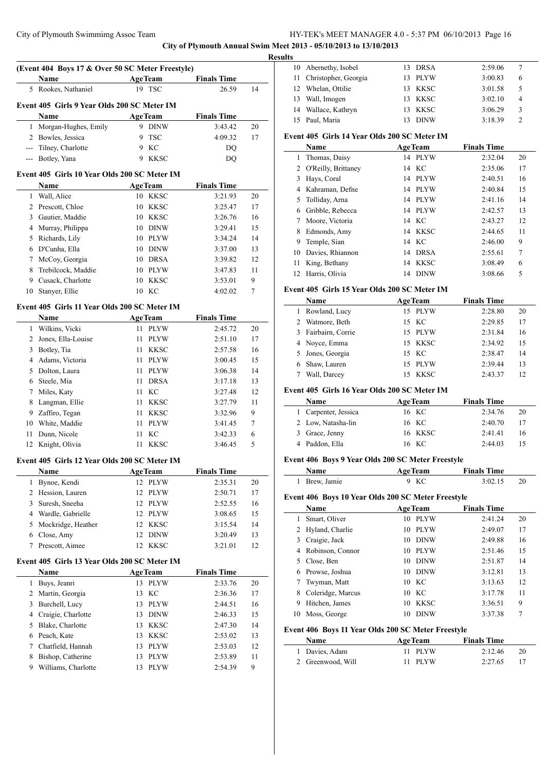**City of Plymouth Annual Swim Meet 2013 - 05/10/2013 to 13/10/2013**

|                                              | (Event 404 Boys 17 & Over 50 SC Meter Freestyle) |                   |                    |    |  |  |  |  |  |  |
|----------------------------------------------|--------------------------------------------------|-------------------|--------------------|----|--|--|--|--|--|--|
|                                              | Name                                             | <b>AgeTeam</b>    | <b>Finals Time</b> |    |  |  |  |  |  |  |
| 5                                            | Rookes, Nathaniel                                | 19 TSC            | 26.59              | 14 |  |  |  |  |  |  |
|                                              | Event 405 Girls 9 Year Olds 200 SC Meter IM      |                   |                    |    |  |  |  |  |  |  |
|                                              | Name                                             | <b>AgeTeam</b>    | <b>Finals Time</b> |    |  |  |  |  |  |  |
| 1                                            | Morgan-Hughes, Emily                             | 9 DINW            | 3:43.42            | 20 |  |  |  |  |  |  |
|                                              | 2 Bowles, Jessica                                | 9<br><b>TSC</b>   | 4:09.32            | 17 |  |  |  |  |  |  |
|                                              | --- Tilney, Charlotte                            | 9<br>KC           | DQ                 |    |  |  |  |  |  |  |
|                                              | --- Botley, Yana                                 | 9<br><b>KKSC</b>  | DQ                 |    |  |  |  |  |  |  |
| Event 405 Girls 10 Year Olds 200 SC Meter IM |                                                  |                   |                    |    |  |  |  |  |  |  |
|                                              | <b>Name</b>                                      | AgeTeam           | <b>Finals Time</b> |    |  |  |  |  |  |  |
| 1                                            | Wall, Alice                                      | 10 KKSC           | 3:21.93            | 20 |  |  |  |  |  |  |
| 2                                            | Prescott, Chloe                                  | 10 KKSC           | 3:25.47            | 17 |  |  |  |  |  |  |
| 3                                            | Gautier, Maddie                                  | 10 KKSC           | 3:26.76            | 16 |  |  |  |  |  |  |
| 4                                            | Murray, Philippa                                 | <b>DINW</b><br>10 | 3:29.41            | 15 |  |  |  |  |  |  |
| 5                                            | Richards, Lily                                   | 10 PLYW           | 3:34.24            | 14 |  |  |  |  |  |  |
| 6                                            | D'Cunha, Ella                                    | 10 DINW           | 3:37.00            | 13 |  |  |  |  |  |  |
| 7                                            | McCoy, Georgia                                   | 10 DRSA           | 3:39.82            | 12 |  |  |  |  |  |  |
| 8                                            | Trebilcock, Maddie                               | 10 PLYW           | 3:47.83            | 11 |  |  |  |  |  |  |
| 9                                            | Cusack, Charlotte                                | <b>KKSC</b><br>10 | 3:53.01            | 9  |  |  |  |  |  |  |
| 10                                           | Stanyer, Ellie                                   | 10 KC             | 4:02.02            | 7  |  |  |  |  |  |  |
|                                              | Event 405 Girls 11 Year Olds 200 SC Meter IM     |                   |                    |    |  |  |  |  |  |  |
|                                              | Name                                             | <b>AgeTeam</b>    | <b>Finals Time</b> |    |  |  |  |  |  |  |
| 1                                            | Wilkins, Vicki                                   | 11 PLYW           | 2:45.72            | 20 |  |  |  |  |  |  |
| 2                                            | Jones, Ella-Louise                               | 11<br><b>PLYW</b> | 2:51.10            | 17 |  |  |  |  |  |  |
| 3                                            | Botley, Tia                                      | 11<br><b>KKSC</b> | 2:57.58            | 16 |  |  |  |  |  |  |
| 4                                            | Adams, Victoria                                  | 11<br><b>PLYW</b> | 3:00.45            | 15 |  |  |  |  |  |  |
|                                              | Dolton, Laura                                    | <b>PLYW</b><br>11 |                    |    |  |  |  |  |  |  |
| 5                                            |                                                  |                   | 3:06.38            | 14 |  |  |  |  |  |  |
| 6                                            | Steele, Mia                                      | <b>DRSA</b><br>11 | 3:17.18            | 13 |  |  |  |  |  |  |
| 7                                            | Miles, Katy                                      | KC<br>11          | 3:27.48            | 12 |  |  |  |  |  |  |
| 8                                            | Langman, Ellie                                   | <b>KKSC</b><br>11 | 3:27.79            | 11 |  |  |  |  |  |  |
| 9                                            | Zaffiro, Tegan                                   | 11<br><b>KKSC</b> | 3:32.96            | 9  |  |  |  |  |  |  |
| 10                                           | White, Maddie                                    | <b>PLYW</b><br>11 | 3:41.45            | 7  |  |  |  |  |  |  |
| 11                                           | Dunn, Nicole                                     | KC<br>11          | 3:42.33            | 6  |  |  |  |  |  |  |
| 12                                           | Knight, Olivia                                   | <b>KKSC</b><br>11 | 3:46.45            | 5  |  |  |  |  |  |  |
|                                              | Event 405 Girls 12 Year Olds 200 SC Meter IM     |                   |                    |    |  |  |  |  |  |  |
|                                              | <b>Name</b>                                      | <b>AgeTeam</b>    | <b>Finals Time</b> |    |  |  |  |  |  |  |
| 1                                            | Bynoe, Kendi                                     | PLYW<br>12        | 2:35.31            | 20 |  |  |  |  |  |  |
| 2                                            | Hession, Lauren                                  | 12<br>PLYW        | 2:50.71            | 17 |  |  |  |  |  |  |
| 3                                            | Suresh, Sneeha                                   | 12<br><b>PLYW</b> | 2:52.55            | 16 |  |  |  |  |  |  |
| 4                                            | Wardle, Gabrielle                                | 12<br><b>PLYW</b> | 3:08.65            | 15 |  |  |  |  |  |  |
| 5                                            | Mockridge, Heather                               | <b>KKSC</b><br>12 | 3:15.54            | 14 |  |  |  |  |  |  |
| 6                                            | Close, Amy                                       | <b>DINW</b><br>12 | 3:20.49            | 13 |  |  |  |  |  |  |
| 7                                            | Prescott, Aimee                                  | <b>KKSC</b><br>12 | 3:21.01            | 12 |  |  |  |  |  |  |
|                                              | Event 405 Girls 13 Year Olds 200 SC Meter IM     |                   |                    |    |  |  |  |  |  |  |
|                                              | Name                                             | <b>AgeTeam</b>    | <b>Finals Time</b> |    |  |  |  |  |  |  |
| 1                                            | Buys, Jeanri                                     | 13 PLYW           | 2:33.76            | 20 |  |  |  |  |  |  |
| 2                                            | Martin, Georgia                                  | KC<br>13          | 2:36.36            | 17 |  |  |  |  |  |  |
| 3                                            | Burchell, Lucy                                   | <b>PLYW</b><br>13 | 2:44.51            | 16 |  |  |  |  |  |  |
| 4                                            | Craigie, Charlotte                               | 13<br><b>DINW</b> | 2:46.33            | 15 |  |  |  |  |  |  |
| 5                                            | Blake, Charlotte                                 | 13<br><b>KKSC</b> | 2:47.30            | 14 |  |  |  |  |  |  |
| 6                                            | Peach, Kate                                      | 13<br><b>KKSC</b> | 2:53.02            | 13 |  |  |  |  |  |  |
| 7                                            | Chatfield, Hannah                                | 13<br><b>PLYW</b> | 2:53.03            | 12 |  |  |  |  |  |  |
| 8                                            | Bishop, Catherine                                | 13<br><b>PLYW</b> | 2:53.89            | 11 |  |  |  |  |  |  |
| 9                                            | Williams, Charlotte                              | 13<br><b>PLYW</b> | 2:54.39            | 9  |  |  |  |  |  |  |
|                                              |                                                  |                   |                    |    |  |  |  |  |  |  |

| <b>Results</b> |                         |    |             |         |                |  |  |  |  |
|----------------|-------------------------|----|-------------|---------|----------------|--|--|--|--|
|                | 10 Abernethy, Isobel    |    | 13 DRSA     | 2:59.06 | 7              |  |  |  |  |
|                | 11 Christopher, Georgia |    | 13 PLYW     | 3:00.83 | 6              |  |  |  |  |
|                | 12 Whelan, Ottilie      |    | 13 KKSC     | 3:01.58 | 5              |  |  |  |  |
|                | 13 Wall, Imogen         |    | 13 KKSC     | 3:02.10 | 4              |  |  |  |  |
|                | 14 Wallace, Kathryn     |    | 13 KKSC     | 3:06.29 | 3              |  |  |  |  |
|                | 15 Paul, Maria          | 13 | <b>DINW</b> | 3:18.39 | $\mathfrak{D}$ |  |  |  |  |

# **Event 405 Girls 14 Year Olds 200 SC Meter IM**

|    | Name                  |    | <b>AgeTeam</b> | <b>Finals Time</b> |    |
|----|-----------------------|----|----------------|--------------------|----|
| 1  | Thomas, Daisy         |    | 14 PLYW        | 2:32.04            | 20 |
|    | 2 O'Reilly, Brittaney |    | 14 KC          | 2:35.06            | 17 |
| 3  | Hays, Coral           |    | 14 PLYW        | 2:40.51            | 16 |
| 4  | Kahraman, Defne       |    | 14 PLYW        | 2:40.84            | 15 |
|    | 5 Tolliday, Arna      | 14 | <b>PLYW</b>    | 2:41.16            | 14 |
| 6  | Gribble, Rebecca      |    | 14 PLYW        | 2:42.57            | 13 |
|    | Moore, Victoria       |    | 14 KC          | 2:43.27            | 12 |
| 8  | Edmonds, Amy          |    | 14 KKSC        | 2:44.65            | 11 |
| 9  | Temple, Sian          |    | 14 KC          | 2:46.00            | 9  |
|    | 10 Davies, Rhiannon   | 14 | DRSA           | 2:55.61            | 7  |
| 11 | King, Bethany         | 14 | <b>KKSC</b>    | 3:08.49            | 6  |
| 12 | Harris, Olivia        | 14 | <b>DINW</b>    | 3:08.66            | 5  |
|    |                       |    |                |                    |    |

# **Event 405 Girls 15 Year Olds 200 SC Meter IM**

| <b>AgeTeam</b><br><b>Name</b> |                   | <b>Finals Time</b> |    |
|-------------------------------|-------------------|--------------------|----|
| 1 Rowland, Lucy               | 15 PLYW           | 2:28.80            | 20 |
| 2 Watmore, Beth               | 15 KC             | 2:29.85            | 17 |
| 3 Fairbairn, Corrie           | 15 PLYW           | 2:31.84            | 16 |
| 4 Noyce, Emma                 | 15 KKSC           | 2:34.92            | 15 |
| 5 Jones, Georgia              | 15 KC             | 2:38.47            | 14 |
| Shaw, Lauren                  | 15 PLYW           | 2:39.44            | 13 |
| Wall, Darcey                  | <b>KKSC</b><br>15 | 2:43.37            | 12 |

# **Event 405 Girls 16 Year Olds 200 SC Meter IM**

| <b>Name</b>          | <b>AgeTeam</b> | <b>Finals Time</b> |    |
|----------------------|----------------|--------------------|----|
| 1 Carpenter, Jessica | 16 KC          | 2:34.76            | 20 |
| 2 Low, Natasha-lin   | 16 KC          | 2:40.70            | 17 |
| 3 Grace, Jenny       | 16 KKSC        | 2:41.41            | 16 |
| 4 Paddon, Ella       | 16 KC          | 2:44.03            | 15 |

# **Event 406 Boys 9 Year Olds 200 SC Meter Freestyle**

|    | Event 406 Boys 9 Year Olds 200 SC Meter Freestyle  |    |                |                    |    |
|----|----------------------------------------------------|----|----------------|--------------------|----|
|    | <b>Name</b>                                        |    | <b>AgeTeam</b> | <b>Finals Time</b> |    |
| 1  | Brew, Jamie                                        | 9  | KC             | 3:02.15            | 20 |
|    | Event 406 Boys 10 Year Olds 200 SC Meter Freestyle |    |                |                    |    |
|    | Name                                               |    | <b>AgeTeam</b> | <b>Finals Time</b> |    |
| 1  | Smart, Oliver                                      | 10 | <b>PLYW</b>    | 2:41.24            | 20 |
| 2  | Hyland, Charlie                                    | 10 | <b>PLYW</b>    | 2:49.07            | 17 |
| 3  | Craigie, Jack                                      | 10 | <b>DINW</b>    | 2:49.88            | 16 |
| 4  | Robinson, Connor                                   | 10 | <b>PLYW</b>    | 2:51.46            | 15 |
| 5  | Close, Ben                                         | 10 | <b>DINW</b>    | 2:51.87            | 14 |
| 6  | Prowse, Joshua                                     | 10 | <b>DINW</b>    | 3:12.81            | 13 |
|    | Twyman, Matt                                       |    | 10 KC          | 3:13.63            | 12 |
| 8  | Coleridge, Marcus                                  | 10 | KC             | 3:17.78            | 11 |
| 9  | Hitchen, James                                     | 10 | <b>KKSC</b>    | 3:36.51            | 9  |
| 10 | Moss, George                                       | 10 | <b>DINW</b>    | 3:37.38            | 7  |

# **Event 406 Boys 11 Year Olds 200 SC Meter Freestyle**

| <b>Name</b>       | <b>AgeTeam</b> | <b>Finals Time</b> |     |
|-------------------|----------------|--------------------|-----|
| 1 Davies, Adam    | 11 PLYW        | 2:12.46            | -20 |
| 2 Greenwood, Will | 11 PLYW        | 2:27.65            |     |